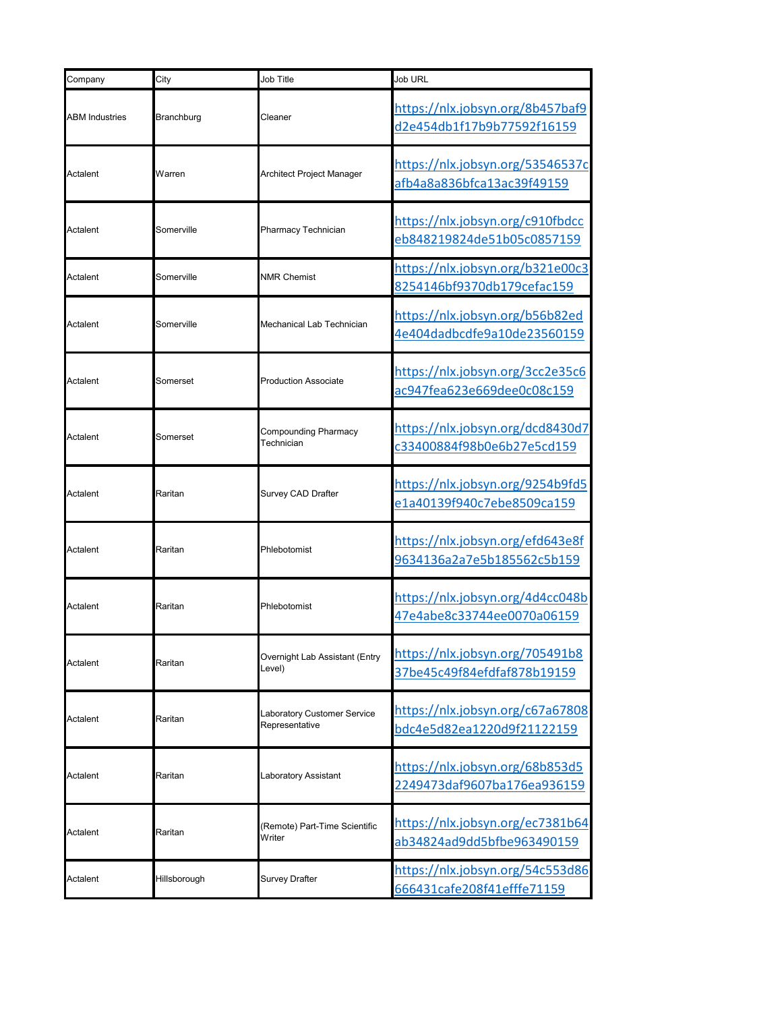| Company               | City         | Job Title                                     | Job URL                                                        |
|-----------------------|--------------|-----------------------------------------------|----------------------------------------------------------------|
| <b>ABM Industries</b> | Branchburg   | Cleaner                                       | https://nlx.jobsyn.org/8b457baf9<br>d2e454db1f17b9b77592f16159 |
| Actalent              | Warren       | Architect Project Manager                     | https://nlx.jobsyn.org/53546537c<br>afb4a8a836bfca13ac39f49159 |
| Actalent              | Somerville   | Pharmacy Technician                           | https://nlx.jobsyn.org/c910fbdcc<br>eb848219824de51b05c0857159 |
| Actalent              | Somerville   | <b>NMR Chemist</b>                            | https://nlx.jobsyn.org/b321e00c3<br>8254146bf9370db179cefac159 |
| Actalent              | Somerville   | Mechanical Lab Technician                     | https://nlx.jobsyn.org/b56b82ed<br>4e404dadbcdfe9a10de23560159 |
| Actalent              | Somerset     | <b>Production Associate</b>                   | https://nlx.jobsyn.org/3cc2e35c6<br>ac947fea623e669dee0c08c159 |
| Actalent              | Somerset     | Compounding Pharmacy<br><b>Technician</b>     | https://nlx.jobsyn.org/dcd8430d7<br>c33400884f98b0e6b27e5cd159 |
| Actalent              | Raritan      | Survey CAD Drafter                            | https://nlx.jobsyn.org/9254b9fd5<br>e1a40139f940c7ebe8509ca159 |
| Actalent              | Raritan      | Phlebotomist                                  | https://nlx.jobsyn.org/efd643e8f<br>9634136a2a7e5b185562c5b159 |
| Actalent              | Raritan      | Phlebotomist                                  | https://nlx.jobsyn.org/4d4cc048b<br>47e4abe8c33744ee0070a06159 |
| Actalent              | Raritan      | Overnight Lab Assistant (Entry<br>evel)       | https://nlx.jobsyn.org/705491b8<br>37be45c49f84efdfaf878b19159 |
| Actalent              | Raritan      | Laboratory Customer Service<br>Representative | https://nlx.jobsyn.org/c67a67808<br>bdc4e5d82ea1220d9f21122159 |
| Actalent              | Raritan      | Laboratory Assistant                          | https://nlx.jobsyn.org/68b853d5<br>2249473daf9607ba176ea936159 |
| Actalent              | Raritan      | Remote) Part-Time Scientific<br>Writer        | https://nlx.jobsyn.org/ec7381b64<br>ab34824ad9dd5bfbe963490159 |
| Actalent              | Hillsborough | <b>Survey Drafter</b>                         | https://nlx.jobsyn.org/54c553d86<br>666431cafe208f41efffe71159 |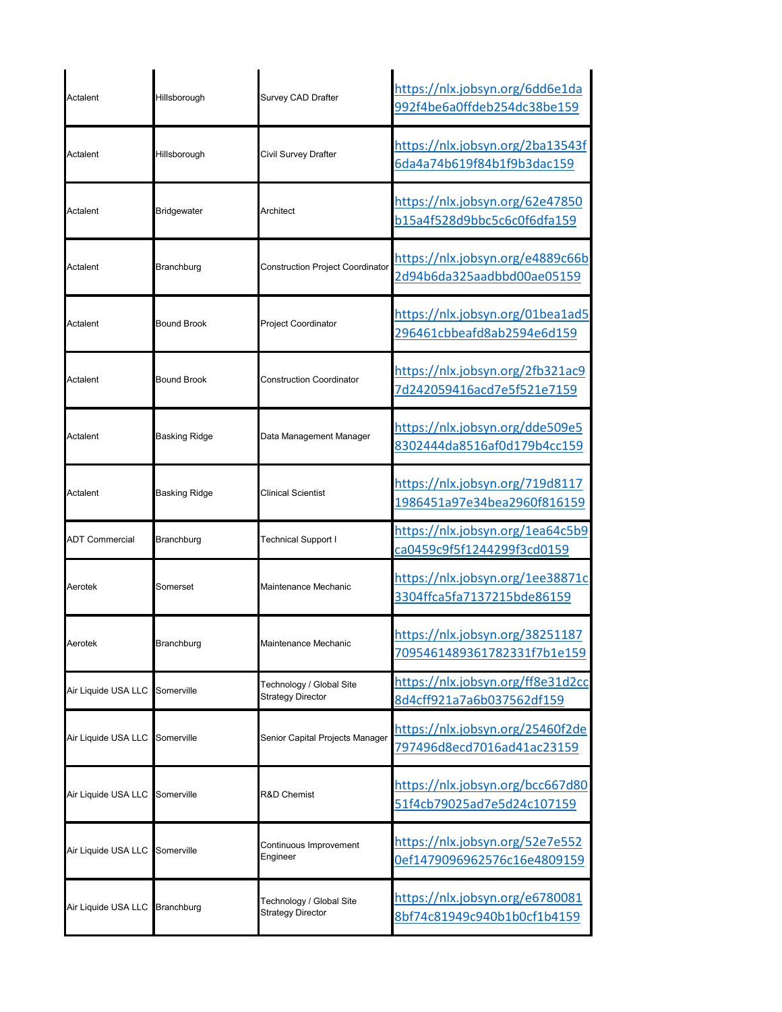| Actalent              | Hillsborough       | Survey CAD Drafter                                   | https://nlx.jobsyn.org/6dd6e1da<br>992f4be6a0ffdeb254dc38be159 |
|-----------------------|--------------------|------------------------------------------------------|----------------------------------------------------------------|
| Actalent              | Hillsborough       | Civil Survey Drafter                                 | https://nlx.jobsyn.org/2ba13543f<br>6da4a74b619f84b1f9b3dac159 |
| Actalent              | <b>Bridgewater</b> | Architect                                            | https://nlx.jobsyn.org/62e47850<br>b15a4f528d9bbc5c6c0f6dfa159 |
| Actalent              | Branchburg         | <b>Construction Project Coordinator</b>              | https://nlx.jobsyn.org/e4889c66b<br>2d94b6da325aadbbd00ae05159 |
| Actalent              | <b>Bound Brook</b> | <b>Project Coordinator</b>                           | https://nlx.jobsyn.org/01bea1ad5<br>296461cbbeafd8ab2594e6d159 |
| Actalent              | <b>Bound Brook</b> | <b>Construction Coordinator</b>                      | https://nlx.jobsyn.org/2fb321ac9<br>7d242059416acd7e5f521e7159 |
| Actalent              | Basking Ridge      | Data Management Manager                              | https://nlx.jobsyn.org/dde509e5<br>8302444da8516af0d179b4cc159 |
| Actalent              | Basking Ridge      | <b>Clinical Scientist</b>                            | https://nlx.jobsyn.org/719d8117<br>1986451a97e34bea2960f816159 |
| <b>ADT Commercial</b> | Branchburg         | <b>Technical Support I</b>                           | https://nlx.jobsyn.org/1ea64c5b9<br>ca0459c9f5f1244299f3cd0159 |
| Aerotek               | Somerset           | Maintenance Mechanic                                 | https://nlx.jobsyn.org/1ee38871c<br>3304ffca5fa7137215bde86159 |
| Aerotek               | Branchburg         | Maintenance Mechanic                                 | https://nlx.jobsyn.org/38251187<br>7095461489361782331f7b1e159 |
| Air Liquide USA LLC   | Somerville         | Technology / Global Site<br><b>Strategy Director</b> | https://nlx.jobsyn.org/ff8e31d2cc<br>8d4cff921a7a6b037562df159 |
| Air Liquide USA LLC   | Somerville         | Senior Capital Projects Manager                      | https://nlx.jobsyn.org/25460f2de<br>797496d8ecd7016ad41ac23159 |
| Air Liquide USA LLC   | Somerville         | <b>R&amp;D Chemist</b>                               | https://nlx.jobsyn.org/bcc667d80<br>51f4cb79025ad7e5d24c107159 |
| Air Liquide USA LLC   | Somerville         | Continuous Improvement<br>Engineer                   | https://nlx.jobsyn.org/52e7e552<br>0ef1479096962576c16e4809159 |
| Air Liquide USA LLC   | Branchburg         | Technology / Global Site<br><b>Strategy Director</b> | https://nlx.jobsyn.org/e6780081<br>8bf74c81949c940b1b0cf1b4159 |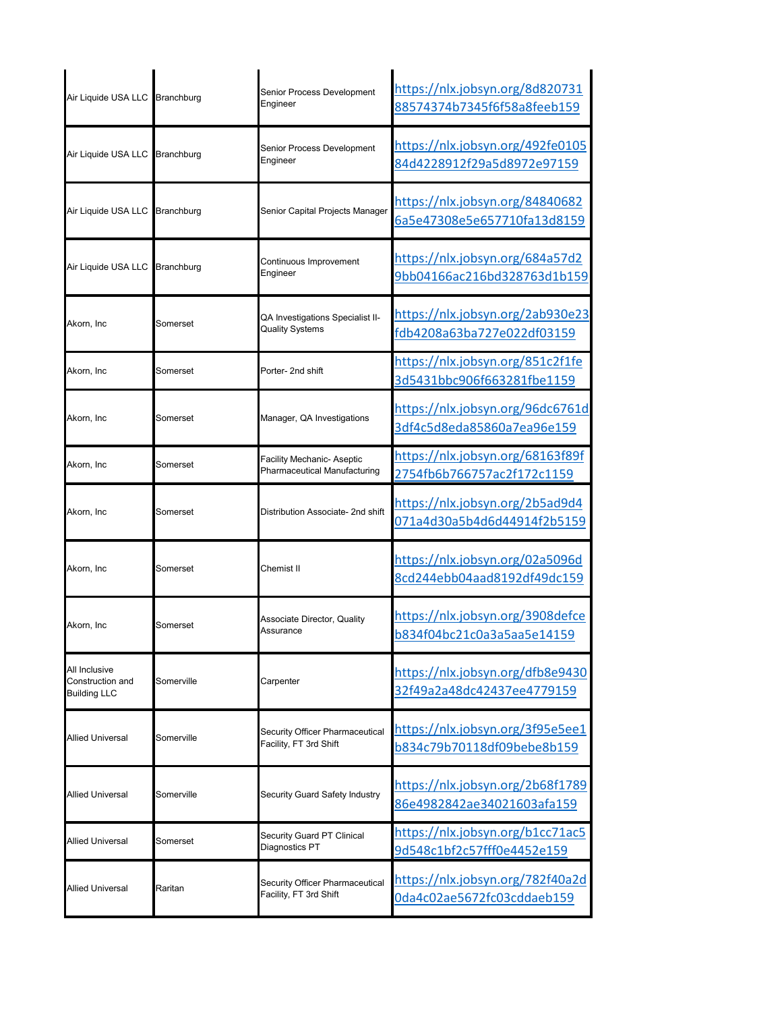| Air Liquide USA LLC                                      | Branchburg        | Senior Process Development<br>Engineer                                   | https://nlx.jobsyn.org/8d820731<br>88574374b7345f6f58a8feeb159 |
|----------------------------------------------------------|-------------------|--------------------------------------------------------------------------|----------------------------------------------------------------|
| Air Liquide USA LLC                                      | <b>Branchburg</b> | Senior Process Development<br>Engineer                                   | https://nlx.jobsyn.org/492fe0105<br>84d4228912f29a5d8972e97159 |
| Air Liquide USA LLC                                      | Branchburg        | Senior Capital Projects Manager                                          | https://nlx.jobsyn.org/84840682<br>6a5e47308e5e657710fa13d8159 |
| Air Liquide USA LLC                                      | <b>Branchburg</b> | Continuous Improvement<br>Engineer                                       | https://nlx.jobsyn.org/684a57d2<br>9bb04166ac216bd328763d1b159 |
| Akorn, Inc                                               | Somerset          | QA Investigations Specialist II-<br><b>Quality Systems</b>               | https://nlx.jobsyn.org/2ab930e23<br>fdb4208a63ba727e022df03159 |
| Akorn, Inc                                               | Somerset          | Porter- 2nd shift                                                        | https://nlx.jobsyn.org/851c2f1fe<br>3d5431bbc906f663281fbe1159 |
| Akorn, Inc                                               | Somerset          | Manager, QA Investigations                                               | https://nlx.jobsyn.org/96dc6761d<br>3df4c5d8eda85860a7ea96e159 |
| Akorn, Inc                                               | Somerset          | <b>Facility Mechanic- Aseptic</b><br><b>Pharmaceutical Manufacturing</b> | https://nlx.jobsyn.org/68163f89f<br>2754fb6b766757ac2f172c1159 |
| Akorn, Inc                                               | Somerset          | Distribution Associate- 2nd shift                                        | https://nlx.jobsyn.org/2b5ad9d4<br>071a4d30a5b4d6d44914f2b5159 |
| Akorn, Inc                                               | Somerset          | Chemist II                                                               | https://nlx.jobsyn.org/02a5096d<br>8cd244ebb04aad8192df49dc159 |
| Akorn, Inc                                               | Somerset          | <b>Associate Director, Quality</b><br>Assurance                          | https://nlx.jobsyn.org/3908defce<br>b834f04bc21c0a3a5aa5e14159 |
| All Inclusive<br>Construction and<br><b>Building LLC</b> | Somerville        | Carpenter                                                                | https://nlx.jobsyn.org/dfb8e9430<br>32f49a2a48dc42437ee4779159 |
| <b>Allied Universal</b>                                  | Somerville        | Security Officer Pharmaceutical<br>Facility, FT 3rd Shift                | https://nlx.jobsyn.org/3f95e5ee1<br>b834c79b70118df09bebe8b159 |
| <b>Allied Universal</b>                                  | Somerville        | Security Guard Safety Industry                                           | https://nlx.jobsyn.org/2b68f1789<br>86e4982842ae34021603afa159 |
| Allied Universal                                         | Somerset          | <b>Security Guard PT Clinical</b><br>Diagnostics PT                      | https://nlx.jobsyn.org/b1cc71ac5<br>9d548c1bf2c57fff0e4452e159 |
| <b>Allied Universal</b>                                  | Raritan           | Security Officer Pharmaceutical<br>Facility, FT 3rd Shift                | https://nlx.jobsyn.org/782f40a2d<br>0da4c02ae5672fc03cddaeb159 |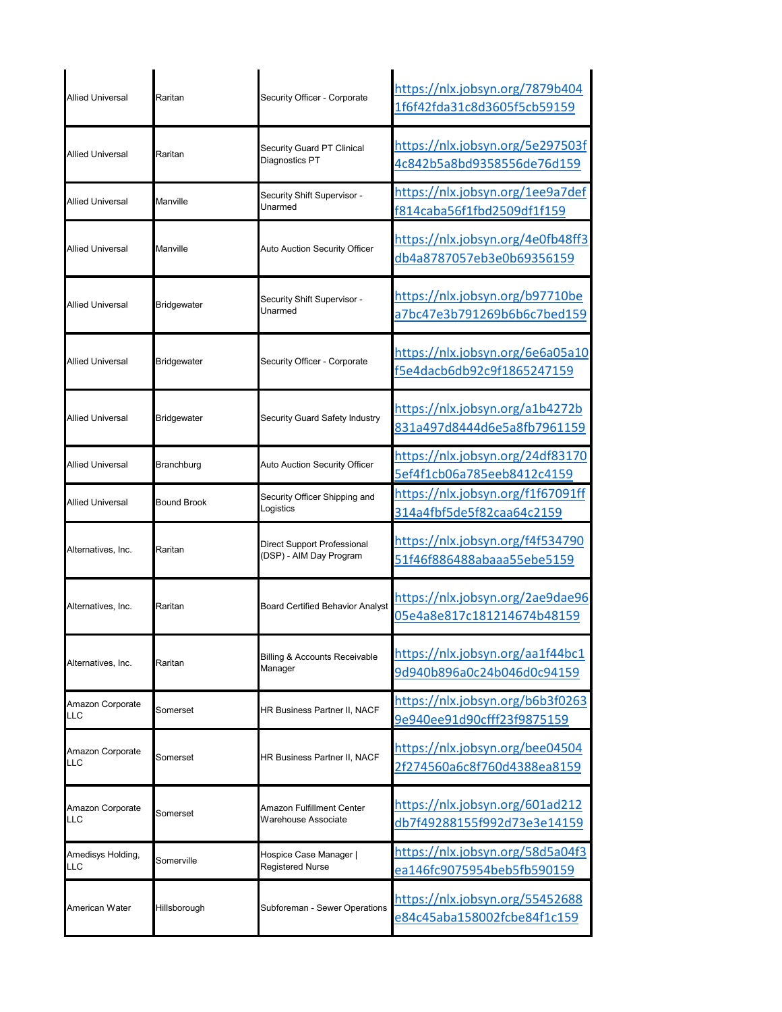| <b>Allied Universal</b>        | Raritan            | Security Officer - Corporate                          | https://nlx.jobsyn.org/7879b404<br>1f6f42fda31c8d3605f5cb59159 |
|--------------------------------|--------------------|-------------------------------------------------------|----------------------------------------------------------------|
| <b>Allied Universal</b>        | Raritan            | Security Guard PT Clinical<br>Diagnostics PT          | https://nlx.jobsyn.org/5e297503f<br>4c842b5a8bd9358556de76d159 |
| Allied Universal               | Manville           | Security Shift Supervisor -<br>Jnarmed                | https://nlx.jobsyn.org/1ee9a7def<br>f814caba56f1fbd2509df1f159 |
| <b>Allied Universal</b>        | Manville           | Auto Auction Security Officer                         | https://nlx.jobsyn.org/4e0fb48ff3<br>db4a8787057eb3e0b69356159 |
| <b>Allied Universal</b>        | <b>Bridgewater</b> | Security Shift Supervisor -<br>Jnarmed                | https://nlx.jobsyn.org/b97710be<br>a7bc47e3b791269b6b6c7bed159 |
| <b>Allied Universal</b>        | <b>Bridgewater</b> | Security Officer - Corporate                          | https://nlx.jobsyn.org/6e6a05a10<br>f5e4dacb6db92c9f1865247159 |
| <b>Allied Universal</b>        | <b>Bridgewater</b> | Security Guard Safety Industry                        | https://nlx.jobsyn.org/a1b4272b<br>831a497d8444d6e5a8fb7961159 |
| <b>Allied Universal</b>        | Branchburg         | <b>Auto Auction Security Officer</b>                  | https://nlx.jobsyn.org/24df83170<br>5ef4f1cb06a785eeb8412c4159 |
| <b>Allied Universal</b>        | <b>Bound Brook</b> | Security Officer Shipping and<br>Logistics            | https://nlx.jobsyn.org/f1f67091ff<br>314a4fbf5de5f82caa64c2159 |
| Alternatives, Inc.             | Raritan            | Direct Support Professional<br>DSP) - AIM Day Program | https://nlx.jobsyn.org/f4f534790<br>51f46f886488abaaa55ebe5159 |
| Alternatives, Inc.             | Raritan            | <b>Board Certified Behavior Analyst</b>               | https://nlx.jobsyn.org/2ae9dae96<br>05e4a8e817c181214674b48159 |
| Alternatives, Inc.             | Raritan            | <b>Billing &amp; Accounts Receivable</b><br>Manager   | https://nlx.jobsyn.org/aa1f44bc1<br>9d940b896a0c24b046d0c94159 |
| Amazon Corporate<br><b>LLC</b> | Somerset           | HR Business Partner II, NACF                          | https://nlx.jobsyn.org/b6b3f0263<br>9e940ee91d90cfff23f9875159 |
| Amazon Corporate<br><b>LLC</b> | Somerset           | HR Business Partner II, NACF                          | https://nlx.jobsyn.org/bee04504<br>2f274560a6c8f760d4388ea8159 |
| Amazon Corporate<br><b>LLC</b> | Somerset           | Amazon Fulfillment Center<br>Warehouse Associate      | https://nlx.jobsyn.org/601ad212<br>db7f49288155f992d73e3e14159 |
| Amedisys Holding,<br>LLC       | Somerville         | Hospice Case Manager  <br>Registered Nurse            | https://nlx.jobsyn.org/58d5a04f3<br>ea146fc9075954beb5fb590159 |
| American Water                 | Hillsborough       | Subforeman - Sewer Operations                         | https://nlx.jobsyn.org/55452688<br>e84c45aba158002fcbe84f1c159 |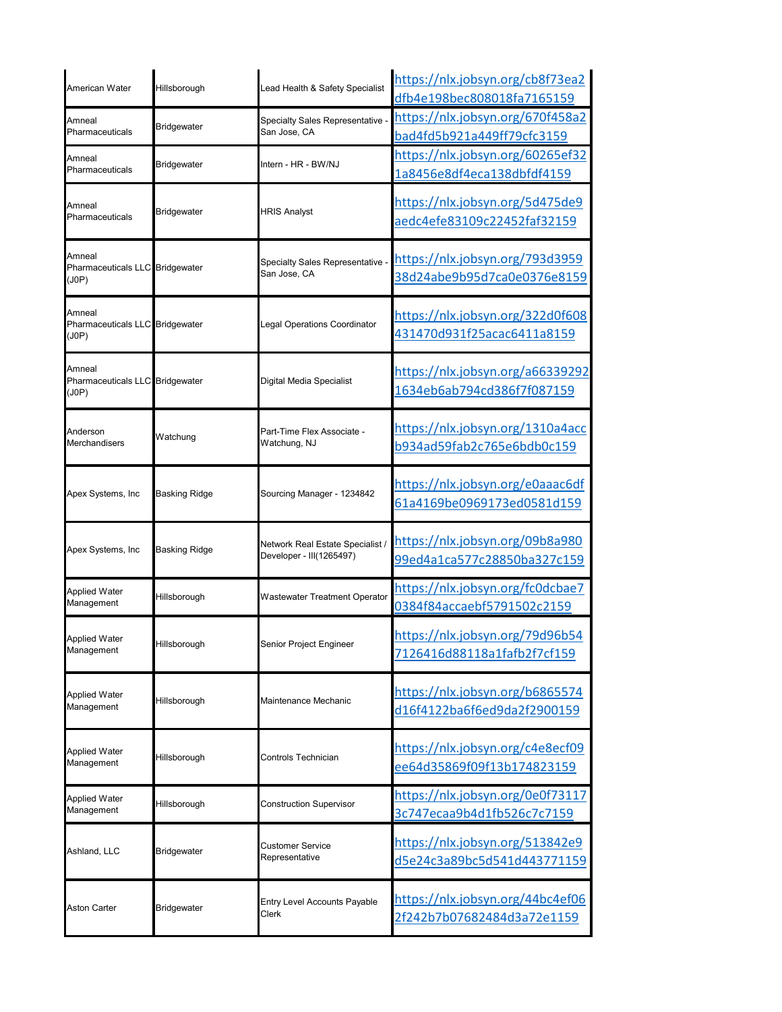| American Water                                     | Hillsborough         | Lead Health & Safety Specialist                              | https://nlx.jobsyn.org/cb8f73ea2<br>dfb4e198bec808018fa7165159 |
|----------------------------------------------------|----------------------|--------------------------------------------------------------|----------------------------------------------------------------|
| Amneal<br>Pharmaceuticals                          | Bridgewater          | Specialty Sales Representative -<br>San Jose, CA             | https://nlx.jobsyn.org/670f458a2<br>bad4fd5b921a449ff79cfc3159 |
| Amneal<br>Pharmaceuticals                          | Bridgewater          | Intern - HR - BW/NJ                                          | https://nlx.jobsyn.org/60265ef32<br>1a8456e8df4eca138dbfdf4159 |
| Amneal<br>Pharmaceuticals                          | Bridgewater          | <b>HRIS Analyst</b>                                          | https://nlx.jobsyn.org/5d475de9<br>aedc4efe83109c22452faf32159 |
| Amneal<br>Pharmaceuticals LLC Bridgewater<br>(J0P) |                      | Specialty Sales Representative -<br>San Jose, CA             | https://nlx.jobsyn.org/793d3959<br>38d24abe9b95d7ca0e0376e8159 |
| Amneal<br>Pharmaceuticals LLC Bridgewater<br>(J0P) |                      | Legal Operations Coordinator                                 | https://nlx.jobsyn.org/322d0f608<br>431470d931f25acac6411a8159 |
| Amneal<br>Pharmaceuticals LLC Bridgewater<br>(J0P) |                      | Digital Media Specialist                                     | https://nlx.jobsyn.org/a66339292<br>1634eb6ab794cd386f7f087159 |
| Anderson<br>Merchandisers                          | Watchung             | Part-Time Flex Associate -<br>Watchung, NJ                   | https://nlx.jobsyn.org/1310a4acc<br>b934ad59fab2c765e6bdb0c159 |
| Apex Systems, Inc                                  | <b>Basking Ridge</b> | Sourcing Manager - 1234842                                   | https://nlx.jobsyn.org/e0aaac6df<br>61a4169be0969173ed0581d159 |
| Apex Systems, Inc                                  | <b>Basking Ridge</b> | Network Real Estate Specialist /<br>Developer - III(1265497) | https://nlx.jobsyn.org/09b8a980<br>99ed4a1ca577c28850ba327c159 |
| <b>Applied Water</b><br>Management                 | Hillsborough         | Wastewater Treatment Operator                                | https://nlx.jobsyn.org/fc0dcbae7<br>0384f84accaebf5791502c2159 |
| <b>Applied Water</b><br>Management                 | Hillsborough         | Senior Project Engineer                                      | https://nlx.jobsyn.org/79d96b54<br>7126416d88118a1fafb2f7cf159 |
| <b>Applied Water</b><br>Management                 | Hillsborough         | Maintenance Mechanic                                         | https://nlx.jobsyn.org/b6865574<br>d16f4122ba6f6ed9da2f2900159 |
| <b>Applied Water</b><br>Management                 | Hillsborough         | Controls Technician                                          | https://nlx.jobsyn.org/c4e8ecf09<br>ee64d35869f09f13b174823159 |
| <b>Applied Water</b><br>Management                 | Hillsborough         | <b>Construction Supervisor</b>                               | https://nlx.jobsyn.org/0e0f73117<br>3c747ecaa9b4d1fb526c7c7159 |
| Ashland, LLC                                       | Bridgewater          | Customer Service<br>Representative                           | https://nlx.jobsyn.org/513842e9<br>d5e24c3a89bc5d541d443771159 |
| <b>Aston Carter</b>                                | Bridgewater          | Entry Level Accounts Payable<br>Clerk                        | https://nlx.jobsyn.org/44bc4ef06<br>2f242b7b07682484d3a72e1159 |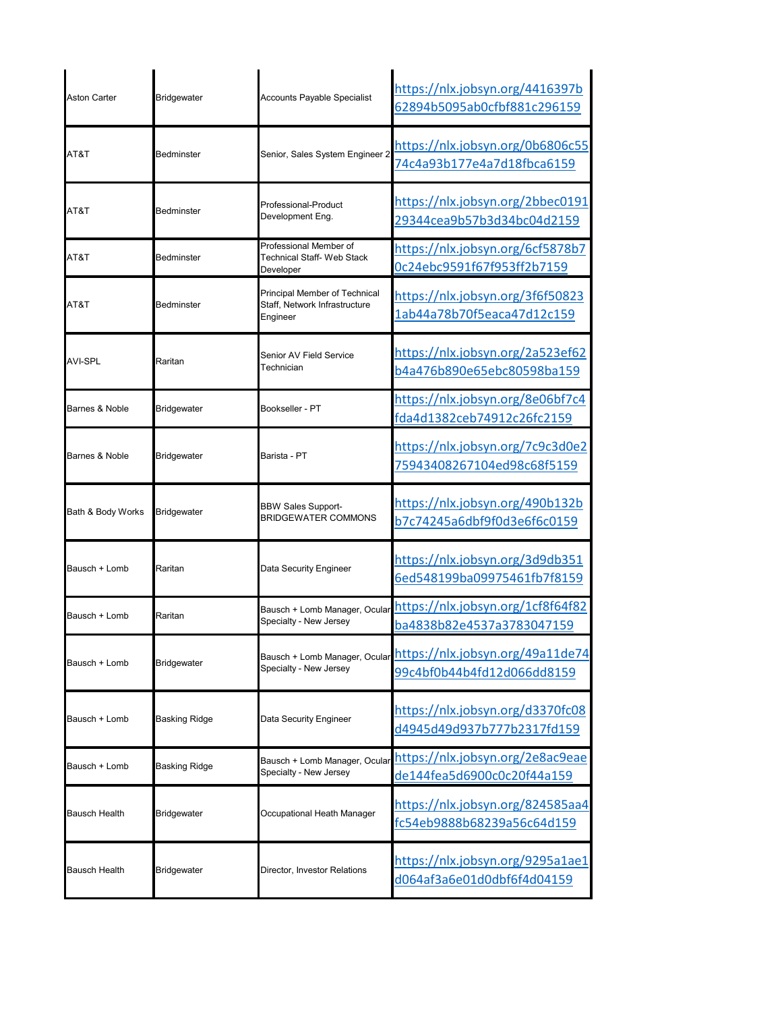| <b>Aston Carter</b>  | Bridgewater        | <b>Accounts Payable Specialist</b>                                         | https://nlx.jobsyn.org/4416397b<br>62894b5095ab0cfbf881c296159 |
|----------------------|--------------------|----------------------------------------------------------------------------|----------------------------------------------------------------|
| AT&T                 | Bedminster         | Senior, Sales System Engineer 2                                            | https://nlx.jobsyn.org/0b6806c55<br>74c4a93b177e4a7d18fbca6159 |
| AT&T                 | Bedminster         | Professional-Product<br>Development Eng.                                   | https://nlx.jobsyn.org/2bbec0191<br>29344cea9b57b3d34bc04d2159 |
| AT&T                 | Bedminster         | Professional Member of<br>Technical Staff- Web Stack<br>Developer          | https://nlx.jobsyn.org/6cf5878b7<br>0c24ebc9591f67f953ff2b7159 |
| AT&T                 | Bedminster         | Principal Member of Technical<br>Staff, Network Infrastructure<br>Engineer | https://nlx.jobsyn.org/3f6f50823<br>1ab44a78b70f5eaca47d12c159 |
| <b>AVI-SPL</b>       | Raritan            | Senior AV Field Service<br>Technician                                      | https://nlx.jobsyn.org/2a523ef62<br>b4a476b890e65ebc80598ba159 |
| Barnes & Noble       | Bridgewater        | Bookseller - PT                                                            | https://nlx.jobsyn.org/8e06bf7c4<br>fda4d1382ceb74912c26fc2159 |
| Barnes & Noble       | <b>Bridgewater</b> | Barista - PT                                                               | https://nlx.jobsyn.org/7c9c3d0e2<br>75943408267104ed98c68f5159 |
| Bath & Body Works    | Bridgewater        | <b>BBW Sales Support-</b><br><b>BRIDGEWATER COMMONS</b>                    | https://nlx.jobsyn.org/490b132b<br>b7c74245a6dbf9f0d3e6f6c0159 |
| Bausch + Lomb        | Raritan            | Data Security Engineer                                                     | https://nlx.jobsyn.org/3d9db351<br>6ed548199ba09975461fb7f8159 |
| Bausch + Lomb        | Raritan            | Bausch + Lomb Manager, Ocular<br>Specialty - New Jersey                    | https://nlx.jobsyn.org/1cf8f64f82<br>ba4838b82e4537a3783047159 |
| Bausch + Lomb        | <b>Bridgewater</b> | Bausch + Lomb Manager, Ocular<br>Specialty - New Jersey                    | https://nlx.jobsyn.org/49a11de74<br>99c4bf0b44b4fd12d066dd8159 |
| Bausch + Lomb        | Basking Ridge      | Data Security Engineer                                                     | https://nlx.jobsyn.org/d3370fc08<br>d4945d49d937b777b2317fd159 |
| Bausch + Lomb        | Basking Ridge      | Bausch + Lomb Manager, Ocular<br>Specialty - New Jersey                    | https://nlx.jobsyn.org/2e8ac9eae<br>de144fea5d6900c0c20f44a159 |
| <b>Bausch Health</b> | <b>Bridgewater</b> | Occupational Heath Manager                                                 | https://nlx.jobsyn.org/824585aa4<br>fc54eb9888b68239a56c64d159 |
| Bausch Health        | <b>Bridgewater</b> | Director, Investor Relations                                               | https://nlx.jobsyn.org/9295a1ae1<br>d064af3a6e01d0dbf6f4d04159 |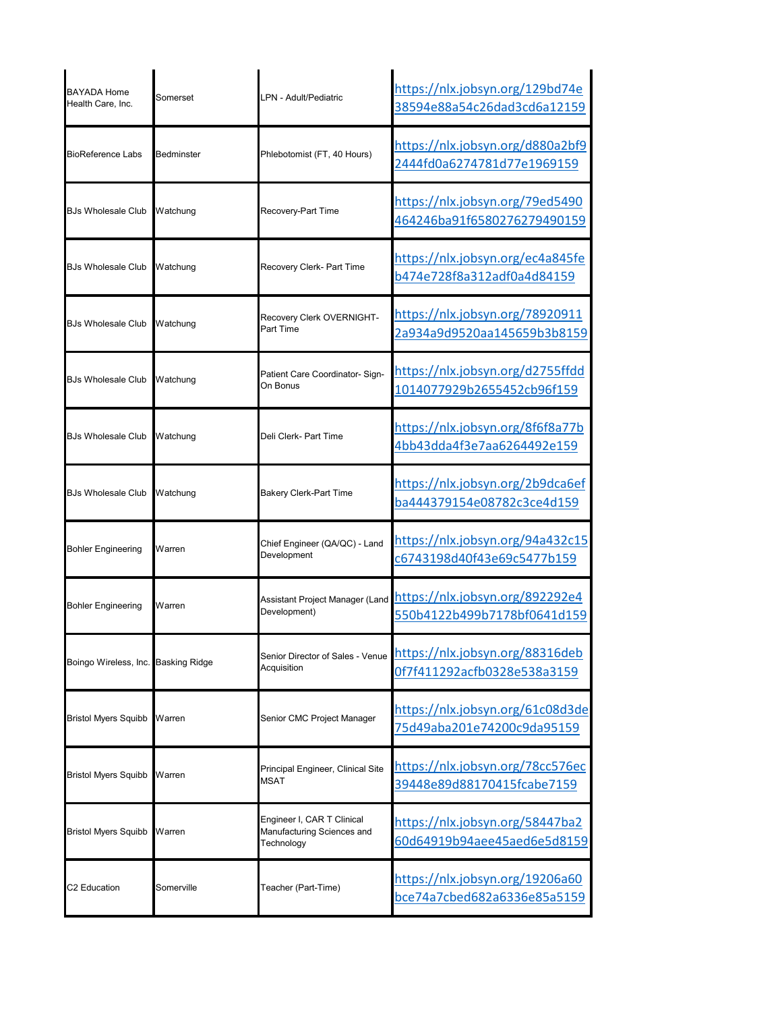| <b>BAYADA Home</b><br>Health Care, Inc. | Somerset   | I PN - Adult/Pediatric                                                 | https://nlx.jobsyn.org/129bd74e<br>38594e88a54c26dad3cd6a12159                                 |
|-----------------------------------------|------------|------------------------------------------------------------------------|------------------------------------------------------------------------------------------------|
| <b>BioReference Labs</b>                | Bedminster | Phlebotomist (FT, 40 Hours)                                            | https://nlx.jobsyn.org/d880a2bf9<br>2444fd0a6274781d77e1969159                                 |
| <b>BJs Wholesale Club</b>               | Watchung   | Recovery-Part Time                                                     | https://nlx.jobsyn.org/79ed5490<br>464246ba91f6580276279490159                                 |
| <b>BJs Wholesale Club</b>               | Watchung   | Recovery Clerk- Part Time                                              | https://nlx.jobsyn.org/ec4a845fe<br>b474e728f8a312adf0a4d84159                                 |
| <b>BJs Wholesale Club</b>               | Watchung   | Recovery Clerk OVERNIGHT-<br>Part Time                                 | https://nlx.jobsyn.org/78920911<br>2a934a9d9520aa145659b3b8159                                 |
| <b>BJs Wholesale Club</b>               | Watchung   | Patient Care Coordinator- Sign-<br>On Bonus                            | https://nlx.jobsyn.org/d2755ffdd<br>1014077929b2655452cb96f159                                 |
| <b>BJs Wholesale Club</b>               | Watchung   | Deli Clerk- Part Time                                                  | https://nlx.jobsyn.org/8f6f8a77b<br>4bb43dda4f3e7aa6264492e159                                 |
| <b>BJs Wholesale Club</b>               | Watchung   | <b>Bakery Clerk-Part Time</b>                                          | https://nlx.jobsyn.org/2b9dca6ef<br>ba444379154e08782c3ce4d159                                 |
| <b>Bohler Engineering</b>               | Warren     | Chief Engineer (QA/QC) - Land<br>Development                           | https://nlx.jobsyn.org/94a432c15<br>c6743198d40f43e69c5477b159                                 |
| Bohler Engineering                      |            | Development)                                                           | Assistant Project Manager (Land https://nlx.jobsyn.org/892292e4<br>550b4122b499b7178bf0641d159 |
| Boingo Wireless, Inc. Basking Ridge     |            | Senior Director of Sales - Venue<br>Acquisition                        | https://nlx.jobsyn.org/88316deb<br>0f7f411292acfb0328e538a3159                                 |
| <b>Bristol Myers Squibb</b>             | Warren     | Senior CMC Project Manager                                             | https://nlx.jobsyn.org/61c08d3de<br>75d49aba201e74200c9da95159                                 |
| <b>Bristol Myers Squibb</b>             | Warren     | Principal Engineer, Clinical Site<br>MSAT                              | https://nlx.jobsyn.org/78cc576ec<br>39448e89d88170415fcabe7159                                 |
| <b>Bristol Myers Squibb</b>             | Warren     | Engineer I, CAR T Clinical<br>Manufacturing Sciences and<br>Technology | https://nlx.jobsyn.org/58447ba2<br>60d64919b94aee45aed6e5d8159                                 |
| C2 Education                            | Somerville | Teacher (Part-Time)                                                    | https://nlx.jobsyn.org/19206a60<br>bce74a7cbed682a6336e85a5159                                 |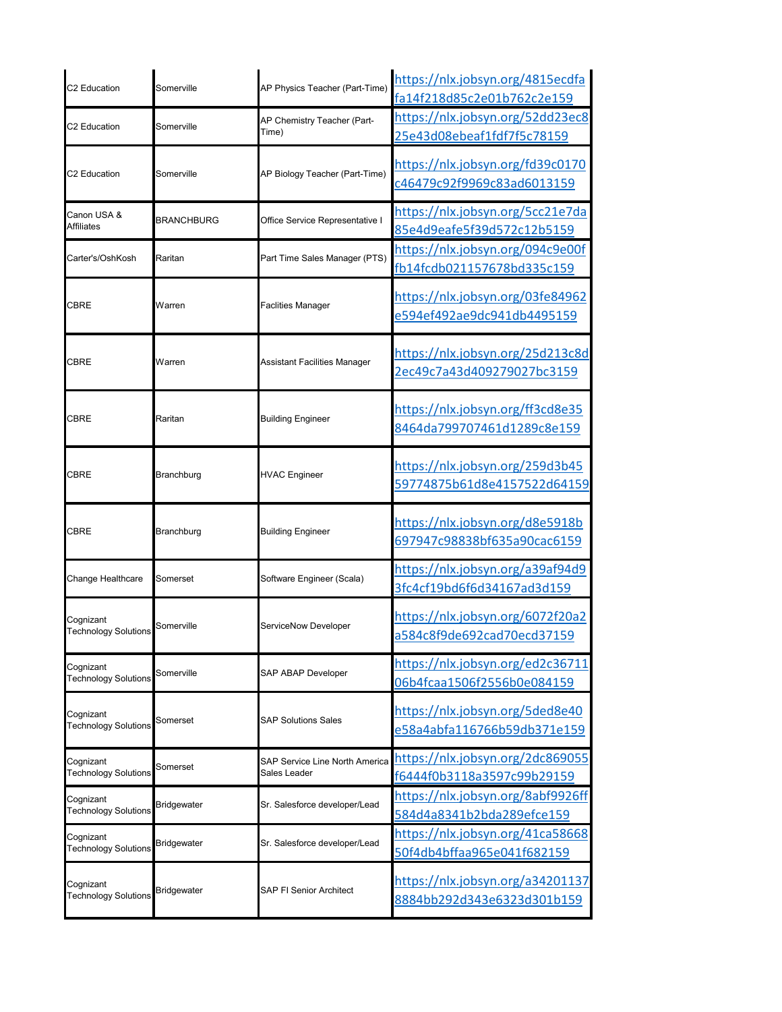| C2 Education                             | Somerville         | AP Physics Teacher (Part-Time)                        | https://nlx.jobsyn.org/4815ecdfa<br>fa14f218d85c2e01b762c2e159 |
|------------------------------------------|--------------------|-------------------------------------------------------|----------------------------------------------------------------|
| C2 Education                             | Somerville         | AP Chemistry Teacher (Part-<br>Time)                  | https://nlx.jobsyn.org/52dd23ec8<br>25e43d08ebeaf1fdf7f5c78159 |
| C2 Education                             | Somerville         | AP Biology Teacher (Part-Time)                        | https://nlx.jobsyn.org/fd39c0170<br>c46479c92f9969c83ad6013159 |
| Canon USA &<br><b>Affiliates</b>         | <b>BRANCHBURG</b>  | Office Service Representative I                       | https://nlx.jobsyn.org/5cc21e7da<br>85e4d9eafe5f39d572c12b5159 |
| Carter's/OshKosh                         | Raritan            | Part Time Sales Manager (PTS)                         | https://nlx.jobsyn.org/094c9e00f<br>fb14fcdb021157678bd335c159 |
| <b>CBRE</b>                              | Warren             | <b>Faclities Manager</b>                              | https://nlx.jobsyn.org/03fe84962<br>e594ef492ae9dc941db4495159 |
| CBRE                                     | Warren             | Assistant Facilities Manager                          | https://nlx.jobsyn.org/25d213c8d<br>2ec49c7a43d409279027bc3159 |
| <b>CBRE</b>                              | Raritan            | <b>Building Engineer</b>                              | https://nlx.jobsyn.org/ff3cd8e35<br>8464da799707461d1289c8e159 |
| CBRE                                     | Branchburg         | <b>HVAC Engineer</b>                                  | https://nlx.jobsyn.org/259d3b45<br>59774875b61d8e4157522d64159 |
| <b>CBRE</b>                              | Branchburg         | <b>Building Engineer</b>                              | https://nlx.jobsyn.org/d8e5918b<br>697947c98838bf635a90cac6159 |
| Change Healthcare                        | Somerset           | Software Engineer (Scala)                             | https://nlx.jobsyn.org/a39af94d9<br>3fc4cf19bd6f6d34167ad3d159 |
| Cognizant<br><b>Technology Solutions</b> | Somerville         | ServiceNow Developer                                  | https://nlx.jobsyn.org/6072f20a2<br>a584c8f9de692cad70ecd37159 |
| Cognizant<br><b>Technology Solutions</b> | Somerville         | <b>SAP ABAP Developer</b>                             | https://nlx.jobsyn.org/ed2c36711<br>06b4fcaa1506f2556b0e084159 |
| Cognizant<br><b>Technology Solutions</b> | Somerset           | <b>SAP Solutions Sales</b>                            | https://nlx.jobsyn.org/5ded8e40<br>e58a4abfa116766b59db371e159 |
| Cognizant<br><b>Technology Solutions</b> | Somerset           | <b>SAP Service Line North America</b><br>Sales Leader | https://nlx.jobsyn.org/2dc869055<br>f6444f0b3118a3597c99b29159 |
| Cognizant<br><b>Technology Solutions</b> | <b>Bridgewater</b> | Sr. Salesforce developer/Lead                         | https://nlx.jobsyn.org/8abf9926ff<br>584d4a8341b2bda289efce159 |
| Cognizant<br><b>Technology Solutions</b> | <b>Bridgewater</b> | Sr. Salesforce developer/Lead                         | https://nlx.jobsyn.org/41ca58668<br>50f4db4bffaa965e041f682159 |
| Cognizant<br><b>Technology Solutions</b> | <b>Bridgewater</b> | <b>SAP FI Senior Architect</b>                        | https://nlx.jobsyn.org/a34201137<br>8884bb292d343e6323d301b159 |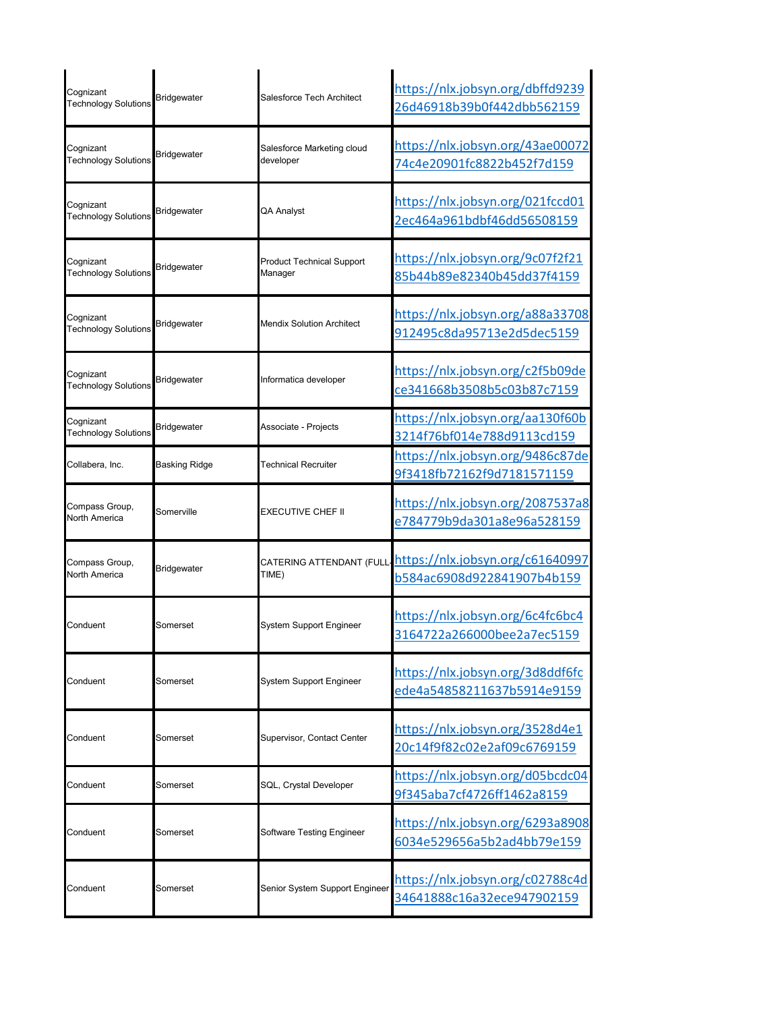| Cognizant<br><b>Technology Solutions</b> | <b>Bridgewater</b> | Salesforce Tech Architect                   | https://nlx.jobsyn.org/dbffd9239<br>26d46918b39b0f442dbb562159 |
|------------------------------------------|--------------------|---------------------------------------------|----------------------------------------------------------------|
| Cognizant<br><b>Technology Solutions</b> | Bridgewater        | Salesforce Marketing cloud<br>developer     | https://nlx.jobsyn.org/43ae00072<br>74c4e20901fc8822b452f7d159 |
| Cognizant<br><b>Technology Solutions</b> | <b>Bridgewater</b> | QA Analyst                                  | https://nlx.jobsyn.org/021fccd01<br>2ec464a961bdbf46dd56508159 |
| Cognizant<br><b>Technology Solutions</b> | Bridgewater        | <b>Product Technical Support</b><br>Manager | https://nlx.jobsyn.org/9c07f2f21<br>85b44b89e82340b45dd37f4159 |
| Cognizant<br><b>Technology Solutions</b> | Bridgewater        | Mendix Solution Architect                   | https://nlx.jobsyn.org/a88a33708<br>912495c8da95713e2d5dec5159 |
| Cognizant<br><b>Technology Solutions</b> | <b>Bridgewater</b> | Informatica developer                       | https://nlx.jobsyn.org/c2f5b09de<br>ce341668b3508b5c03b87c7159 |
| Cognizant<br><b>Technology Solutions</b> | Bridgewater        | Associate - Projects                        | https://nlx.jobsyn.org/aa130f60b<br>3214f76bf014e788d9113cd159 |
| Collabera, Inc.                          | Basking Ridge      | <b>Technical Recruiter</b>                  | https://nlx.jobsyn.org/9486c87de<br>9f3418fb72162f9d7181571159 |
| Compass Group,<br><b>North America</b>   | Somerville         | EXECUTIVE CHEF II                           | https://nlx.jobsyn.org/2087537a8<br>e784779b9da301a8e96a528159 |
| Compass Group,<br><b>North America</b>   | <b>Bridgewater</b> | CATERING ATTENDANT (FULL<br>TIME)           | https://nlx.jobsyn.org/c61640997<br>b584ac6908d922841907b4b159 |
| Conduent                                 | Somerset           | System Support Engineer                     | https://nlx.jobsyn.org/6c4fc6bc4<br>3164722a266000bee2a7ec5159 |
| Conduent                                 | Somerset           | <b>System Support Engineer</b>              | https://nlx.jobsyn.org/3d8ddf6fc<br>ede4a54858211637b5914e9159 |
| Conduent                                 | Somerset           | Supervisor, Contact Center                  | https://nlx.jobsyn.org/3528d4e1<br>20c14f9f82c02e2af09c6769159 |
| Conduent                                 | Somerset           | SQL, Crystal Developer                      | https://nlx.jobsyn.org/d05bcdc04<br>9f345aba7cf4726ff1462a8159 |
| Conduent                                 | Somerset           | Software Testing Engineer                   | https://nlx.jobsyn.org/6293a8908<br>6034e529656a5b2ad4bb79e159 |
| Conduent                                 | Somerset           | Senior System Support Engineer              | https://nlx.jobsyn.org/c02788c4d<br>34641888c16a32ece947902159 |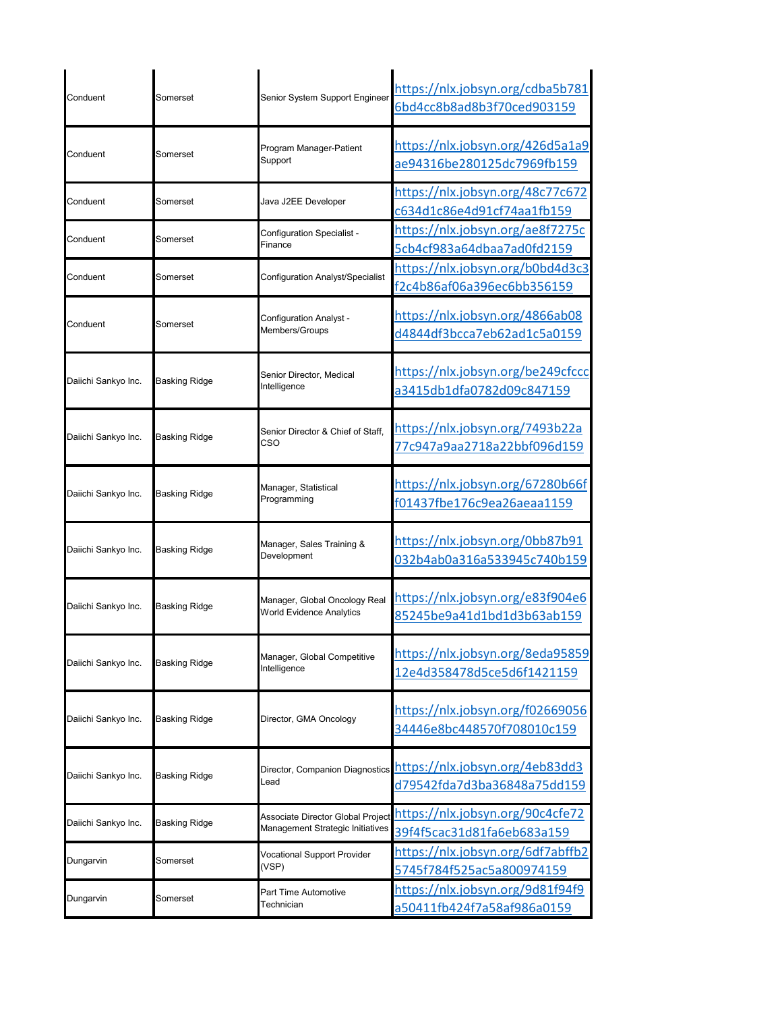| Conduent            | Somerset             | Senior System Support Engineer                                        | https://nlx.jobsyn.org/cdba5b781<br>6bd4cc8b8ad8b3f70ced903159 |
|---------------------|----------------------|-----------------------------------------------------------------------|----------------------------------------------------------------|
| Conduent            | Somerset             | Program Manager-Patient<br>Support                                    | https://nlx.jobsyn.org/426d5a1a9<br>ae94316be280125dc7969fb159 |
| Conduent            | Somerset             | Java J2EE Developer                                                   | https://nlx.jobsyn.org/48c77c672<br>c634d1c86e4d91cf74aa1fb159 |
| Conduent            | Somerset             | Configuration Specialist -<br>Finance                                 | https://nlx.jobsyn.org/ae8f7275c<br>5cb4cf983a64dbaa7ad0fd2159 |
| Conduent            | Somerset             | <b>Configuration Analyst/Specialist</b>                               | https://nlx.jobsyn.org/b0bd4d3c3<br>f2c4b86af06a396ec6bb356159 |
| Conduent            | Somerset             | Configuration Analyst -<br>Members/Groups                             | https://nlx.jobsyn.org/4866ab08<br>d4844df3bcca7eb62ad1c5a0159 |
| Daiichi Sankyo Inc. | Basking Ridge        | Senior Director, Medical<br>Intelligence                              | https://nlx.jobsyn.org/be249cfccc<br>a3415db1dfa0782d09c847159 |
| Daiichi Sankyo Inc. | <b>Basking Ridge</b> | Senior Director & Chief of Staff,<br>cso                              | https://nlx.jobsyn.org/7493b22a<br>77c947a9aa2718a22bbf096d159 |
| Daiichi Sankyo Inc. | Basking Ridge        | Manager, Statistical<br>Programming                                   | https://nlx.jobsyn.org/67280b66f<br>f01437fbe176c9ea26aeaa1159 |
| Daiichi Sankyo Inc. | <b>Basking Ridge</b> | Manager, Sales Training &<br>Development                              | https://nlx.jobsyn.org/0bb87b91<br>032b4ab0a316a533945c740b159 |
| Daiichi Sankyo Inc. | Basking Ridge        | Manager, Global Oncology Real<br><b>World Evidence Analytics</b>      | https://nlx.jobsyn.org/e83f904e6<br>85245be9a41d1bd1d3b63ab159 |
| Daiichi Sankyo Inc. | <b>Basking Ridge</b> | Manager, Global Competitive<br>Intelligence                           | https://nlx.jobsyn.org/8eda95859<br>12e4d358478d5ce5d6f1421159 |
| Daiichi Sankyo Inc. | <b>Basking Ridge</b> | Director, GMA Oncology                                                | https://nlx.jobsyn.org/f02669056<br>34446e8bc448570f708010c159 |
| Daiichi Sankyo Inc. | <b>Basking Ridge</b> | Director, Companion Diagnostics<br>Lead                               | https://nlx.jobsyn.org/4eb83dd3<br>d79542fda7d3ba36848a75dd159 |
| Daiichi Sankyo Inc. | Basking Ridge        | Associate Director Global Project<br>Management Strategic Initiatives | https://nlx.jobsyn.org/90c4cfe72<br>39f4f5cac31d81fa6eb683a159 |
| Dungarvin           | Somerset             | <b>Vocational Support Provider</b><br>(VSP)                           | https://nlx.jobsyn.org/6df7abffb2<br>5745f784f525ac5a800974159 |
| Dungarvin           | Somerset             | Part Time Automotive<br>Technician                                    | https://nlx.jobsyn.org/9d81f94f9<br>a50411fb424f7a58af986a0159 |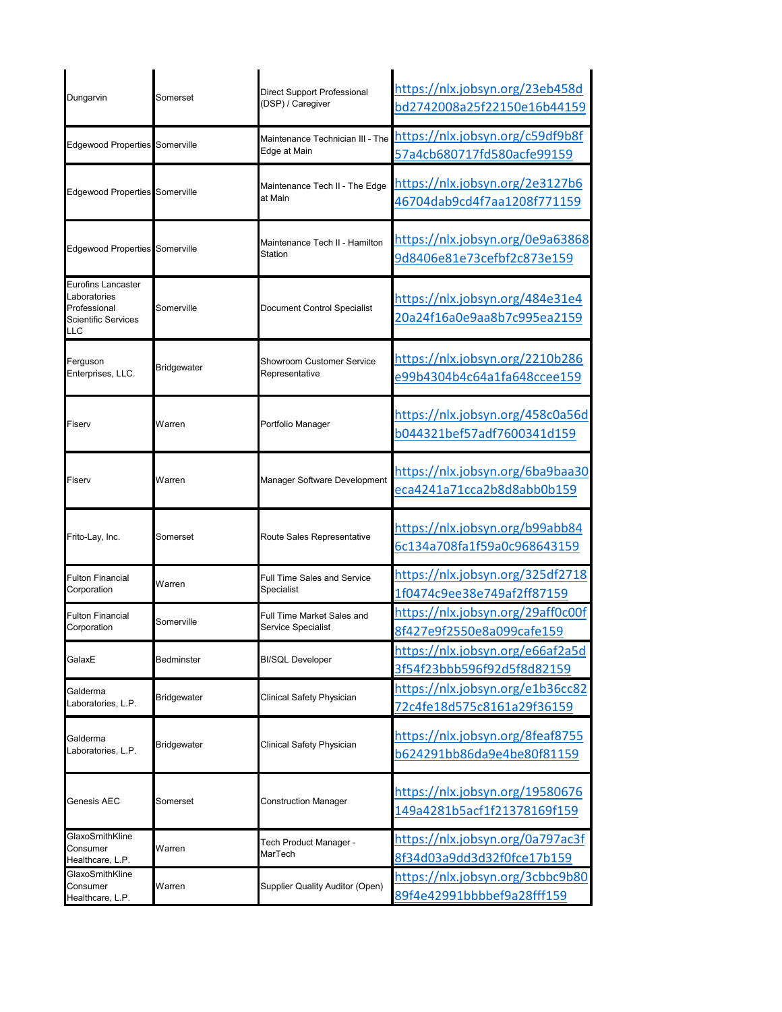| Dungarvin                                                                        | Somerset           | Direct Support Professional<br>(DSP) / Caregiver | https://nlx.jobsyn.org/23eb458d<br>bd2742008a25f22150e16b44159 |
|----------------------------------------------------------------------------------|--------------------|--------------------------------------------------|----------------------------------------------------------------|
| Edgewood Properties Somerville                                                   |                    | Maintenance Technician III - The<br>Edge at Main | https://nlx.jobsyn.org/c59df9b8f<br>57a4cb680717fd580acfe99159 |
| Edgewood Properties Somerville                                                   |                    | Maintenance Tech II - The Edge<br>at Main        | https://nlx.jobsyn.org/2e3127b6<br>46704dab9cd4f7aa1208f771159 |
| <b>Edgewood Properties Somerville</b>                                            |                    | Maintenance Tech II - Hamilton<br>Station        | https://nlx.jobsyn.org/0e9a63868<br>9d8406e81e73cefbf2c873e159 |
| Eurofins Lancaster<br>Laboratories<br>Professional<br>Scientific Services<br>LLC | Somerville         | Document Control Specialist                      | https://nlx.jobsyn.org/484e31e4<br>20a24f16a0e9aa8b7c995ea2159 |
| Ferguson<br>Enterprises, LLC.                                                    | <b>Bridgewater</b> | Showroom Customer Service<br>Representative      | https://nlx.jobsyn.org/2210b286<br>e99b4304b4c64a1fa648ccee159 |
| Fiserv                                                                           | Warren             | Portfolio Manager                                | https://nlx.jobsyn.org/458c0a56d<br>b044321bef57adf7600341d159 |
| Fiserv                                                                           | Warren             | Manager Software Development                     | https://nlx.jobsyn.org/6ba9baa30<br>eca4241a71cca2b8d8abb0b159 |
| Frito-Lay, Inc.                                                                  | Somerset           | Route Sales Representative                       | https://nlx.jobsyn.org/b99abb84<br>6c134a708fa1f59a0c968643159 |
| <b>Fulton Financial</b><br>Corporation                                           | Warren             | <b>Full Time Sales and Service</b><br>Specialist | https://nlx.jobsyn.org/325df2718<br>1f0474c9ee38e749af2ff87159 |
| <b>Fulton Financial</b><br>Corporation                                           | Somerville         | Full Time Market Sales and<br>Service Specialist | https://nlx.jobsyn.org/29aff0c00f<br>8f427e9f2550e8a099cafe159 |
| GalaxE                                                                           | Bedminster         | <b>BI/SQL Developer</b>                          | https://nlx.jobsyn.org/e66af2a5d<br>3f54f23bbb596f92d5f8d82159 |
| Galderma<br>Laboratories, L.P.                                                   | <b>Bridgewater</b> | Clinical Safety Physician                        | https://nlx.jobsyn.org/e1b36cc82<br>72c4fe18d575c8161a29f36159 |
| Galderma<br>Laboratories, L.P.                                                   | <b>Bridgewater</b> | Clinical Safety Physician                        | https://nlx.jobsyn.org/8feaf8755<br>b624291bb86da9e4be80f81159 |
| Genesis AEC                                                                      | Somerset           | <b>Construction Manager</b>                      | https://nlx.jobsyn.org/19580676<br>149a4281b5acf1f21378169f159 |
| GlaxoSmithKline<br>Consumer<br>Healthcare, L.P.                                  | Warren             | Tech Product Manager -<br>MarTech                | https://nlx.jobsyn.org/0a797ac3f<br>8f34d03a9dd3d32f0fce17b159 |
| GlaxoSmithKline<br>Consumer<br>Healthcare, L.P.                                  | Warren             | Supplier Quality Auditor (Open)                  | https://nlx.jobsyn.org/3cbbc9b80<br>89f4e42991bbbbef9a28fff159 |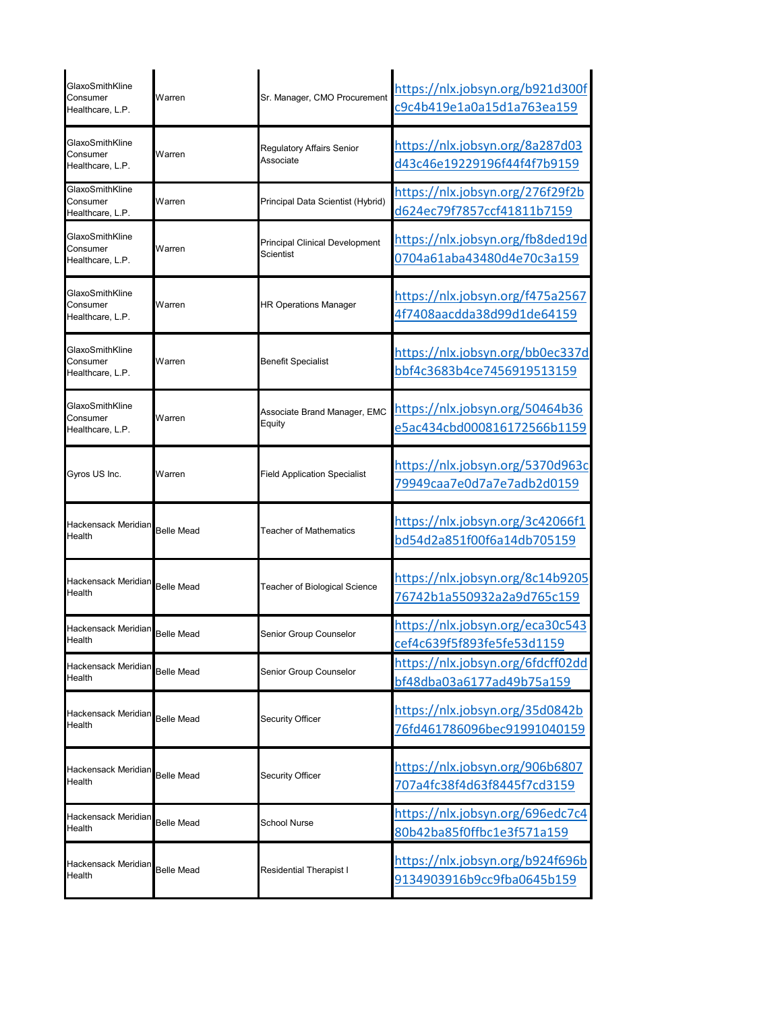| GlaxoSmithKline<br>Consumer<br>Healthcare, L.P. | Warren            | Sr. Manager, CMO Procurement                  | https://nlx.jobsyn.org/b921d300f<br>c9c4b419e1a0a15d1a763ea159 |
|-------------------------------------------------|-------------------|-----------------------------------------------|----------------------------------------------------------------|
| GlaxoSmithKline<br>Consumer<br>Healthcare, L.P. | Warren            | <b>Regulatory Affairs Senior</b><br>Associate | https://nlx.jobsyn.org/8a287d03<br>d43c46e19229196f44f4f7b9159 |
| GlaxoSmithKline<br>Consumer<br>Healthcare, L.P. | Warren            | Principal Data Scientist (Hybrid)             | https://nlx.jobsyn.org/276f29f2b<br>d624ec79f7857ccf41811b7159 |
| GlaxoSmithKline<br>Consumer<br>Healthcare, L.P. | Warren            | Principal Clinical Development<br>Scientist   | https://nlx.jobsyn.org/fb8ded19d<br>0704a61aba43480d4e70c3a159 |
| GlaxoSmithKline<br>Consumer<br>Healthcare, L.P. | Warren            | <b>HR Operations Manager</b>                  | https://nlx.jobsyn.org/f475a2567<br>4f7408aacdda38d99d1de64159 |
| GlaxoSmithKline<br>Consumer<br>Healthcare, L.P. | Warren            | Benefit Specialist                            | https://nlx.jobsyn.org/bb0ec337d<br>bbf4c3683b4ce7456919513159 |
| GlaxoSmithKline<br>Consumer<br>Healthcare, L.P. | Warren            | Associate Brand Manager, EMC<br>Equity        | https://nlx.jobsyn.org/50464b36<br>e5ac434cbd000816172566b1159 |
| Gyros US Inc.                                   | Warren            | <b>Field Application Specialist</b>           | https://nlx.jobsyn.org/5370d963c<br>79949caa7e0d7a7e7adb2d0159 |
| Hackensack Meridian<br>Health                   | <b>Belle Mead</b> | <b>Teacher of Mathematics</b>                 | https://nlx.jobsyn.org/3c42066f1<br>bd54d2a851f00f6a14db705159 |
| Hackensack Meridian<br>Health                   | <b>Belle Mead</b> | Teacher of Biological Science                 | https://nlx.jobsyn.org/8c14b9205<br>76742b1a550932a2a9d765c159 |
| Hackensack Meridian<br>Health                   | Belle Mead        | Senior Group Counselor                        | https://nlx.jobsyn.org/eca30c543<br>cef4c639f5f893fe5fe53d1159 |
| Hackensack Meridian<br>Health                   | <b>Belle Mead</b> | Senior Group Counselor                        | https://nlx.jobsyn.org/6fdcff02dd<br>bf48dba03a6177ad49b75a159 |
| Hackensack Meridian<br>Health                   | <b>Belle Mead</b> | Security Officer                              | https://nlx.jobsyn.org/35d0842b<br>76fd461786096bec91991040159 |
| Hackensack Meridian<br>Health                   | <b>Belle Mead</b> | <b>Security Officer</b>                       | https://nlx.jobsyn.org/906b6807<br>707a4fc38f4d63f8445f7cd3159 |
| Hackensack Meridian<br>Health                   | <b>Belle Mead</b> | School Nurse                                  | https://nlx.jobsyn.org/696edc7c4<br>80b42ba85f0ffbc1e3f571a159 |
| Hackensack Meridian<br>Health                   | <b>Belle Mead</b> | <b>Residential Therapist I</b>                | https://nlx.jobsyn.org/b924f696b<br>9134903916b9cc9fba0645b159 |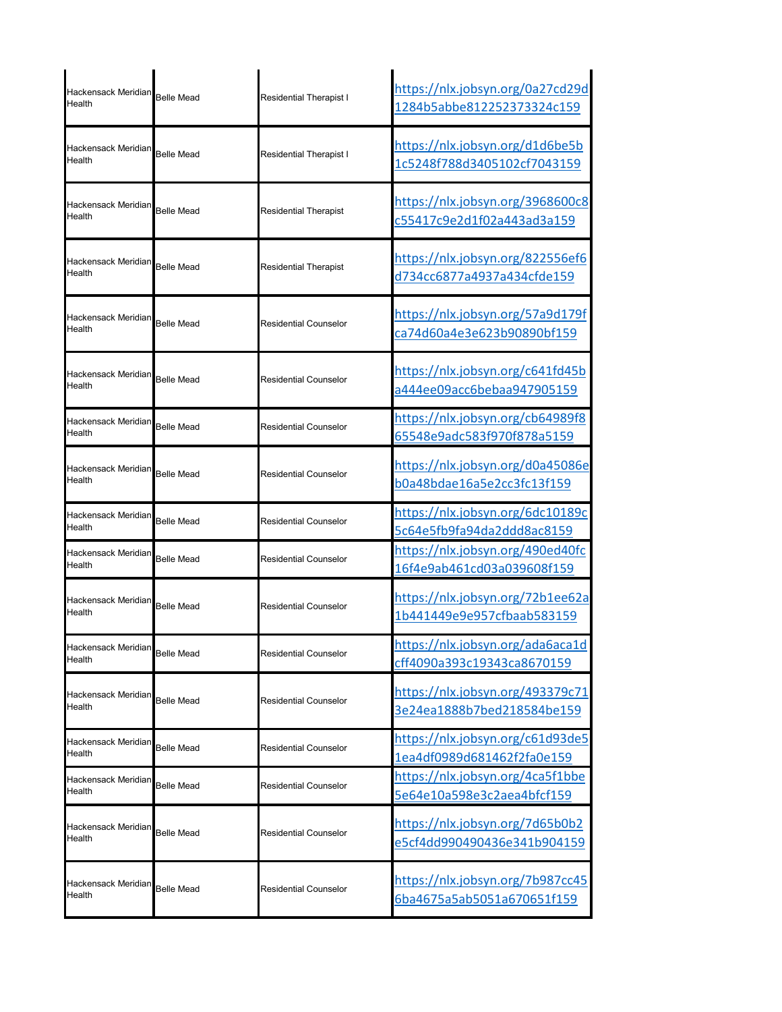| Hackensack Meridian Belle Mead<br>Health |                   | Residential Therapist I | https://nlx.jobsyn.org/0a27cd29d<br>1284b5abbe812252373324c159 |
|------------------------------------------|-------------------|-------------------------|----------------------------------------------------------------|
| Hackensack Meridian<br>Health            | <b>Belle Mead</b> | Residential Therapist I | https://nlx.jobsyn.org/d1d6be5b<br>1c5248f788d3405102cf7043159 |
| Hackensack Meridian<br>Health            | <b>Belle Mead</b> | Residential Therapist   | https://nlx.jobsyn.org/3968600c8<br>c55417c9e2d1f02a443ad3a159 |
| Hackensack Meridian<br>Health            | <b>Belle Mead</b> | Residential Therapist   | https://nlx.jobsyn.org/822556ef6<br>d734cc6877a4937a434cfde159 |
| Hackensack Meridian<br>Health            | <b>Belle Mead</b> | Residential Counselor   | https://nlx.jobsyn.org/57a9d179f<br>ca74d60a4e3e623b90890bf159 |
| Hackensack Meridian<br>Health            | <b>Belle Mead</b> | Residential Counselor   | https://nlx.jobsyn.org/c641fd45b<br>a444ee09acc6bebaa947905159 |
| Hackensack Meridian<br>Health            | <b>Belle Mead</b> | Residential Counselor   | https://nlx.jobsyn.org/cb64989f8<br>65548e9adc583f970f878a5159 |
| Hackensack Meridian<br>Health            | <b>Belle Mead</b> | Residential Counselor   | https://nlx.jobsyn.org/d0a45086e<br>b0a48bdae16a5e2cc3fc13f159 |
| Hackensack Meridian<br>Health            | <b>Belle Mead</b> | Residential Counselor   | https://nlx.jobsyn.org/6dc10189c<br>5c64e5fb9fa94da2ddd8ac8159 |
| Hackensack Meridian<br>Health            | <b>Belle Mead</b> | Residential Counselor   | https://nlx.jobsyn.org/490ed40fc<br>16f4e9ab461cd03a039608f159 |
| Hackensack Meridian<br>Health            | <b>Belle Mead</b> | Residential Counselor   | https://nlx.jobsyn.org/72b1ee62a<br>1b441449e9e957cfbaab583159 |
| Hackensack Meridian<br>Health            | <b>Belle Mead</b> | Residential Counselor   | https://nlx.jobsyn.org/ada6aca1d<br>cff4090a393c19343ca8670159 |
| Hackensack Meridian<br>Health            | <b>Belle Mead</b> | Residential Counselor   | https://nlx.jobsyn.org/493379c71<br>3e24ea1888b7bed218584be159 |
| Hackensack Meridian<br>Health            | <b>Belle Mead</b> | Residential Counselor   | https://nlx.jobsyn.org/c61d93de5<br>1ea4df0989d681462f2fa0e159 |
| Hackensack Meridian<br>Health            | <b>Belle Mead</b> | Residential Counselor   | https://nlx.jobsyn.org/4ca5f1bbe<br>5e64e10a598e3c2aea4bfcf159 |
| Hackensack Meridian<br>Health            | <b>Belle Mead</b> | Residential Counselor   | https://nlx.jobsyn.org/7d65b0b2<br>e5cf4dd990490436e341b904159 |
| Hackensack Meridian<br>Health            | Belle Mead        | Residential Counselor   | https://nlx.jobsyn.org/7b987cc45<br>6ba4675a5ab5051a670651f159 |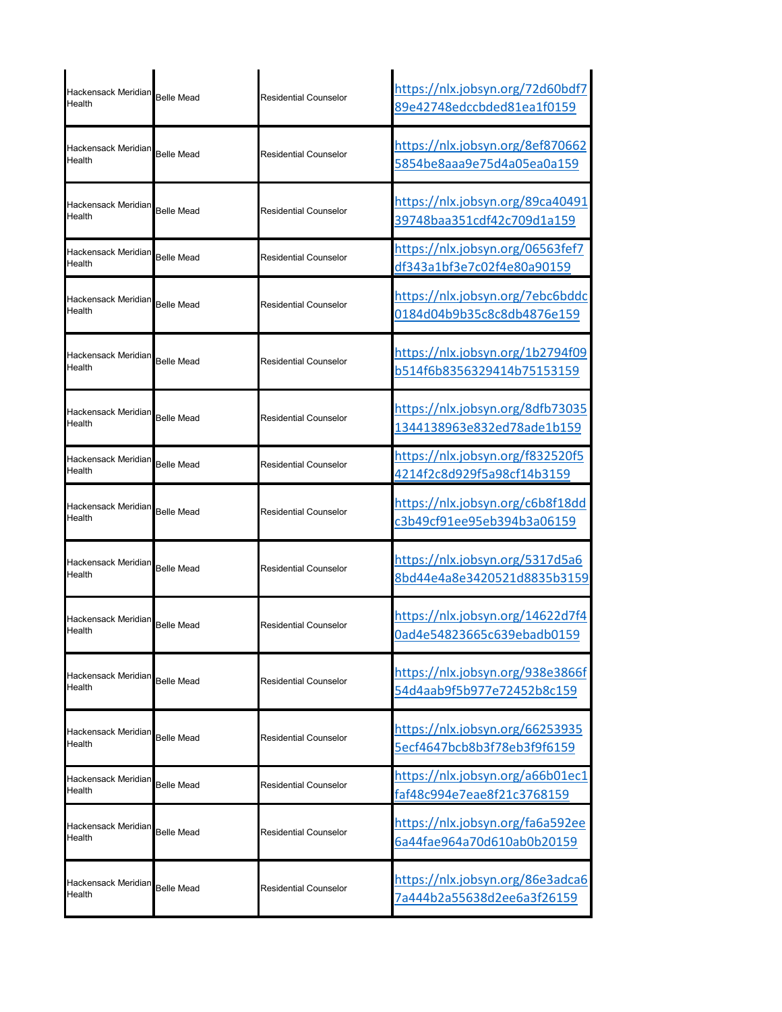| Hackensack Meridian<br>Health | <b>Belle Mead</b> | Residential Counselor | https://nlx.jobsyn.org/72d60bdf7<br>89e42748edccbded81ea1f0159         |
|-------------------------------|-------------------|-----------------------|------------------------------------------------------------------------|
| Hackensack Meridian<br>Health | <b>Belle Mead</b> | Residential Counselor | https://nlx.jobsyn.org/8ef870662<br>5854be8aaa9e75d4a05ea0a159         |
| Hackensack Meridian<br>Health | <b>Belle Mead</b> | Residential Counselor | https://nlx.jobsyn.org/89ca40491<br>39748baa351cdf42c709d1a159         |
| Hackensack Meridian<br>Health | <b>Belle Mead</b> | Residential Counselor | https://nlx.jobsyn.org/06563fef7<br>df343a1bf3e7c02f4e80a90159         |
| Hackensack Meridian<br>Health | <b>Belle Mead</b> | Residential Counselor | https://nlx.jobsyn.org/7ebc6bddc<br>0184d04b9b35c8c8db4876e159         |
| Hackensack Meridian<br>Health | <b>Belle Mead</b> | Residential Counselor | https://nlx.jobsyn.org/1b2794f09<br>b514f6b8356329414b75153159         |
| Hackensack Meridian<br>Health | <b>Belle Mead</b> | Residential Counselor | https://nlx.jobsyn.org/8dfb73035<br>1344138963e832ed78ade1b159         |
| Hackensack Meridian<br>Health | <b>Belle Mead</b> | Residential Counselor | https://nlx.jobsyn.org/f832520f5<br>4214f2c8d929f5a98cf14b3159         |
| Hackensack Meridian<br>Health | <b>Belle Mead</b> | Residential Counselor | <u> https://nlx.jobsyn.org/c6b8f18dd</u><br>c3b49cf91ee95eb394b3a06159 |
| Hackensack Meridian<br>Health | <b>Belle Mead</b> | Residential Counselor | https://nlx.jobsyn.org/5317d5a6<br>8bd44e4a8e3420521d8835b3159         |
| Hackensack Meridian<br>Health | <b>Belle Mead</b> | Residential Counselor | https://nlx.jobsyn.org/14622d7f4<br>0ad4e54823665c639ebadb0159         |
| Hackensack Meridian<br>Health | <b>Belle Mead</b> | Residential Counselor | https://nlx.jobsyn.org/938e3866f<br>54d4aab9f5b977e72452b8c159         |
| Hackensack Meridian<br>Health | <b>Belle Mead</b> | Residential Counselor | https://nlx.jobsyn.org/66253935<br>5ecf4647bcb8b3f78eb3f9f6159         |
| Hackensack Meridian<br>Health | <b>Belle Mead</b> | Residential Counselor | https://nlx.jobsyn.org/a66b01ec1<br>faf48c994e7eae8f21c3768159         |
| Hackensack Meridian<br>Health | <b>Belle Mead</b> | Residential Counselor | https://nlx.jobsyn.org/fa6a592ee<br>6a44fae964a70d610ab0b20159         |
| Hackensack Meridian<br>Health | <b>Belle Mead</b> | Residential Counselor | https://nlx.jobsyn.org/86e3adca6<br>7a444b2a55638d2ee6a3f26159         |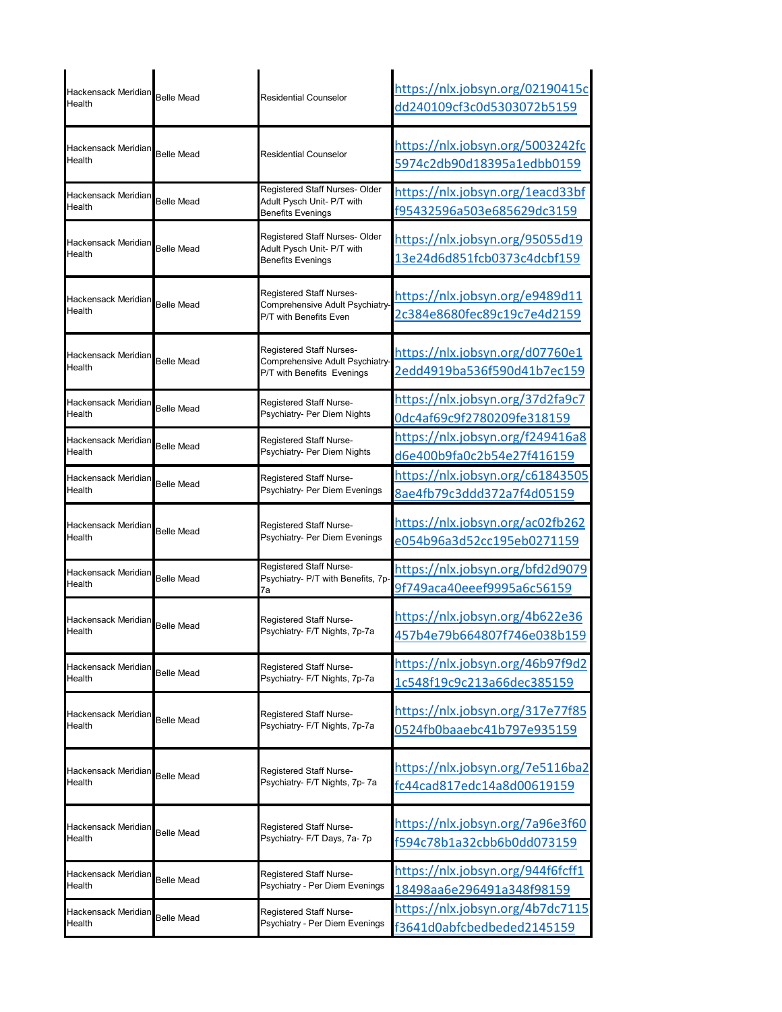| Hackensack Meridian<br>Health | <b>Belle Mead</b> | Residential Counselor                                                                     | https://nlx.jobsyn.org/02190415c<br>dd240109cf3c0d5303072b5159 |
|-------------------------------|-------------------|-------------------------------------------------------------------------------------------|----------------------------------------------------------------|
| Hackensack Meridian<br>Health | <b>Belle Mead</b> | Residential Counselor                                                                     | https://nlx.jobsyn.org/5003242fc<br>5974c2db90d18395a1edbb0159 |
| Hackensack Meridian<br>Health | <b>Belle Mead</b> | Registered Staff Nurses- Older<br>Adult Pysch Unit- P/T with<br><b>Benefits Evenings</b>  | https://nlx.jobsyn.org/1eacd33bf<br>f95432596a503e685629dc3159 |
| Hackensack Meridian<br>Health | <b>Belle Mead</b> | Registered Staff Nurses- Older<br>Adult Pysch Unit- P/T with<br><b>Benefits Evenings</b>  | https://nlx.jobsyn.org/95055d19<br>13e24d6d851fcb0373c4dcbf159 |
| Hackensack Meridian<br>Health | <b>Belle Mead</b> | Registered Staff Nurses-<br>Comprehensive Adult Psychiatry<br>P/T with Benefits Even      | https://nlx.jobsyn.org/e9489d11<br>2c384e8680fec89c19c7e4d2159 |
| Hackensack Meridian<br>Health | <b>Belle Mead</b> | Registered Staff Nurses-<br>Comprehensive Adult Psychiatry-<br>P/T with Benefits Evenings | https://nlx.jobsyn.org/d07760e1<br>2edd4919ba536f590d41b7ec159 |
| Hackensack Meridian           | <b>Belle Mead</b> | Registered Staff Nurse-                                                                   | https://nlx.jobsyn.org/37d2fa9c7                               |
| Health                        |                   | Psychiatry- Per Diem Nights                                                               | Odc4af69c9f2780209fe318159                                     |
| Hackensack Meridian           | <b>Belle Mead</b> | Registered Staff Nurse-                                                                   | https://nlx.jobsyn.org/f249416a8                               |
| Health                        |                   | Psychiatry- Per Diem Nights                                                               | d6e400b9fa0c2b54e27f416159                                     |
| Hackensack Meridian           | <b>Belle Mead</b> | Registered Staff Nurse-                                                                   | https://nlx.jobsyn.org/c61843505                               |
| Health                        |                   | Psychiatry- Per Diem Evenings                                                             | 8ae4fb79c3ddd372a7f4d05159                                     |
| Hackensack Meridian           | <b>Belle Mead</b> | Registered Staff Nurse-                                                                   | https://nlx.jobsyn.org/ac02fb262                               |
| Health                        |                   | Psychiatry- Per Diem Evenings                                                             | e054b96a3d52cc195eb0271159                                     |
| Hackensack Meridian<br>Health | <b>Belle Mead</b> | Registered Staff Nurse-<br>Psychiatry- P/T with Benefits, 7p<br>7a                        | https://nlx.jobsyn.org/bfd2d9079<br>9f749aca40eeef9995a6c56159 |
| Hackensack Meridian           | <b>Belle Mead</b> | Registered Staff Nurse-                                                                   | https://nlx.jobsyn.org/4b622e36                                |
| Health                        |                   | Psychiatry- F/T Nights, 7p-7a                                                             | 457b4e79b664807f746e038b159                                    |
| Hackensack Meridian           | <b>Belle Mead</b> | Registered Staff Nurse-                                                                   | https://nlx.jobsyn.org/46b97f9d2                               |
| Health                        |                   | Psychiatry- F/T Nights, 7p-7a                                                             | 1c548f19c9c213a66dec385159                                     |
| Hackensack Meridian           | <b>Belle Mead</b> | Registered Staff Nurse-                                                                   | https://nlx.jobsyn.org/317e77f85                               |
| Health                        |                   | Psychiatry- F/T Nights, 7p-7a                                                             | 0524fb0baaebc41b797e935159                                     |
| Hackensack Meridian           | <b>Belle Mead</b> | Registered Staff Nurse-                                                                   | https://nlx.jobsyn.org/7e5116ba2                               |
| Health                        |                   | Psychiatry- F/T Nights, 7p- 7a                                                            | fc44cad817edc14a8d00619159                                     |
| Hackensack Meridian           | <b>Belle Mead</b> | Registered Staff Nurse-                                                                   | https://nlx.jobsyn.org/7a96e3f60                               |
| Health                        |                   | Psychiatry- F/T Days, 7a- 7p                                                              | f594c78b1a32cbb6b0dd073159                                     |
| Hackensack Meridian           | <b>Belle Mead</b> | Registered Staff Nurse-                                                                   | https://nlx.jobsyn.org/944f6fcff1                              |
| Health                        |                   | Psychiatry - Per Diem Evenings                                                            | 18498aa6e296491a348f98159                                      |
| Hackensack Meridian           | Belle Mead        | Registered Staff Nurse-                                                                   | <u> https://nlx.jobsyn.org/4b7dc7115</u>                       |
| Health                        |                   | Psychiatry - Per Diem Evenings                                                            | f3641d0abfcbedbeded2145159                                     |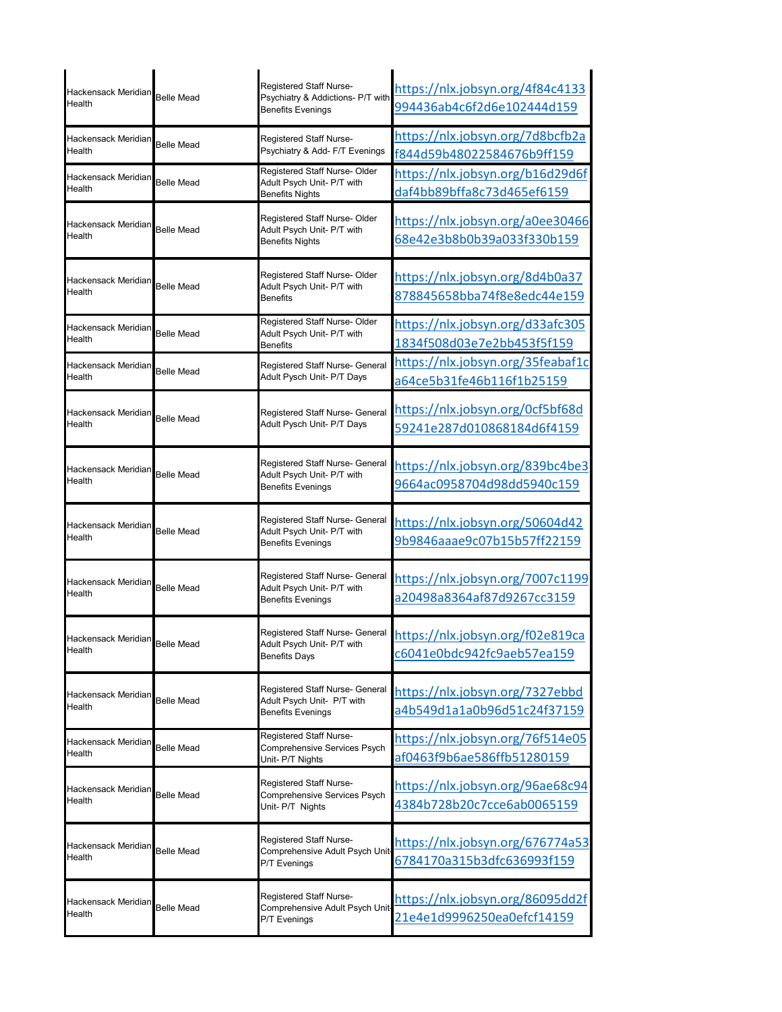| Hackensack Meridian<br>Health        | <b>Belle Mead</b> | Registered Staff Nurse-<br>Psychiatry & Addictions- P/T with<br><b>Benefits Evenings</b>  | https://nlx.jobsyn.org/4f84c4133<br>994436ab4c6f2d6e102444d159         |
|--------------------------------------|-------------------|-------------------------------------------------------------------------------------------|------------------------------------------------------------------------|
| Hackensack Meridian<br>Health        | <b>Belle Mead</b> | Registered Staff Nurse-<br>Psychiatry & Add- F/T Evenings                                 | https://nlx.jobsyn.org/7d8bcfb2a<br>f844d59b48022584676b9ff159         |
| Hackensack Meridian<br>Health        | <b>Belle Mead</b> | Registered Staff Nurse- Older<br>Adult Psych Unit- P/T with<br><b>Benefits Nights</b>     | https://nlx.jobsyn.org/b16d29d6f<br>daf4bb89bffa8c73d465ef6159         |
| Hackensack Meridian<br>Health        | <b>Belle Mead</b> | Registered Staff Nurse- Older<br>Adult Psych Unit- P/T with<br><b>Benefits Nights</b>     | https://nlx.jobsyn.org/a0ee30466<br>68e42e3b8b0b39a033f330b159         |
| Hackensack Meridian<br>Health        | <b>Belle Mead</b> | Registered Staff Nurse- Older<br>Adult Psych Unit- P/T with<br>Benefits                   | https://nlx.jobsyn.org/8d4b0a37<br>878845658bba74f8e8edc44e159         |
| Hackensack Meridian<br>Health        | <b>Belle Mead</b> | Registered Staff Nurse- Older<br>Adult Psych Unit- P/T with<br>Benefits                   | https://nlx.jobsyn.org/d33afc305<br>1834f508d03e7e2bb453f5f159         |
| Hackensack Meridian<br>Health        | <b>Belle Mead</b> | Registered Staff Nurse- General<br>Adult Pysch Unit- P/T Days                             | https://nlx.jobsyn.org/35feabaf1c<br>a64ce5b31fe46b116f1b25159         |
| Hackensack Meridian<br>Health        | <b>Belle Mead</b> | Registered Staff Nurse- General<br>Adult Pysch Unit- P/T Days                             | https://nlx.jobsyn.org/0cf5bf68d<br>59241e287d010868184d6f4159         |
| Hackensack Meridian<br>Health        | <b>Belle Mead</b> | Registered Staff Nurse- General<br>Adult Psych Unit- P/T with<br><b>Benefits Evenings</b> | <u> https://nlx.jobsyn.org/839bc4be3</u><br>9664ac0958704d98dd5940c159 |
| Hackensack Meridian<br>Health        | <b>Belle Mead</b> | Registered Staff Nurse- General<br>Adult Psych Unit- P/T with<br><b>Benefits Evenings</b> | https://nlx.jobsyn.org/50604d42<br>9b9846aaae9c07b15b57ff22159         |
| Hackensack Meridian<br>Health        | <b>Belle Mead</b> | Registered Staff Nurse- General<br>Adult Psych Unit- P/T with<br>Benefits Evenings        | <u> https://nlx.jobsyn.org/7007c1199</u><br>a20498a8364af87d9267cc3159 |
| Hackensack Meridian<br>Health        | <b>Belle Mead</b> | Registered Staff Nurse- General<br>Adult Psych Unit- P/T with<br><b>Benefits Days</b>     | https://nlx.jobsyn.org/f02e819ca<br>c6041e0bdc942fc9aeb57ea159         |
| Hackensack Meridian<br>Health        | <b>Belle Mead</b> | Registered Staff Nurse- General<br>Adult Psych Unit- P/T with<br><b>Benefits Evenings</b> | https://nlx.jobsyn.org/7327ebbd<br>a4b549d1a1a0b96d51c24f37159         |
| <b>Hackensack Meridian</b><br>Health | <b>Belle Mead</b> | Registered Staff Nurse-<br>Comprehensive Services Psych<br>Unit- P/T Nights               | <u> https://nlx.jobsyn.org/76f514e05</u><br>af0463f9b6ae586ffb51280159 |
| Hackensack Meridian<br>Health        | <b>Belle Mead</b> | Registered Staff Nurse-<br>Comprehensive Services Psych<br>Unit- P/T Nights               | https://nlx.jobsyn.org/96ae68c94<br>4384b728b20c7cce6ab0065159         |
| Hackensack Meridian<br>Health        | <b>Belle Mead</b> | Registered Staff Nurse-<br>Comprehensive Adult Psych Unit-<br>P/T Evenings                | https://nlx.jobsyn.org/676774a53<br>6784170a315b3dfc636993f159         |
| Hackensack Meridian<br>Health        | <b>Belle Mead</b> | Registered Staff Nurse-<br>Comprehensive Adult Psych Unit-<br>P/T Evenings                | <u> https://nlx.jobsyn.org/86095dd2f</u><br>21e4e1d9996250ea0efcf14159 |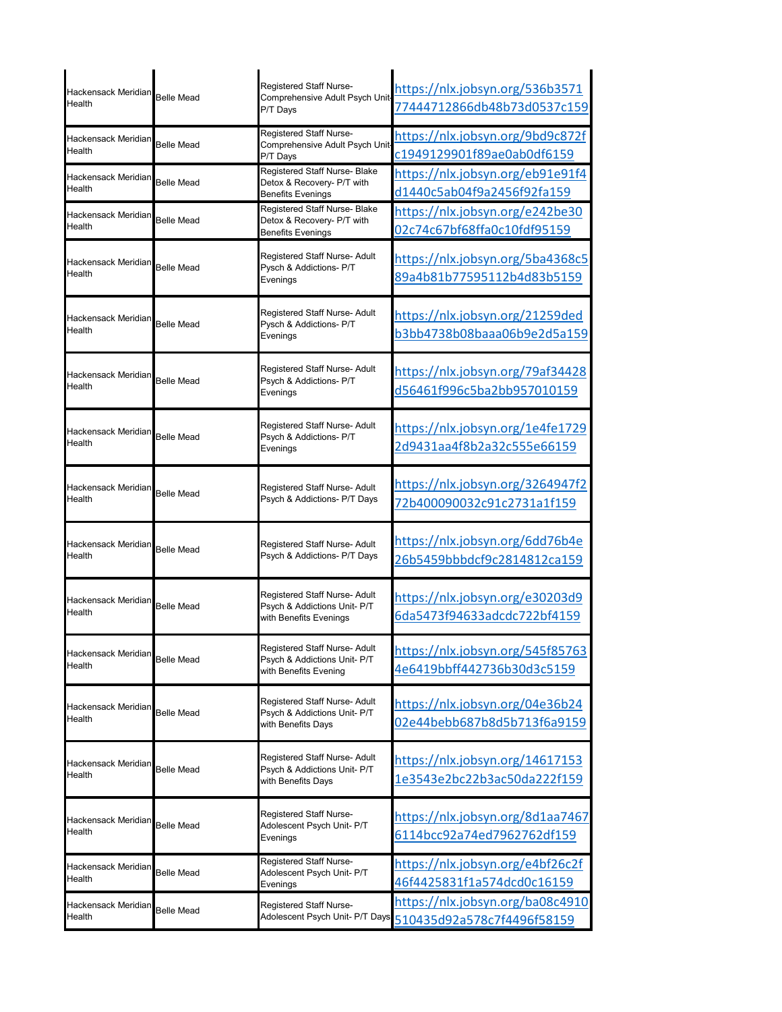| Hackensack Meridian<br>Health | <b>Belle Mead</b> | Registered Staff Nurse-<br>Comprehensive Adult Psych Unit                               | https://nlx.jobsyn.org/536b3571                                |
|-------------------------------|-------------------|-----------------------------------------------------------------------------------------|----------------------------------------------------------------|
|                               |                   | P/T Days                                                                                | 77444712866db48b73d0537c159                                    |
| Hackensack Meridian<br>Health | <b>Belle Mead</b> | Registered Staff Nurse-<br>Comprehensive Adult Psych Unit                               | https://nlx.jobsyn.org/9bd9c872f<br>c1949129901f89ae0ab0df6159 |
|                               |                   | P/T Days<br>Registered Staff Nurse- Blake                                               |                                                                |
| Hackensack Meridian<br>Health | <b>Belle Mead</b> | Detox & Recovery- P/T with                                                              | https://nlx.jobsyn.org/eb91e91f4<br>d1440c5ab04f9a2456f92fa159 |
|                               |                   | <b>Benefits Evenings</b><br>Registered Staff Nurse- Blake                               | https://nlx.jobsyn.org/e242be30                                |
| Hackensack Meridian<br>Health | <b>Belle Mead</b> | Detox & Recovery- P/T with<br><b>Benefits Evenings</b>                                  | 02c74c67bf68ffa0c10fdf95159                                    |
| Hackensack Meridian<br>Health | <b>Belle Mead</b> | Registered Staff Nurse- Adult<br>Pysch & Addictions- P/T<br>Evenings                    | https://nlx.jobsyn.org/5ba4368c5<br>89a4b81b77595112b4d83b5159 |
| Hackensack Meridian<br>Health | <b>Belle Mead</b> | Registered Staff Nurse- Adult<br>Pysch & Addictions- P/T<br>Evenings                    | https://nlx.jobsyn.org/21259ded<br>b3bb4738b08baaa06b9e2d5a159 |
| Hackensack Meridian<br>Health | <b>Belle Mead</b> | Registered Staff Nurse- Adult<br>Psych & Addictions- P/T<br>Evenings                    | https://nlx.jobsyn.org/79af34428<br>d56461f996c5ba2bb957010159 |
| Hackensack Meridian<br>Health | <b>Belle Mead</b> | Registered Staff Nurse- Adult<br>Psych & Addictions- P/T<br>Evenings                    | https://nlx.jobsyn.org/1e4fe1729<br>2d9431aa4f8b2a32c555e66159 |
| Hackensack Meridian<br>Health | <b>Belle Mead</b> | Registered Staff Nurse- Adult<br>Psych & Addictions- P/T Days                           | https://nlx.jobsyn.org/3264947f2<br>72b400090032c91c2731a1f159 |
| Hackensack Meridian<br>Health | <b>Belle Mead</b> | Registered Staff Nurse- Adult<br>Psych & Addictions- P/T Days                           | https://nlx.jobsyn.org/6dd76b4e<br>26b5459bbbdcf9c2814812ca159 |
| Hackensack Meridian<br>Health | <b>Belle Mead</b> | Registered Staff Nurse- Adult<br>Psych & Addictions Unit- P/T<br>with Benefits Evenings | https://nlx.jobsyn.org/e30203d9<br>6da5473f94633adcdc722bf4159 |
| Hackensack Meridian<br>Health | <b>Belle Mead</b> | Registered Staff Nurse- Adult<br>Psych & Addictions Unit- P/T<br>with Benefits Evening  | https://nlx.jobsyn.org/545f85763<br>4e6419bbff442736b30d3c5159 |
| Hackensack Meridian<br>Health | <b>Belle Mead</b> | Registered Staff Nurse- Adult<br>Psych & Addictions Unit- P/T<br>with Benefits Days     | https://nlx.jobsyn.org/04e36b24<br>02e44bebb687b8d5b713f6a9159 |
| Hackensack Meridian<br>Health | <b>Belle Mead</b> | Registered Staff Nurse- Adult<br>Psych & Addictions Unit- P/T<br>with Benefits Days     | https://nlx.jobsyn.org/14617153<br>1e3543e2bc22b3ac50da222f159 |
| Hackensack Meridian<br>Health | <b>Belle Mead</b> | Registered Staff Nurse-<br>Adolescent Psych Unit- P/T<br>Evenings                       | https://nlx.jobsyn.org/8d1aa7467<br>6114bcc92a74ed7962762df159 |
| Hackensack Meridian<br>Health | <b>Belle Mead</b> | Registered Staff Nurse-<br>Adolescent Psych Unit- P/T<br>Evenings                       | https://nlx.jobsyn.org/e4bf26c2f<br>46f4425831f1a574dcd0c16159 |
| Hackensack Meridian<br>Health | <b>Belle Mead</b> | Registered Staff Nurse-<br>Adolescent Psych Unit- P/T Days                              | https://nlx.jobsyn.org/ba08c4910<br>510435d92a578c7f4496f58159 |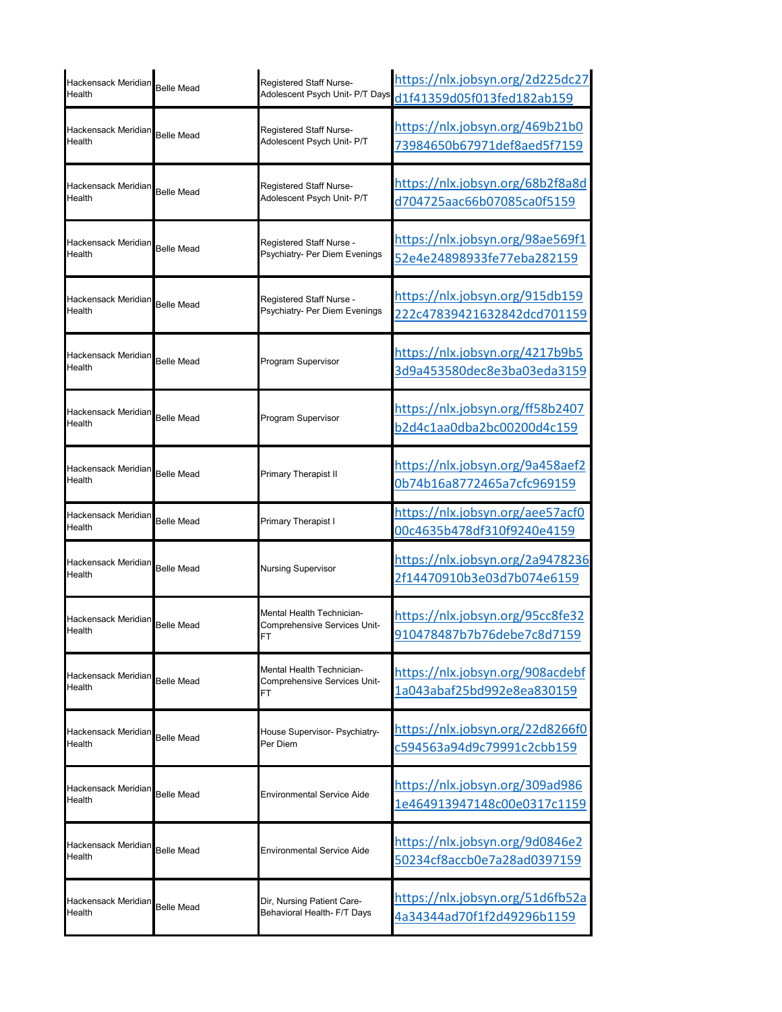| Hackensack Meridian<br>Health            | <b>Belle Mead</b> | Registered Staff Nurse-<br>Adolescent Psych Unit- P/T Days      | https://nlx.jobsyn.org/2d225dc27<br>d1f41359d05f013fed182ab159 |
|------------------------------------------|-------------------|-----------------------------------------------------------------|----------------------------------------------------------------|
| Hackensack Meridian<br>Health            | <b>Belle Mead</b> | Registered Staff Nurse-<br>Adolescent Psych Unit- P/T           | https://nlx.jobsyn.org/469b21b0<br>73984650b67971def8aed5f7159 |
| Hackensack Meridian<br>Health            | <b>Belle Mead</b> | Registered Staff Nurse-<br>Adolescent Psych Unit- P/T           | https://nlx.jobsyn.org/68b2f8a8d<br>d704725aac66b07085ca0f5159 |
| Hackensack Meridian<br>Health            | <b>Belle Mead</b> | Registered Staff Nurse -<br>Psychiatry- Per Diem Evenings       | https://nlx.jobsyn.org/98ae569f1<br>52e4e24898933fe77eba282159 |
| Hackensack Meridian<br>Health            | <b>Belle Mead</b> | Registered Staff Nurse -<br>Psychiatry- Per Diem Evenings       | https://nlx.jobsyn.org/915db159<br>222c47839421632842dcd701159 |
| Hackensack Meridian<br>Health            | <b>Belle Mead</b> | Program Supervisor                                              | https://nlx.jobsyn.org/4217b9b5<br>3d9a453580dec8e3ba03eda3159 |
| Hackensack Meridian<br>Health            | <b>Belle Mead</b> | Program Supervisor                                              | https://nlx.jobsyn.org/ff58b2407<br>b2d4c1aa0dba2bc00200d4c159 |
| Hackensack Meridian<br>Health            | <b>Belle Mead</b> | Primary Therapist II                                            | https://nlx.jobsyn.org/9a458aef2<br>0b74b16a8772465a7cfc969159 |
| Hackensack Meridian<br>Health            | <b>Belle Mead</b> | Primary Therapist I                                             | https://nlx.jobsyn.org/aee57acf0<br>00c4635b478df310f9240e4159 |
| Hackensack Meridian<br>Health            | <b>Belle Mead</b> | Nursing Supervisor                                              | https://nlx.jobsyn.org/2a9478236<br>2f14470910b3e03d7b074e6159 |
|                                          |                   |                                                                 |                                                                |
| Hackensack Meridian<br>Health            | <b>Belle Mead</b> | Mental Health Technician-<br>Comprehensive Services Unit-<br>FT | https://nlx.jobsyn.org/95cc8fe32<br>910478487b7b76debe7c8d7159 |
| Hackensack Meridian<br>Health            | <b>Belle Mead</b> | Mental Health Technician-<br>Comprehensive Services Unit-<br>FT | https://nlx.jobsyn.org/908acdebf<br>1a043abaf25bd992e8ea830159 |
| Hackensack Meridian<br>Health            | <b>Belle Mead</b> | House Supervisor- Psychiatry-<br>Per Diem                       | https://nlx.jobsyn.org/22d8266f0<br>c594563a94d9c79991c2cbb159 |
| Hackensack Meridian Belle Mead<br>Health |                   | Environmental Service Aide                                      | https://nlx.jobsyn.org/309ad986<br>1e464913947148c00e0317c1159 |
| Hackensack Meridian<br>Health            | <b>Belle Mead</b> | Environmental Service Aide                                      | https://nlx.jobsyn.org/9d0846e2<br>50234cf8accb0e7a28ad0397159 |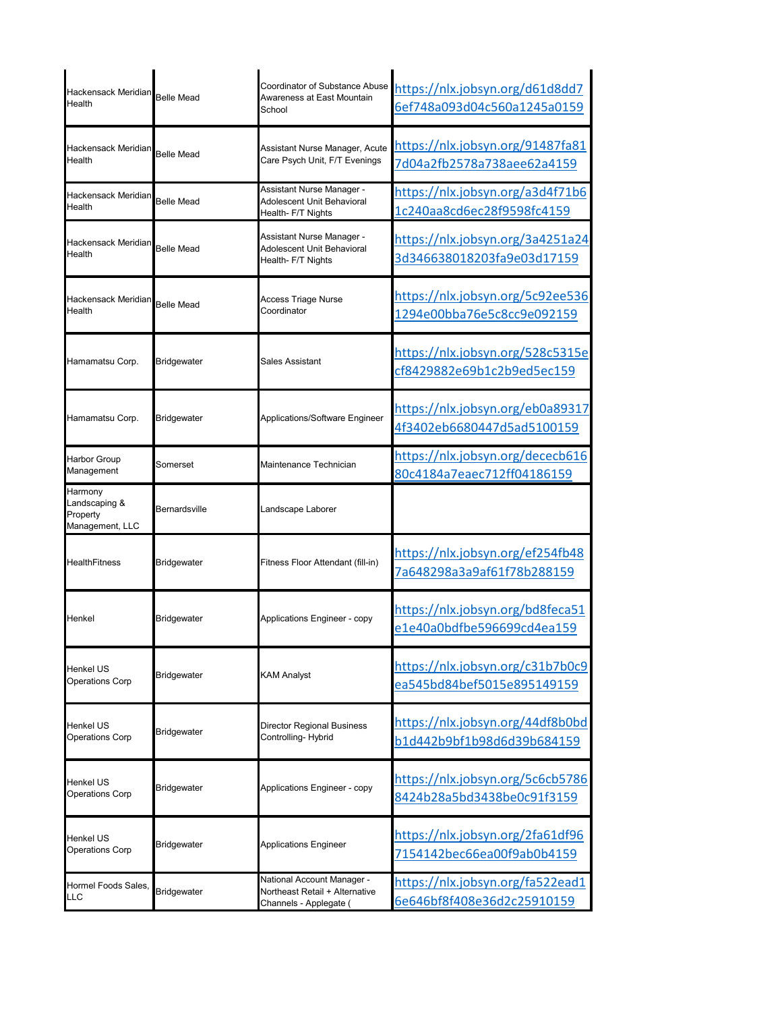| Hackensack Meridian<br>Health                           | <b>Belle Mead</b>  | Coordinator of Substance Abuse<br>Awareness at East Mountain<br>School                 | https://nlx.jobsyn.org/d61d8dd7<br>6ef748a093d04c560a1245a0159 |
|---------------------------------------------------------|--------------------|----------------------------------------------------------------------------------------|----------------------------------------------------------------|
| Hackensack Meridian <b>l</b><br>Health                  | <b>Belle Mead</b>  | Assistant Nurse Manager, Acute<br>Care Psych Unit, F/T Evenings                        | https://nlx.jobsyn.org/91487fa81<br>7d04a2fb2578a738aee62a4159 |
| Hackensack Meridian<br>Health                           | <b>Belle Mead</b>  | Assistant Nurse Manager -<br>Adolescent Unit Behavioral<br>Health- F/T Nights          | https://nlx.jobsyn.org/a3d4f71b6<br>1c240aa8cd6ec28f9598fc4159 |
| Hackensack Meridian<br>Health                           | <b>Belle Mead</b>  | Assistant Nurse Manager -<br>Adolescent Unit Behavioral<br>Health- F/T Nights          | https://nlx.jobsyn.org/3a4251a24<br>3d346638018203fa9e03d17159 |
| Hackensack Meridian<br>Health                           | <b>Belle Mead</b>  | Access Triage Nurse<br>Coordinator                                                     | https://nlx.jobsyn.org/5c92ee536<br>1294e00bba76e5c8cc9e092159 |
| Hamamatsu Corp.                                         | <b>Bridgewater</b> | Sales Assistant                                                                        | https://nlx.jobsyn.org/528c5315e<br>cf8429882e69b1c2b9ed5ec159 |
| Hamamatsu Corp.                                         | <b>Bridgewater</b> | Applications/Software Engineer                                                         | https://nlx.jobsyn.org/eb0a89317<br>4f3402eb6680447d5ad5100159 |
| <b>Harbor Group</b><br>Management                       | Somerset           | Maintenance Technician                                                                 | https://nlx.jobsyn.org/dececb616<br>80c4184a7eaec712ff04186159 |
| Harmony<br>Landscaping &<br>Property<br>Management, LLC | Bernardsville      | Landscape Laborer                                                                      |                                                                |
| HealthFitness                                           | <b>Bridgewater</b> | Fitness Floor Attendant (fill-in)                                                      | https://nlx.jobsyn.org/ef254fb48<br>7a648298a3a9af61f78b288159 |
| Henkel                                                  | <b>Bridgewater</b> | Applications Engineer - copy                                                           | https://nlx.jobsyn.org/bd8feca51<br>e1e40a0bdfbe596699cd4ea159 |
| Henkel US<br><b>Operations Corp</b>                     | <b>Bridgewater</b> | <b>KAM Analyst</b>                                                                     | https://nlx.jobsyn.org/c31b7b0c9<br>ea545bd84bef5015e895149159 |
| Henkel US<br>Operations Corp                            | Bridgewater        | <b>Director Regional Business</b><br>Controlling-Hybrid                                | https://nlx.jobsyn.org/44df8b0bd<br>b1d442b9bf1b98d6d39b684159 |
| Henkel US<br>Operations Corp                            | Bridgewater        | Applications Engineer - copy                                                           | https://nlx.jobsyn.org/5c6cb5786<br>8424b28a5bd3438be0c91f3159 |
| Henkel US<br>Operations Corp                            | Bridgewater        | <b>Applications Engineer</b>                                                           | https://nlx.jobsyn.org/2fa61df96<br>7154142bec66ea00f9ab0b4159 |
| Hormel Foods Sales,<br><b>LLC</b>                       | Bridgewater        | National Account Manager -<br>Northeast Retail + Alternative<br>Channels - Applegate ( | https://nlx.jobsyn.org/fa522ead1<br>6e646bf8f408e36d2c25910159 |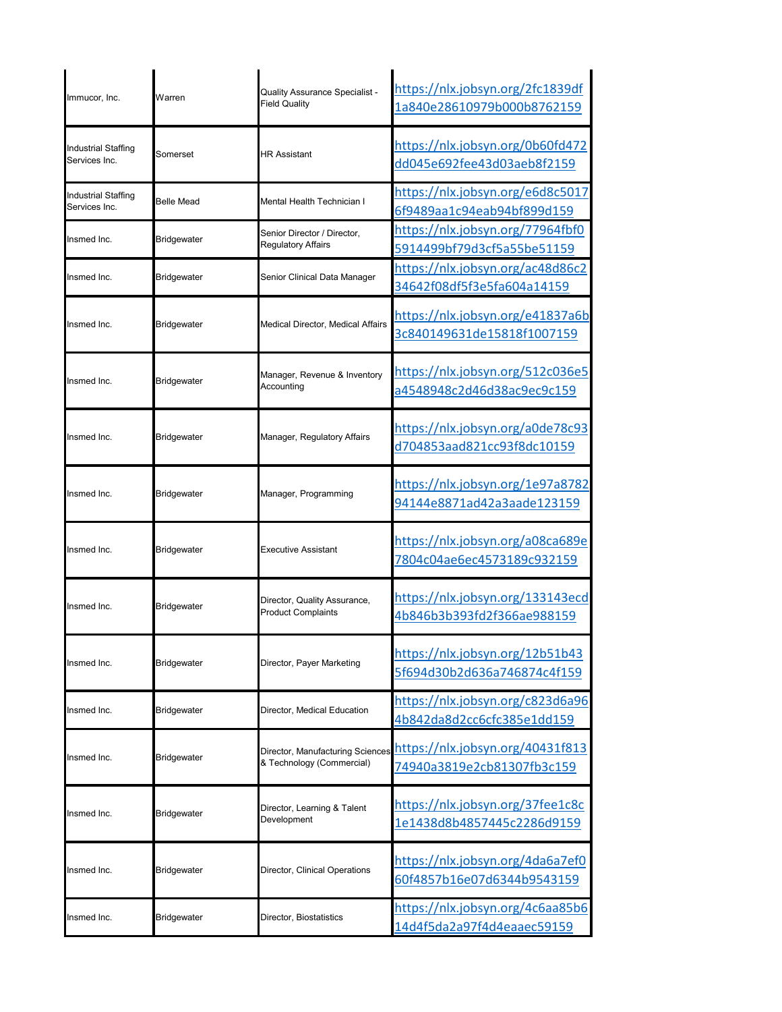| Immucor, Inc.                        | Warren             | Quality Assurance Specialist -<br><b>Field Quality</b>        | https://nlx.jobsyn.org/2fc1839df<br>1a840e28610979b000b8762159 |
|--------------------------------------|--------------------|---------------------------------------------------------------|----------------------------------------------------------------|
| Industrial Staffing<br>Services Inc. | Somerset           | <b>HR Assistant</b>                                           | https://nlx.jobsyn.org/0b60fd472<br>dd045e692fee43d03aeb8f2159 |
| Industrial Staffing<br>Services Inc. | <b>Belle Mead</b>  | Mental Health Technician I                                    | https://nlx.jobsyn.org/e6d8c5017<br>6f9489aa1c94eab94bf899d159 |
| Insmed Inc.                          | <b>Bridgewater</b> | Senior Director / Director,<br><b>Requlatory Affairs</b>      | https://nlx.jobsyn.org/77964fbf0<br>5914499bf79d3cf5a55be51159 |
| Insmed Inc.                          | Bridgewater        | Senior Clinical Data Manager                                  | https://nlx.jobsyn.org/ac48d86c2<br>34642f08df5f3e5fa604a14159 |
| Insmed Inc.                          | Bridgewater        | Medical Director, Medical Affairs                             | https://nlx.jobsyn.org/e41837a6b<br>3c840149631de15818f1007159 |
| Insmed Inc.                          | <b>Bridgewater</b> | Manager, Revenue & Inventory<br>Accounting                    | https://nlx.jobsyn.org/512c036e5<br>a4548948c2d46d38ac9ec9c159 |
| Insmed Inc.                          | <b>Bridgewater</b> | Manager, Regulatory Affairs                                   | https://nlx.jobsyn.org/a0de78c93<br>d704853aad821cc93f8dc10159 |
| Insmed Inc.                          | Bridgewater        | Manager, Programming                                          | https://nlx.jobsyn.org/1e97a8782<br>94144e8871ad42a3aade123159 |
| Insmed Inc.                          | <b>Bridgewater</b> | Executive Assistant                                           | https://nlx.jobsyn.org/a08ca689e<br>7804c04ae6ec4573189c932159 |
| Insmed Inc.                          | Bridgewater        | Director, Quality Assurance,<br><b>Product Complaints</b>     | https://nlx.jobsyn.org/133143ecd<br>4b846b3b393fd2f366ae988159 |
| Insmed Inc.                          | Bridgewater        | Director, Payer Marketing                                     | https://nlx.jobsyn.org/12b51b43<br>5f694d30b2d636a746874c4f159 |
| Insmed Inc.                          | <b>Bridgewater</b> | Director, Medical Education                                   | https://nlx.jobsyn.org/c823d6a96<br>4b842da8d2cc6cfc385e1dd159 |
| Insmed Inc.                          | Bridgewater        | Director, Manufacturing Sciences<br>& Technology (Commercial) | https://nlx.jobsyn.org/40431f813<br>74940a3819e2cb81307fb3c159 |
| Insmed Inc.                          | Bridgewater        | Director, Learning & Talent<br>Development                    | https://nlx.jobsyn.org/37fee1c8c<br>1e1438d8b4857445c2286d9159 |
| Insmed Inc.                          | <b>Bridgewater</b> | Director, Clinical Operations                                 | https://nlx.jobsyn.org/4da6a7ef0<br>60f4857b16e07d6344b9543159 |
| Insmed Inc.                          | Bridgewater        | Director, Biostatistics                                       | https://nlx.jobsyn.org/4c6aa85b6<br>14d4f5da2a97f4d4eaaec59159 |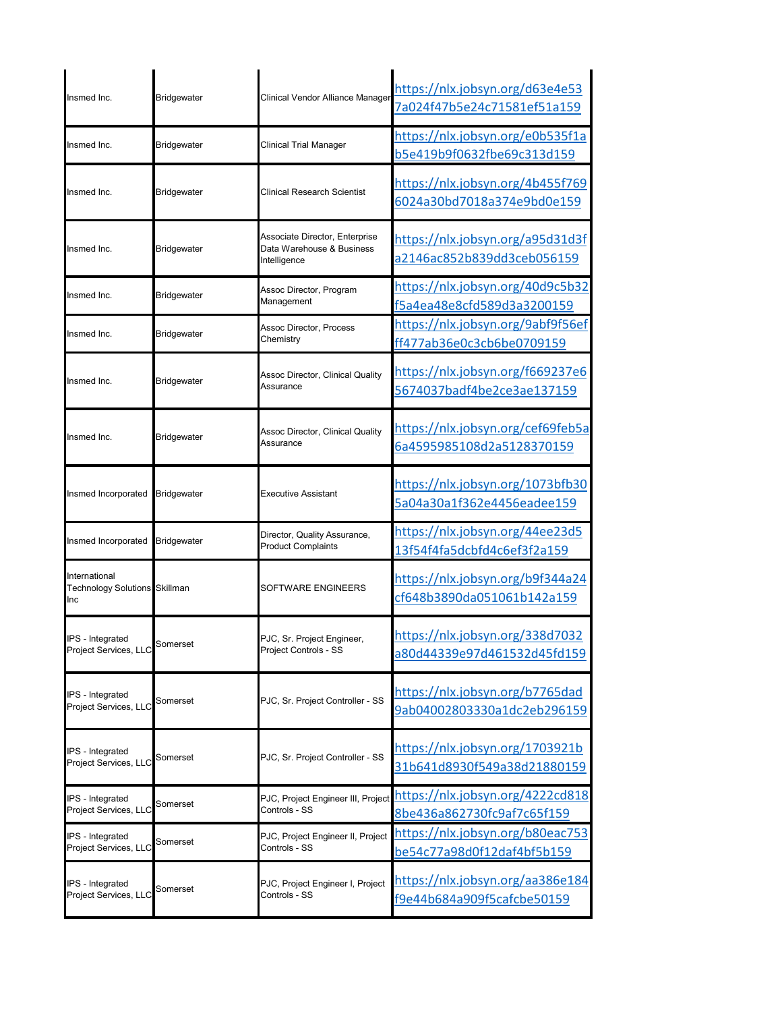| Insmed Inc.                                                  | <b>Bridgewater</b> | Clinical Vendor Alliance Manager                                            | https://nlx.jobsyn.org/d63e4e53<br>7a024f47b5e24c71581ef51a159 |
|--------------------------------------------------------------|--------------------|-----------------------------------------------------------------------------|----------------------------------------------------------------|
| Insmed Inc.                                                  | <b>Bridgewater</b> | Clinical Trial Manager                                                      | https://nlx.jobsyn.org/e0b535f1a<br>b5e419b9f0632fbe69c313d159 |
| Insmed Inc.                                                  | <b>Bridgewater</b> | Clinical Research Scientist                                                 | https://nlx.jobsyn.org/4b455f769<br>6024a30bd7018a374e9bd0e159 |
| Insmed Inc.                                                  | <b>Bridgewater</b> | Associate Director, Enterprise<br>Data Warehouse & Business<br>Intelligence | https://nlx.jobsyn.org/a95d31d3f<br>a2146ac852b839dd3ceb056159 |
| Insmed Inc.                                                  | <b>Bridgewater</b> | Assoc Director, Program<br>Management                                       | https://nlx.jobsyn.org/40d9c5b32<br>f5a4ea48e8cfd589d3a3200159 |
| Insmed Inc.                                                  | <b>Bridgewater</b> | Assoc Director, Process<br>Chemistry                                        | https://nlx.jobsyn.org/9abf9f56ef<br>ff477ab36e0c3cb6be0709159 |
| Insmed Inc.                                                  | <b>Bridgewater</b> | Assoc Director, Clinical Quality<br>Assurance                               | https://nlx.jobsyn.org/f669237e6<br>5674037badf4be2ce3ae137159 |
| Insmed Inc.                                                  | <b>Bridgewater</b> | Assoc Director, Clinical Quality<br>Assurance                               | https://nlx.jobsyn.org/cef69feb5a<br>6a4595985108d2a5128370159 |
| Insmed Incorporated                                          | <b>Bridgewater</b> | Executive Assistant                                                         | https://nlx.jobsyn.org/1073bfb30<br>5a04a30a1f362e4456eadee159 |
| Insmed Incorporated                                          | <b>Bridgewater</b> | Director, Quality Assurance,<br><b>Product Complaints</b>                   | https://nlx.jobsyn.org/44ee23d5<br>13f54f4fa5dcbfd4c6ef3f2a159 |
| International<br><b>Technology Solutions Skillman</b><br>Inc |                    | SOFTWARE ENGINEERS                                                          | https://nlx.jobsyn.org/b9f344a24<br>cf648b3890da051061b142a159 |
| IPS - Integrated<br>Project Services, LLC                    | Somerset           | PJC, Sr. Project Engineer,<br>Project Controls - SS                         | https://nlx.jobsyn.org/338d7032<br>a80d44339e97d461532d45fd159 |
| IPS - Integrated<br>Project Services, LLC                    | Somerset           | PJC, Sr. Project Controller - SS                                            | https://nlx.jobsyn.org/b7765dad<br>9ab04002803330a1dc2eb296159 |
| IPS - Integrated<br>Project Services, LLC                    | Somerset           | PJC, Sr. Project Controller - SS                                            | https://nlx.jobsyn.org/1703921b<br>31b641d8930f549a38d21880159 |
| IPS - Integrated<br>Project Services, LLC                    | Somerset           | PJC, Project Engineer III, Project<br>Controls - SS                         | https://nlx.jobsyn.org/4222cd818<br>8be436a862730fc9af7c65f159 |
| IPS - Integrated<br>Project Services, LLC                    | Somerset           | PJC, Project Engineer II, Project<br>Controls - SS                          | https://nlx.jobsyn.org/b80eac753<br>be54c77a98d0f12daf4bf5b159 |
| IPS - Integrated<br>Project Services, LLC                    | Somerset           | PJC, Project Engineer I, Project<br>Controls - SS                           | https://nlx.jobsyn.org/aa386e184<br>f9e44b684a909f5cafcbe50159 |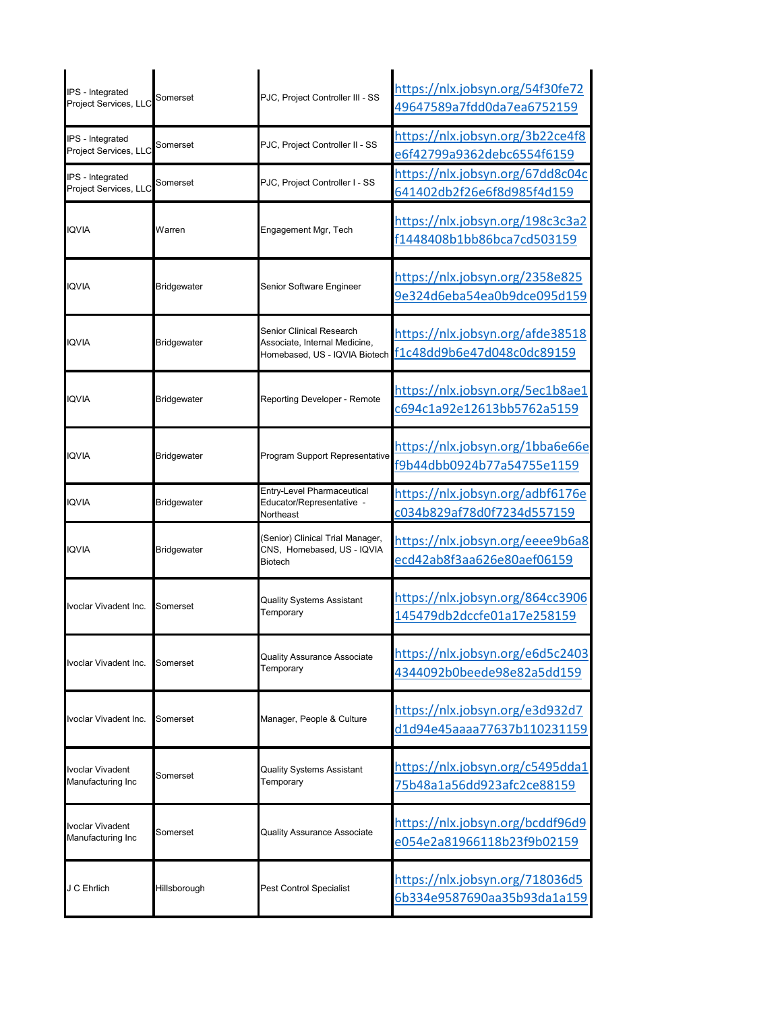| IPS - Integrated<br>Project Services, LLC | Somerset           | PJC, Project Controller III - SS                                                           | https://nlx.jobsyn.org/54f30fe72<br>49647589a7fdd0da7ea6752159 |
|-------------------------------------------|--------------------|--------------------------------------------------------------------------------------------|----------------------------------------------------------------|
| IPS - Integrated<br>Project Services, LLC | Somerset           | PJC, Project Controller II - SS                                                            | https://nlx.jobsyn.org/3b22ce4f8<br>e6f42799a9362debc6554f6159 |
| IPS - Integrated<br>Project Services, LLC | Somerset           | PJC, Project Controller I - SS                                                             | https://nlx.jobsyn.org/67dd8c04c<br>641402db2f26e6f8d985f4d159 |
| <b>IQVIA</b>                              | Warren             | Engagement Mgr, Tech                                                                       | https://nlx.jobsyn.org/198c3c3a2<br>f1448408b1bb86bca7cd503159 |
| <b>IQVIA</b>                              | Bridgewater        | Senior Software Engineer                                                                   | https://nlx.jobsyn.org/2358e825<br>9e324d6eba54ea0b9dce095d159 |
| <b>IQVIA</b>                              | Bridgewater        | Senior Clinical Research<br>Associate, Internal Medicine.<br>Homebased, US - IQVIA Biotech | https://nlx.jobsyn.org/afde38518<br>f1c48dd9b6e47d048c0dc89159 |
| <b>IQVIA</b>                              | Bridgewater        | Reporting Developer - Remote                                                               | https://nlx.jobsyn.org/5ec1b8ae1<br>c694c1a92e12613bb5762a5159 |
| <b>IQVIA</b>                              | <b>Bridgewater</b> | Program Support Representative                                                             | https://nlx.jobsyn.org/1bba6e66e<br>f9b44dbb0924b77a54755e1159 |
| <b>IQVIA</b>                              | Bridgewater        | <b>Entry-Level Pharmaceutical</b><br>Educator/Representative -<br>Northeast                | https://nlx.jobsyn.org/adbf6176e<br>c034b829af78d0f7234d557159 |
| <b>IQVIA</b>                              | Bridgewater        | (Senior) Clinical Trial Manager,<br>CNS, Homebased, US - IQVIA<br>Biotech                  | https://nlx.jobsyn.org/eeee9b6a8<br>ecd42ab8f3aa626e80aef06159 |
| lvoclar Vivadent Inc.                     | Somerset           | <b>Quality Systems Assistant</b><br>Temporary                                              | https://nlx.jobsyn.org/864cc3906<br>145479db2dccfe01a17e258159 |
| Ivoclar Vivadent Inc.                     | Somerset           | Quality Assurance Associate<br>Temporary                                                   | https://nlx.jobsyn.org/e6d5c2403<br>4344092b0beede98e82a5dd159 |
| Ivoclar Vivadent Inc.                     | Somerset           | Manager, People & Culture                                                                  | https://nlx.jobsyn.org/e3d932d7<br>d1d94e45aaaa77637b110231159 |
| Ivoclar Vivadent<br>Manufacturing Inc     | Somerset           | <b>Quality Systems Assistant</b><br>Temporary                                              | https://nlx.jobsyn.org/c5495dda1<br>75b48a1a56dd923afc2ce88159 |
| Ivoclar Vivadent<br>Manufacturing Inc     | Somerset           | <b>Quality Assurance Associate</b>                                                         | https://nlx.jobsyn.org/bcddf96d9<br>e054e2a81966118b23f9b02159 |
| J C Ehrlich                               | Hillsborough       | Pest Control Specialist                                                                    | https://nlx.jobsyn.org/718036d5<br>6b334e9587690aa35b93da1a159 |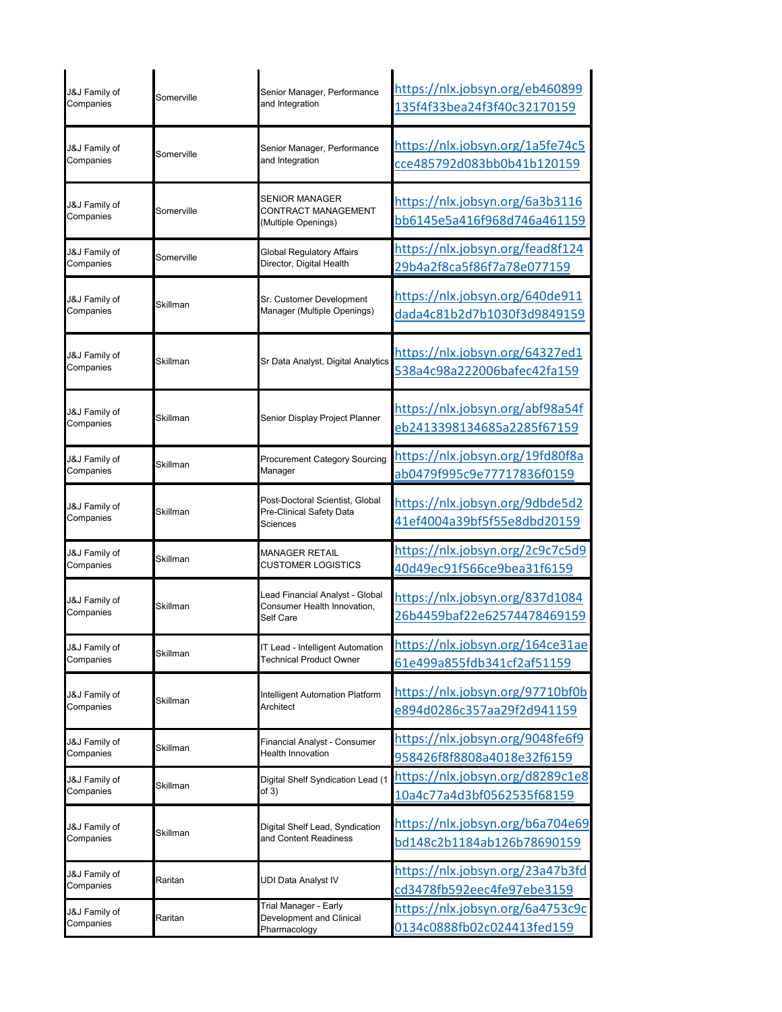| J&J Family of              | Somerville | Senior Manager, Performance                                                 | https://nlx.jobsyn.org/eb460899                                        |
|----------------------------|------------|-----------------------------------------------------------------------------|------------------------------------------------------------------------|
| Companies                  |            | and Integration                                                             | 135f4f33bea24f3f40c32170159                                            |
| J&J Family of              | Somerville | Senior Manager, Performance                                                 | https://nlx.jobsyn.org/1a5fe74c5                                       |
| Companies                  |            | and Integration                                                             | cce485792d083bb0b41b120159                                             |
| J&J Family of<br>Companies | Somerville | <b>SENIOR MANAGER</b><br>CONTRACT MANAGEMENT<br>(Multiple Openings)         | https://nlx.jobsyn.org/6a3b3116<br>bb6145e5a416f968d746a461159         |
| J&J Family of              | Somerville | <b>Global Regulatory Affairs</b>                                            | https://nlx.jobsyn.org/fead8f124                                       |
| Companies                  |            | Director, Digital Health                                                    | 29b4a2f8ca5f86f7a78e077159                                             |
| J&J Family of              | Skillman   | Sr. Customer Development                                                    | https://nlx.jobsyn.org/640de911                                        |
| Companies                  |            | Manager (Multiple Openings)                                                 | dada4c81b2d7b1030f3d9849159                                            |
| J&J Family of<br>Companies | Skillman   | Sr Data Analyst, Digital Analytics                                          | https://nlx.jobsyn.org/64327ed1<br>538a4c98a222006bafec42fa159         |
| J&J Family of<br>Companies | Skillman   | Senior Display Project Planner                                              | https://nlx.jobsyn.org/abf98a54f<br>eb2413398134685a2285f67159         |
| J&J Family of              | Skillman   | <b>Procurement Category Sourcing</b>                                        | https://nlx.jobsyn.org/19fd80f8a                                       |
| Companies                  |            | Manager                                                                     | ab0479f995c9e77717836f0159                                             |
| J&J Family of<br>Companies | Skillman   | Post-Doctoral Scientist, Global<br>Pre-Clinical Safety Data<br>Sciences     | https://nlx.jobsyn.org/9dbde5d2<br>41ef4004a39bf5f55e8dbd20159         |
| J&J Family of              | Skillman   | <b>MANAGER RETAIL</b>                                                       | https://nlx.jobsyn.org/2c9c7c5d9                                       |
| Companies                  |            | <b>CUSTOMER LOGISTICS</b>                                                   | 40d49ec91f566ce9bea31f6159                                             |
| J&J Family of<br>Companies | Skillman   | Lead Financial Analyst - Global<br>Consumer Health Innovation,<br>Self Care | https://nlx.jobsyn.org/837d1084<br>26b4459baf22e62574478469159         |
| J&J Family of              | Skillman   | T Lead - Intelligent Automation                                             | https://nlx.jobsyn.org/164ce31ae                                       |
| Companies                  |            | <b>Technical Product Owner</b>                                              | 61e499a855fdb341cf2af51159                                             |
| J&J Family of              | Skillman   | Intelligent Automation Platform                                             | https://nlx.jobsyn.org/97710bf0b                                       |
| Companies                  |            | Architect                                                                   | e894d0286c357aa29f2d941159                                             |
| J&J Family of              | Skillman   | Financial Analyst - Consumer                                                | https://nlx.jobsyn.org/9048fe6f9                                       |
| Companies                  |            | <b>Health Innovation</b>                                                    | 958426f8f8808a4018e32f6159                                             |
| J&J Family of              | Skillman   | Digital Shelf Syndication Lead (1                                           | https://nlx.jobsyn.org/d8289c1e8                                       |
| Companies                  |            | of 3)                                                                       | 10a4c77a4d3bf0562535f68159                                             |
| J&J Family of              | Skillman   | Digital Shelf Lead, Syndication                                             | https://nlx.jobsyn.org/b6a704e69                                       |
| Companies                  |            | and Content Readiness                                                       | bd148c2b1184ab126b78690159                                             |
| J&J Family of<br>Companies | Raritan    | UDI Data Analyst IV                                                         | https://nlx.jobsyn.org/23a47b3fd<br>cd3478fb592eec4fe97ebe3159         |
| J&J Family of<br>Companies | Raritan    | Trial Manager - Early<br>Development and Clinical<br>Pharmacology           | <u> https://nlx.jobsyn.org/6a4753c9c</u><br>0134c0888fb02c024413fed159 |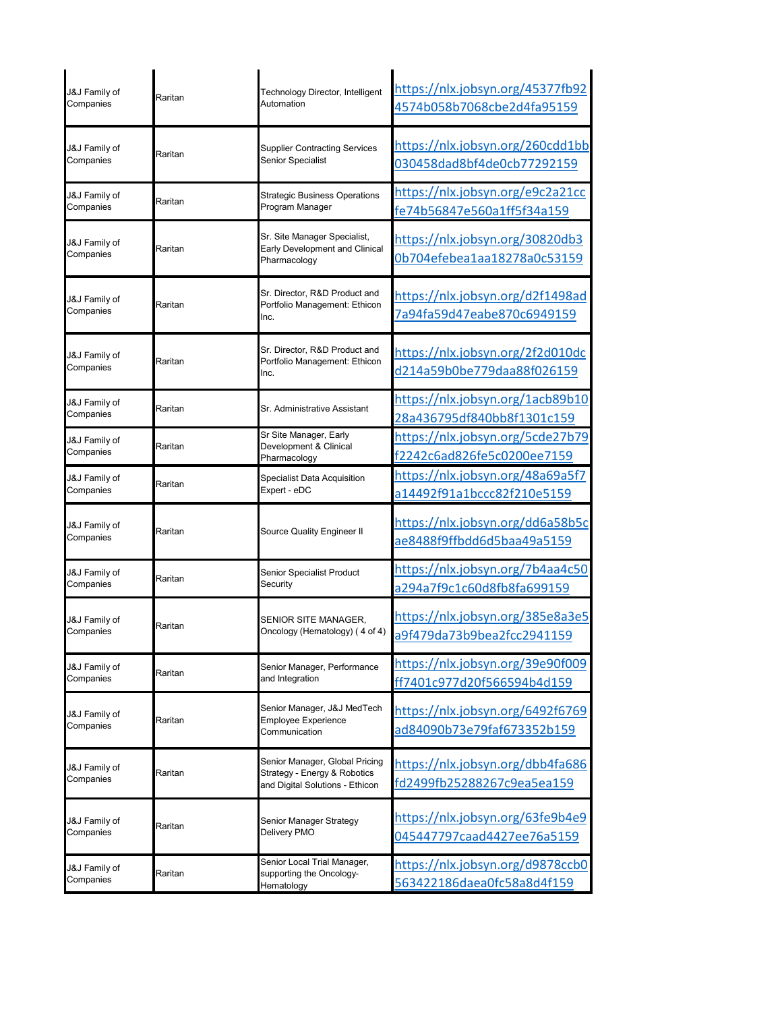| J&J Family of<br>Companies | Raritan | Technology Director, Intelligent<br>Automation                                                    | https://nlx.jobsyn.org/45377fb92<br>4574b058b7068cbe2d4fa95159 |
|----------------------------|---------|---------------------------------------------------------------------------------------------------|----------------------------------------------------------------|
| J&J Family of<br>Companies | Raritan | <b>Supplier Contracting Services</b><br>Senior Specialist                                         | https://nlx.jobsyn.org/260cdd1bb<br>030458dad8bf4de0cb77292159 |
| J&J Family of<br>Companies | Raritan | <b>Strategic Business Operations</b><br>Program Manager                                           | https://nlx.jobsyn.org/e9c2a21cc<br>fe74b56847e560a1ff5f34a159 |
| J&J Family of<br>Companies | Raritan | Sr. Site Manager Specialist,<br>Early Development and Clinical<br>Pharmacology                    | https://nlx.jobsyn.org/30820db3<br>0b704efebea1aa18278a0c53159 |
| J&J Family of<br>Companies | Raritan | Sr. Director, R&D Product and<br>Portfolio Management: Ethicon<br>Inc.                            | https://nlx.jobsyn.org/d2f1498ad<br>7a94fa59d47eabe870c6949159 |
| J&J Family of<br>Companies | Raritan | Sr. Director, R&D Product and<br>Portfolio Management: Ethicon<br>Inc.                            | https://nlx.jobsyn.org/2f2d010dc<br>d214a59b0be779daa88f026159 |
| J&J Family of<br>Companies | Raritan | Sr. Administrative Assistant                                                                      | https://nlx.jobsyn.org/1acb89b10<br>28a436795df840bb8f1301c159 |
| J&J Family of<br>Companies | Raritan | Sr Site Manager, Early<br>Development & Clinical<br>Pharmacology                                  | https://nlx.jobsyn.org/5cde27b79<br>f2242c6ad826fe5c0200ee7159 |
| J&J Family of<br>Companies | Raritan | <b>Specialist Data Acquisition</b><br>Expert - eDC                                                | https://nlx.jobsyn.org/48a69a5f7<br>a14492f91a1bccc82f210e5159 |
| J&J Family of<br>Companies | Raritan | Source Quality Engineer II                                                                        | https://nlx.jobsyn.org/dd6a58b5c<br>ae8488f9ffbdd6d5baa49a5159 |
| J&J Family of<br>Companies | Raritan | Senior Specialist Product<br>Security                                                             | https://nlx.jobsyn.org/7b4aa4c50<br>a294a7f9c1c60d8fb8fa699159 |
| J&J Family of<br>Companies | Raritan | SENIOR SITE MANAGER.<br>Oncology (Hematology) (4 of 4)                                            | https://nlx.jobsyn.org/385e8a3e5<br>a9f479da73b9bea2fcc2941159 |
| J&J Family of<br>Companies | Raritan | Senior Manager, Performance<br>and Integration                                                    | https://nlx.jobsyn.org/39e90f009<br>ff7401c977d20f566594b4d159 |
| J&J Family of<br>Companies | Raritan | Senior Manager, J&J MedTech<br><b>Employee Experience</b><br>Communication                        | https://nlx.jobsyn.org/6492f6769<br>ad84090b73e79faf673352b159 |
| J&J Family of<br>Companies | Raritan | Senior Manager, Global Pricing<br>Strategy - Energy & Robotics<br>and Digital Solutions - Ethicon | https://nlx.jobsyn.org/dbb4fa686<br>fd2499fb25288267c9ea5ea159 |
| J&J Family of<br>Companies | Raritan | Senior Manager Strategy<br>Delivery PMO                                                           | https://nlx.jobsyn.org/63fe9b4e9<br>045447797caad4427ee76a5159 |
| J&J Family of<br>Companies | Raritan | Senior Local Trial Manager,<br>supporting the Oncology-<br>Hematology                             | https://nlx.jobsyn.org/d9878ccb0<br>563422186daea0fc58a8d4f159 |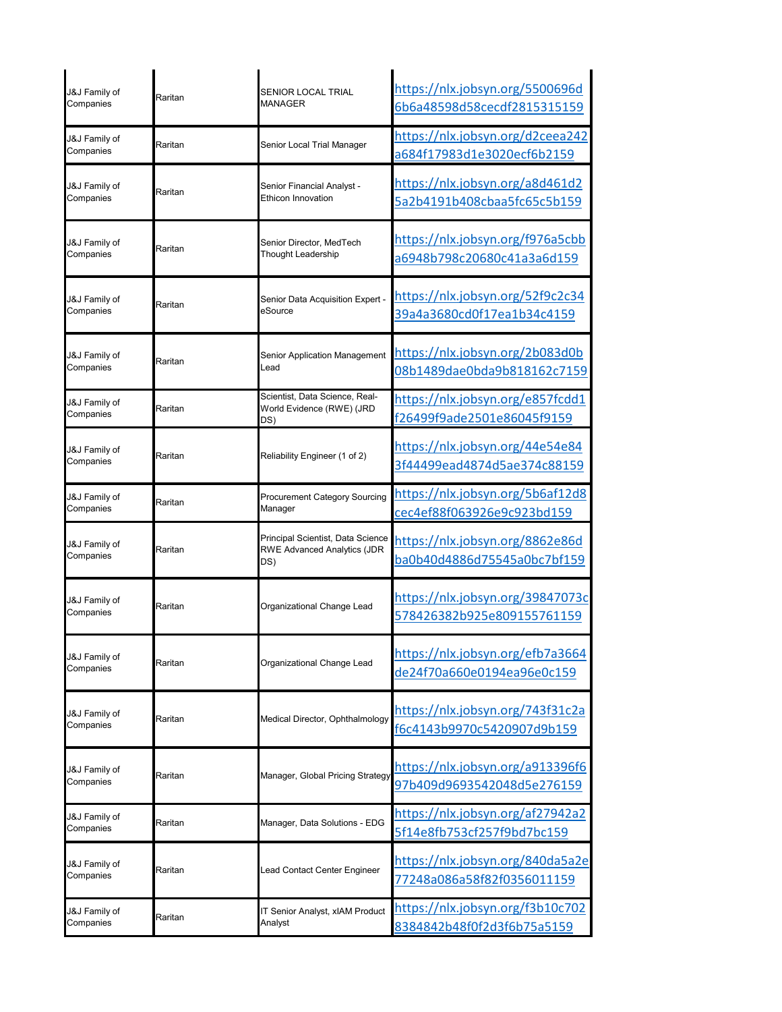| J&J Family of<br>Companies | Raritan | SENIOR LOCAL TRIAL<br><b>MANAGER</b>                                           | https://nlx.jobsyn.org/5500696d<br>6b6a48598d58cecdf2815315159 |
|----------------------------|---------|--------------------------------------------------------------------------------|----------------------------------------------------------------|
| J&J Family of<br>Companies | Raritan | Senior Local Trial Manager                                                     | https://nlx.jobsyn.org/d2ceea242<br>a684f17983d1e3020ecf6b2159 |
| J&J Family of<br>Companies | Raritan | Senior Financial Analyst -<br><b>Ethicon Innovation</b>                        | https://nlx.jobsyn.org/a8d461d2<br>5a2b4191b408cbaa5fc65c5b159 |
| J&J Family of<br>Companies | Raritan | Senior Director, MedTech<br>Thought Leadership                                 | https://nlx.jobsyn.org/f976a5cbb<br>a6948b798c20680c41a3a6d159 |
| J&J Family of<br>Companies | Raritan | Senior Data Acquisition Expert -<br>eSource                                    | https://nlx.jobsyn.org/52f9c2c34<br>39a4a3680cd0f17ea1b34c4159 |
| J&J Family of<br>Companies | Raritan | Senior Application Management<br>Lead                                          | https://nlx.jobsyn.org/2b083d0b<br>08b1489dae0bda9b818162c7159 |
| J&J Family of<br>Companies | Raritan | Scientist, Data Science, Real-<br>World Evidence (RWE) (JRD<br>DS)             | https://nlx.jobsyn.org/e857fcdd1<br>f26499f9ade2501e86045f9159 |
| J&J Family of<br>Companies | Raritan | Reliability Engineer (1 of 2)                                                  | https://nlx.jobsyn.org/44e54e84<br>3f44499ead4874d5ae374c88159 |
| J&J Family of<br>Companies | Raritan | <b>Procurement Category Sourcing</b><br>Manager                                | https://nlx.jobsyn.org/5b6af12d8<br>cec4ef88f063926e9c923bd159 |
| J&J Family of<br>Companies | Raritan | Principal Scientist, Data Science<br><b>RWE Advanced Analytics (JDR</b><br>DS) | https://nlx.jobsyn.org/8862e86d<br>ba0b40d4886d75545a0bc7bf159 |
| J&J Family of<br>Companies | Raritan | Organizational Change Lead                                                     | https://nlx.jobsyn.org/39847073c<br>578426382b925e809155761159 |
| J&J Family of<br>Companies | Raritan | Organizational Change Lead                                                     | https://nlx.jobsyn.org/efb7a3664<br>de24f70a660e0194ea96e0c159 |
| J&J Family of<br>Companies | Raritan | Medical Director, Ophthalmology                                                | https://nlx.jobsyn.org/743f31c2a<br>f6c4143b9970c5420907d9b159 |
| J&J Family of<br>Companies | Raritan | Manager, Global Pricing Strategy                                               | https://nlx.jobsyn.org/a913396f6<br>97b409d9693542048d5e276159 |
| J&J Family of<br>Companies | Raritan | Manager, Data Solutions - EDG                                                  | https://nlx.jobsyn.org/af27942a2<br>5f14e8fb753cf257f9bd7bc159 |
| J&J Family of<br>Companies | Raritan | Lead Contact Center Engineer                                                   | https://nlx.jobsyn.org/840da5a2e<br>77248a086a58f82f0356011159 |
| J&J Family of<br>Companies | Raritan | IT Senior Analyst, xIAM Product<br>Analyst                                     | https://nlx.jobsyn.org/f3b10c702<br>8384842b48f0f2d3f6b75a5159 |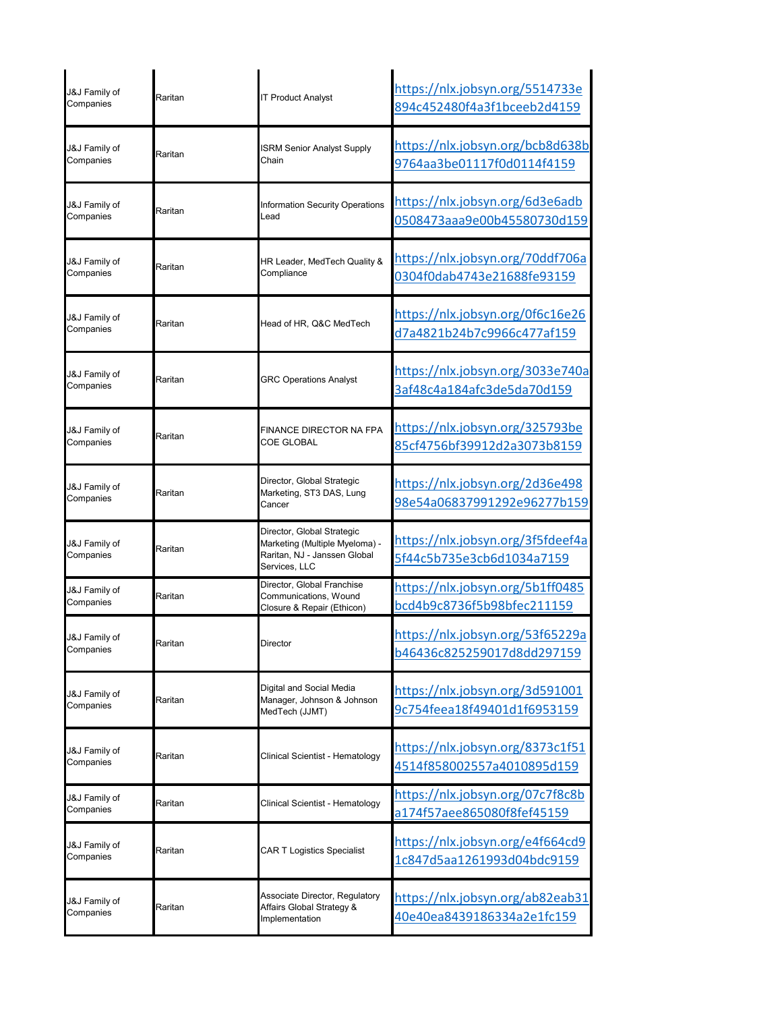| J&J Family of<br>Companies | Raritan | <b>IT Product Analyst</b>                                                                                     | https://nlx.jobsyn.org/5514733e<br>894c452480f4a3f1bceeb2d4159 |
|----------------------------|---------|---------------------------------------------------------------------------------------------------------------|----------------------------------------------------------------|
| J&J Family of<br>Companies | Raritan | <b>ISRM Senior Analyst Supply</b><br>Chain                                                                    | https://nlx.jobsyn.org/bcb8d638b<br>9764aa3be01117f0d0114f4159 |
| J&J Family of<br>Companies | Raritan | Information Security Operations<br>Lead                                                                       | https://nlx.jobsyn.org/6d3e6adb<br>0508473aaa9e00b45580730d159 |
| J&J Family of<br>Companies | Raritan | HR Leader, MedTech Quality &<br>Compliance                                                                    | https://nlx.jobsyn.org/70ddf706a<br>0304f0dab4743e21688fe93159 |
| J&J Family of<br>Companies | Raritan | Head of HR, Q&C MedTech                                                                                       | https://nlx.jobsyn.org/0f6c16e26<br>d7a4821b24b7c9966c477af159 |
| J&J Family of<br>Companies | Raritan | <b>GRC Operations Analyst</b>                                                                                 | https://nlx.jobsyn.org/3033e740a<br>3af48c4a184afc3de5da70d159 |
| J&J Family of<br>Companies | Raritan | <b>FINANCE DIRECTOR NA FPA</b><br><b>COE GLOBAL</b>                                                           | https://nlx.jobsyn.org/325793be<br>85cf4756bf39912d2a3073b8159 |
| J&J Family of<br>Companies | Raritan | Director, Global Strategic<br>Marketing, ST3 DAS, Lung<br>Cancer                                              | https://nlx.jobsyn.org/2d36e498<br>98e54a06837991292e96277b159 |
| J&J Family of<br>Companies | Raritan | Director, Global Strategic<br>Marketing (Multiple Myeloma) -<br>Raritan, NJ - Janssen Global<br>Services, LLC | https://nlx.jobsyn.org/3f5fdeef4a<br>5f44c5b735e3cb6d1034a7159 |
| J&J Family of<br>Companies | Raritan | Director, Global Franchise<br>Communications, Wound<br>Closure & Repair (Ethicon)                             | https://nlx.jobsyn.org/5b1ff0485<br>bcd4b9c8736f5b98bfec211159 |
| J&J Family of<br>Companies | Raritan | Director                                                                                                      | https://nlx.jobsyn.org/53f65229a<br>b46436c825259017d8dd297159 |
| J&J Family of<br>Companies | Raritan | Digital and Social Media<br>Manager, Johnson & Johnson<br>MedTech (JJMT)                                      | https://nlx.jobsyn.org/3d591001<br>9c754feea18f49401d1f6953159 |
| J&J Family of<br>Companies | Raritan | Clinical Scientist - Hematology                                                                               | https://nlx.jobsyn.org/8373c1f51<br>4514f858002557a4010895d159 |
| J&J Family of<br>Companies | Raritan | Clinical Scientist - Hematology                                                                               | https://nlx.jobsyn.org/07c7f8c8b<br>a174f57aee865080f8fef45159 |
| J&J Family of<br>Companies | Raritan | <b>CAR T Logistics Specialist</b>                                                                             | https://nlx.jobsyn.org/e4f664cd9<br>1c847d5aa1261993d04bdc9159 |
| J&J Family of<br>Companies | Raritan | Associate Director, Regulatory<br>Affairs Global Strategy &<br>Implementation                                 | https://nlx.jobsyn.org/ab82eab31<br>40e40ea8439186334a2e1fc159 |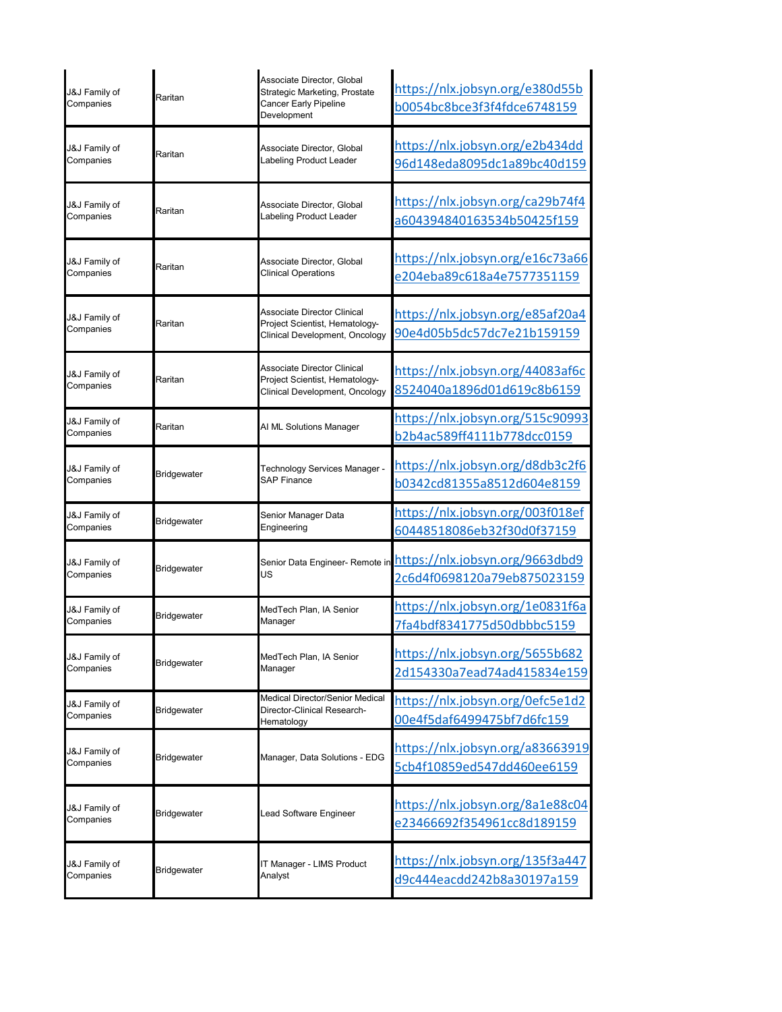| J&J Family of<br>Companies | Raritan            | Associate Director, Global<br>Strategic Marketing, Prostate<br>Cancer Early Pipeline<br>Development    | https://nlx.jobsyn.org/e380d55b<br>b0054bc8bce3f3f4fdce6748159 |
|----------------------------|--------------------|--------------------------------------------------------------------------------------------------------|----------------------------------------------------------------|
| J&J Family of              | Raritan            | Associate Director, Global                                                                             | https://nlx.jobsyn.org/e2b434dd                                |
| Companies                  |                    | Labeling Product Leader                                                                                | 96d148eda8095dc1a89bc40d159                                    |
| J&J Family of              | Raritan            | Associate Director, Global                                                                             | https://nlx.jobsyn.org/ca29b74f4                               |
| Companies                  |                    | Labeling Product Leader                                                                                | a604394840163534b50425f159                                     |
| J&J Family of              | Raritan            | Associate Director, Global                                                                             | https://nlx.jobsyn.org/e16c73a66                               |
| Companies                  |                    | <b>Clinical Operations</b>                                                                             | e204eba89c618a4e7577351159                                     |
| J&J Family of<br>Companies | Raritan            | <b>Associate Director Clinical</b><br>Project Scientist, Hematology-<br>Clinical Development, Oncology | https://nlx.jobsyn.org/e85af20a4<br>90e4d05b5dc57dc7e21b159159 |
| J&J Family of<br>Companies | Raritan            | <b>Associate Director Clinical</b><br>Project Scientist, Hematology-<br>Clinical Development, Oncology | https://nlx.jobsyn.org/44083af6c<br>8524040a1896d01d619c8b6159 |
| J&J Family of<br>Companies | Raritan            | AI ML Solutions Manager                                                                                | https://nlx.jobsyn.org/515c90993<br>b2b4ac589ff4111b778dcc0159 |
| J&J Family of              | <b>Bridgewater</b> | Technology Services Manager -                                                                          | <u> https://nlx.jobsyn.org/d8db3c2f6</u>                       |
| Companies                  |                    | <b>SAP Finance</b>                                                                                     | b0342cd81355a8512d604e8159                                     |
| J&J Family of              | <b>Bridgewater</b> | Senior Manager Data                                                                                    | https://nlx.jobsyn.org/003f018ef                               |
| Companies                  |                    | Engineering                                                                                            | 60448518086eb32f30d0f37159                                     |
| J&J Family of              | <b>Bridgewater</b> | Senior Data Engineer- Remote in                                                                        | https://nlx.jobsyn.org/9663dbd9                                |
| Companies                  |                    | US                                                                                                     | 2c6d4f0698120a79eb875023159                                    |
| J&J Family of              | Bridgewater        | MedTech Plan, IA Senior                                                                                | https://nlx.jobsyn.org/1e0831f6a                               |
| Companies                  |                    | Manager                                                                                                | 7fa4bdf8341775d50dbbbc5159                                     |
| J&J Family of              | Bridgewater        | MedTech Plan, IA Senior                                                                                | https://nlx.jobsyn.org/5655b682                                |
| Companies                  |                    | Manager                                                                                                | 2d154330a7ead74ad415834e159                                    |
| J&J Family of<br>Companies | Bridgewater        | Medical Director/Senior Medical<br>Director-Clinical Research-<br>Hematology                           | https://nlx.jobsyn.org/0efc5e1d2<br>00e4f5daf6499475bf7d6fc159 |
| J&J Family of<br>Companies | <b>Bridgewater</b> | Manager, Data Solutions - EDG                                                                          | https://nlx.jobsyn.org/a83663919<br>5cb4f10859ed547dd460ee6159 |
| J&J Family of<br>Companies | Bridgewater        | Lead Software Engineer                                                                                 | https://nlx.jobsyn.org/8a1e88c04<br>e23466692f354961cc8d189159 |
| J&J Family of              | Bridgewater        | T Manager - LIMS Product                                                                               | https://nlx.jobsyn.org/135f3a447                               |
| Companies                  |                    | Analyst                                                                                                | d9c444eacdd242b8a30197a159                                     |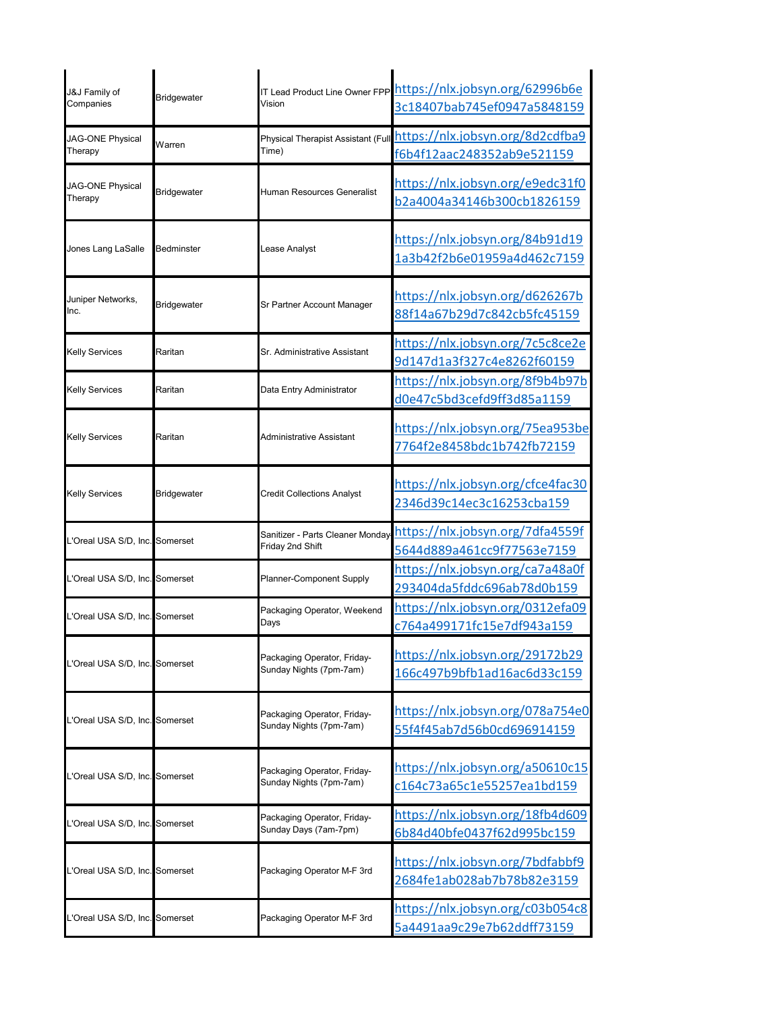| J&J Family of<br>Companies     | Bridgewater        | Vision                                                 | IT Lead Product Line Owner FPP https://nlx.jobsyn.org/62996b6e<br>3c18407bab745ef0947a5848159 |
|--------------------------------|--------------------|--------------------------------------------------------|-----------------------------------------------------------------------------------------------|
| JAG-ONE Physical<br>Therapy    | Warren             | Physical Therapist Assistant (Full<br>Time)            | https://nlx.jobsyn.org/8d2cdfba9<br>f6b4f12aac248352ab9e521159                                |
| JAG-ONE Physical<br>Therapy    | <b>Bridgewater</b> | Human Resources Generalist                             | https://nlx.jobsyn.org/e9edc31f0<br>b2a4004a34146b300cb1826159                                |
| Jones Lang LaSalle             | Bedminster         | Lease Analyst                                          | https://nlx.jobsyn.org/84b91d19<br>1a3b42f2b6e01959a4d462c7159                                |
| Juniper Networks,<br>Inc.      | Bridgewater        | Sr Partner Account Manager                             | https://nlx.jobsyn.org/d626267b<br>88f14a67b29d7c842cb5fc45159                                |
| <b>Kelly Services</b>          | Raritan            | Sr. Administrative Assistant                           | https://nlx.jobsyn.org/7c5c8ce2e<br>9d147d1a3f327c4e8262f60159                                |
| <b>Kelly Services</b>          | Raritan            | Data Entry Administrator                               | https://nlx.jobsyn.org/8f9b4b97b<br>d0e47c5bd3cefd9ff3d85a1159                                |
| <b>Kelly Services</b>          | Raritan            | Administrative Assistant                               | https://nlx.jobsyn.org/75ea953be<br>7764f2e8458bdc1b742fb72159                                |
| <b>Kelly Services</b>          | Bridgewater        | <b>Credit Collections Analyst</b>                      | https://nlx.jobsyn.org/cfce4fac30<br>2346d39c14ec3c16253cba159                                |
| L'Oreal USA S/D, Inc. Somerset |                    | Sanitizer - Parts Cleaner Monday<br>Friday 2nd Shift   | https://nlx.jobsyn.org/7dfa4559f<br>5644d889a461cc9f77563e7159                                |
| L'Oreal USA S/D, Inc. Somerset |                    | Planner-Component Supply                               | https://nlx.jobsyn.org/ca7a48a0f<br>293404da5fddc696ab78d0b159                                |
| 'Oreal USA S/D, Inc. Somerset  |                    | Packaging Operator, Weekend<br>Days                    | https://nlx.jobsyn.org/0312efa09<br>c764a499171fc15e7df943a159                                |
| L'Oreal USA S/D, Inc. Somerset |                    | Packaging Operator, Friday-<br>Sunday Nights (7pm-7am) | https://nlx.jobsyn.org/29172b29<br>166c497b9bfb1ad16ac6d33c159                                |
| L'Oreal USA S/D, Inc. Somerset |                    | Packaging Operator, Friday-<br>Sunday Nights (7pm-7am) | https://nlx.jobsyn.org/078a754e0<br>55f4f45ab7d56b0cd696914159                                |
| L'Oreal USA S/D, Inc. Somerset |                    | Packaging Operator, Friday-<br>Sunday Nights (7pm-7am) | https://nlx.jobsyn.org/a50610c15<br>c164c73a65c1e55257ea1bd159                                |
| L'Oreal USA S/D, Inc. Somerset |                    | Packaging Operator, Friday-<br>Sunday Days (7am-7pm)   | https://nlx.jobsyn.org/18fb4d609<br>6b84d40bfe0437f62d995bc159                                |
| L'Oreal USA S/D, Inc. Somerset |                    | Packaging Operator M-F 3rd                             | https://nlx.jobsyn.org/7bdfabbf9<br>2684fe1ab028ab7b78b82e3159                                |
| L'Oreal USA S/D, Inc. Somerset |                    | Packaging Operator M-F 3rd                             | https://nlx.jobsyn.org/c03b054c8<br>5a4491aa9c29e7b62ddff73159                                |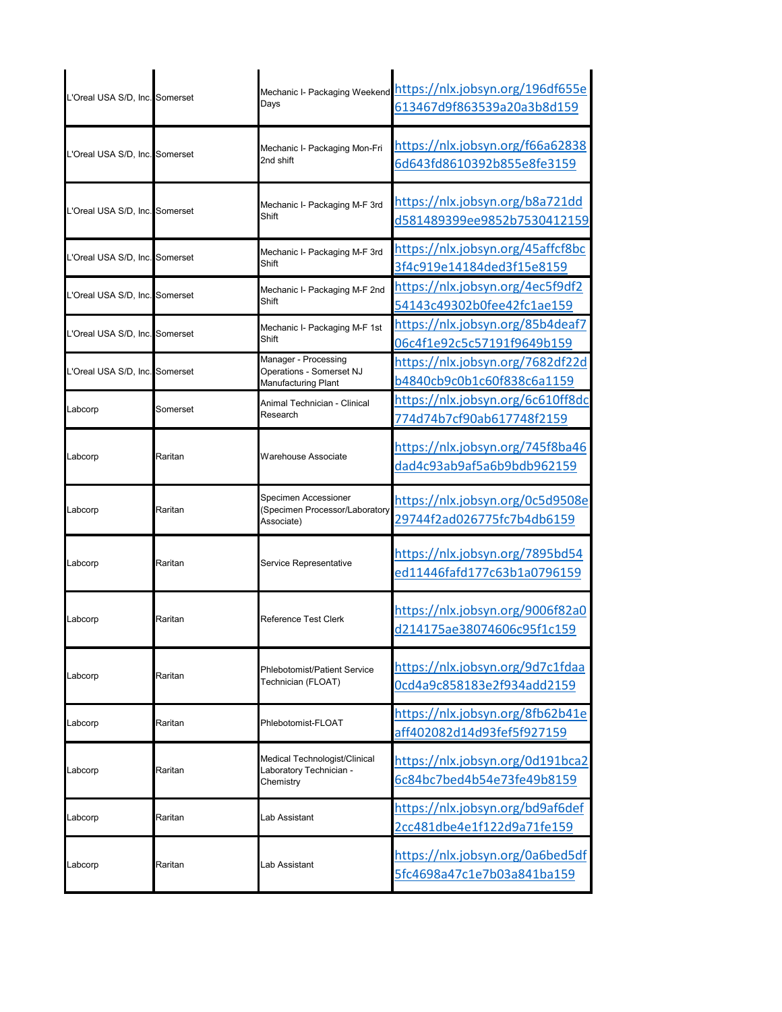| L'Oreal USA S/D, Inc. Somerset |          | Days                                                                           | Mechanic I- Packaging Weekend https://nlx.jobsyn.org/196df655e<br>613467d9f863539a20a3b8d159 |
|--------------------------------|----------|--------------------------------------------------------------------------------|----------------------------------------------------------------------------------------------|
| L'Oreal USA S/D, Inc. Somerset |          | Mechanic I- Packaging Mon-Fri<br>2nd shift                                     | https://nlx.jobsyn.org/f66a62838<br>6d643fd8610392b855e8fe3159                               |
| L'Oreal USA S/D, Inc. Somerset |          | Mechanic I- Packaging M-F 3rd<br>Shift                                         | https://nlx.jobsyn.org/b8a721dd<br>d581489399ee9852b7530412159                               |
| L'Oreal USA S/D, Inc. Somerset |          | Mechanic I- Packaging M-F 3rd<br>Shift                                         | https://nlx.jobsyn.org/45affcf8bc<br>3f4c919e14184ded3f15e8159                               |
| L'Oreal USA S/D, Inc. Somerset |          | Mechanic I- Packaging M-F 2nd<br>Shift                                         | https://nlx.jobsyn.org/4ec5f9df2<br>54143c49302b0fee42fc1ae159                               |
| L'Oreal USA S/D, Inc. Somerset |          | Mechanic I- Packaging M-F 1st<br>Shift                                         | https://nlx.jobsyn.org/85b4deaf7<br>06c4f1e92c5c57191f9649b159                               |
| L'Oreal USA S/D, Inc. Somerset |          | Manager - Processing<br>Operations - Somerset NJ<br><b>Manufacturing Plant</b> | https://nlx.jobsyn.org/7682df22d<br>b4840cb9c0b1c60f838c6a1159                               |
| Labcorp                        | Somerset | Animal Technician - Clinical<br>Research                                       | https://nlx.jobsyn.org/6c610ff8dc<br>774d74b7cf90ab617748f2159                               |
| Labcorp                        | Raritan  | <b>Warehouse Associate</b>                                                     | https://nlx.jobsyn.org/745f8ba46<br>dad4c93ab9af5a6b9bdb962159                               |
| Labcorp                        | Raritan  | Specimen Accessioner<br>(Specimen Processor/Laboratory<br>Associate)           | https://nlx.jobsyn.org/0c5d9508e<br>29744f2ad026775fc7b4db6159                               |
| Labcorp                        | Raritan  | Service Representative                                                         | https://nlx.jobsyn.org/7895bd54<br>ed11446fafd177c63b1a0796159                               |
| Labcorp                        | Raritan  | <b>Reference Test Clerk</b>                                                    | https://nlx.jobsyn.org/9006f82a0<br>d214175ae38074606c95f1c159                               |
| Labcorp                        | Raritan  | <b>Phlebotomist/Patient Service</b><br>Technician (FLOAT)                      | https://nlx.jobsyn.org/9d7c1fdaa<br>0cd4a9c858183e2f934add2159                               |
| Labcorp                        | Raritan  | Phlebotomist-FLOAT                                                             | https://nlx.jobsyn.org/8fb62b41e<br>aff402082d14d93fef5f927159                               |
| Labcorp                        | Raritan  | Medical Technologist/Clinical<br>Laboratory Technician -<br>Chemistry          | https://nlx.jobsyn.org/0d191bca2<br>6c84bc7bed4b54e73fe49b8159                               |
|                                |          |                                                                                |                                                                                              |
| Labcorp                        | Raritan  | Lab Assistant                                                                  | https://nlx.jobsyn.org/bd9af6def<br>2cc481dbe4e1f122d9a71fe159                               |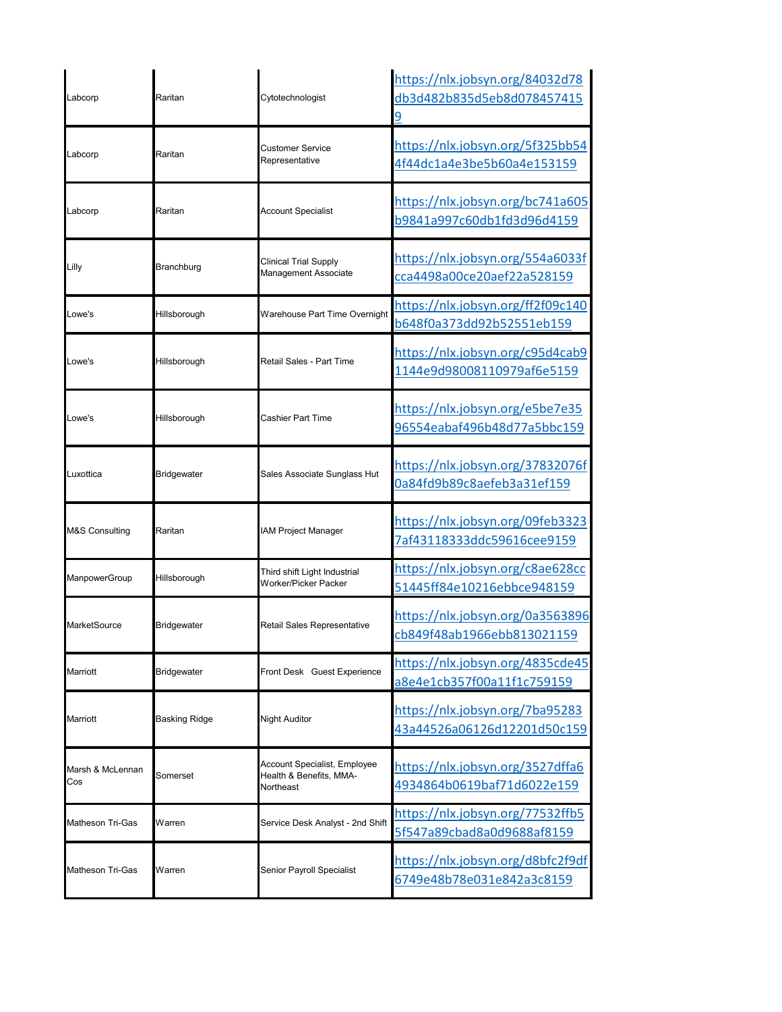| Labcorp                 | Raritan              | Cytotechnologist                                                     | https://nlx.jobsyn.org/84032d78<br>db3d482b835d5eb8d078457415<br>9 |
|-------------------------|----------------------|----------------------------------------------------------------------|--------------------------------------------------------------------|
| Labcorp                 | Raritan              | Customer Service<br>Representative                                   | https://nlx.jobsyn.org/5f325bb54<br>4f44dc1a4e3be5b60a4e153159     |
| Labcorp                 | Raritan              | <b>Account Specialist</b>                                            | https://nlx.jobsyn.org/bc741a605<br>b9841a997c60db1fd3d96d4159     |
| Lilly                   | Branchburg           | Clinical Trial Supply<br>Management Associate                        | https://nlx.jobsyn.org/554a6033f<br>cca4498a00ce20aef22a528159     |
| Lowe's                  | Hillsborough         | Warehouse Part Time Overnight                                        | https://nlx.jobsyn.org/ff2f09c140<br>b648f0a373dd92b52551eb159     |
| Lowe's                  | Hillsborough         | Retail Sales - Part Time                                             | https://nlx.jobsyn.org/c95d4cab9<br>1144e9d98008110979af6e5159     |
| Lowe's                  | Hillsborough         | Cashier Part Time                                                    | https://nlx.jobsyn.org/e5be7e35<br>96554eabaf496b48d77a5bbc159     |
| Luxottica               | <b>Bridgewater</b>   | Sales Associate Sunglass Hut                                         | https://nlx.jobsyn.org/37832076f<br>0a84fd9b89c8aefeb3a31ef159     |
| M&S Consulting          | Raritan              | <b>IAM Project Manager</b>                                           | https://nlx.jobsyn.org/09feb3323<br>7af43118333ddc59616cee9159     |
| ManpowerGroup           | Hillsborough         | Third shift Light Industrial<br>Worker/Picker Packer                 | https://nlx.jobsyn.org/c8ae628cc<br>51445ff84e10216ebbce948159     |
| MarketSource            | <b>Bridgewater</b>   | Retail Sales Representative                                          | https://nlx.jobsyn.org/0a3563896<br>cb849f48ab1966ebb813021159     |
| <b>Marriott</b>         | Bridgewater          | Front Desk Guest Experience                                          | https://nlx.jobsyn.org/4835cde45<br>a8e4e1cb357f00a11f1c759159     |
| Marriott                | <b>Basking Ridge</b> | Night Auditor                                                        | https://nlx.jobsyn.org/7ba95283<br>43a44526a06126d12201d50c159     |
| Marsh & McLennan<br>Cos | Somerset             | Account Specialist, Employee<br>Health & Benefits, MMA-<br>Northeast | https://nlx.jobsyn.org/3527dffa6<br>4934864b0619baf71d6022e159     |
| <b>Matheson Tri-Gas</b> | Warren               | Service Desk Analyst - 2nd Shift                                     | https://nlx.jobsyn.org/77532ffb5<br>5f547a89cbad8a0d9688af8159     |
| <b>Matheson Tri-Gas</b> | Warren               | Senior Payroll Specialist                                            | https://nlx.jobsyn.org/d8bfc2f9df<br>6749e48b78e031e842a3c8159     |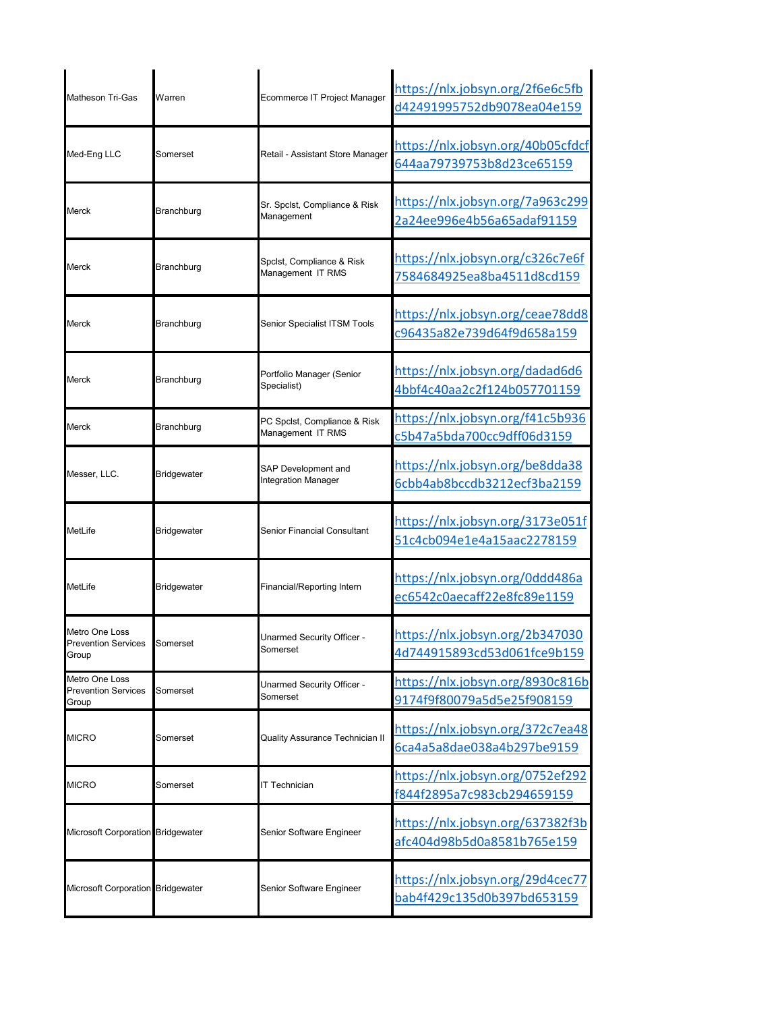| Matheson Tri-Gas                                      | Warren             | Ecommerce IT Project Manager                      | https://nlx.jobsyn.org/2f6e6c5fb<br>d42491995752db9078ea04e159 |
|-------------------------------------------------------|--------------------|---------------------------------------------------|----------------------------------------------------------------|
| Med-Eng LLC                                           | Somerset           | Retail - Assistant Store Manager                  | https://nlx.jobsyn.org/40b05cfdcf<br>644aa79739753b8d23ce65159 |
| Merck                                                 | Branchburg         | Sr. Spclst, Compliance & Risk<br>Management       | https://nlx.jobsyn.org/7a963c299<br>2a24ee996e4b56a65adaf91159 |
| Merck                                                 | Branchburg         | Spclst, Compliance & Risk<br>Management IT RMS    | https://nlx.jobsyn.org/c326c7e6f<br>7584684925ea8ba4511d8cd159 |
| <b>Merck</b>                                          | Branchburg         | Senior Specialist ITSM Tools                      | https://nlx.jobsyn.org/ceae78dd8<br>c96435a82e739d64f9d658a159 |
| Merck                                                 | Branchburg         | Portfolio Manager (Senior<br>Specialist)          | https://nlx.jobsyn.org/dadad6d6<br>4bbf4c40aa2c2f124b057701159 |
| <b>Merck</b>                                          | Branchburg         | PC Spclst, Compliance & Risk<br>Management IT RMS | https://nlx.jobsyn.org/f41c5b936<br>c5b47a5bda700cc9dff06d3159 |
| Messer, LLC.                                          | <b>Bridgewater</b> | SAP Development and<br>Integration Manager        | https://nlx.jobsyn.org/be8dda38<br>6cbb4ab8bccdb3212ecf3ba2159 |
| <b>MetLife</b>                                        | <b>Bridgewater</b> | Senior Financial Consultant                       | https://nlx.jobsyn.org/3173e051f<br>51c4cb094e1e4a15aac2278159 |
| MetLife                                               | <b>Bridgewater</b> | Financial/Reporting Intern                        | https://nlx.jobsyn.org/0ddd486a<br>ec6542c0aecaff22e8fc89e1159 |
| Metro One Loss<br><b>Prevention Services</b><br>Group | Somerset           | Unarmed Security Officer -<br>Somerset            | https://nlx.jobsyn.org/2b347030<br>4d744915893cd53d061fce9b159 |
| Metro One Loss<br><b>Prevention Services</b><br>Group | Somerset           | Unarmed Security Officer -<br>Somerset            | https://nlx.jobsyn.org/8930c816b<br>9174f9f80079a5d5e25f908159 |
| <b>MICRO</b>                                          | Somerset           | <b>Quality Assurance Technician II</b>            | https://nlx.jobsyn.org/372c7ea48<br>6ca4a5a8dae038a4b297be9159 |
| <b>MICRO</b>                                          | Somerset           | IT Technician                                     | https://nlx.jobsyn.org/0752ef292<br>f844f2895a7c983cb294659159 |
| Microsoft Corporation Bridgewater                     |                    | Senior Software Engineer                          | https://nlx.jobsyn.org/637382f3b<br>afc404d98b5d0a8581b765e159 |
| Microsoft Corporation Bridgewater                     |                    | Senior Software Engineer                          | https://nlx.jobsyn.org/29d4cec77<br>bab4f429c135d0b397bd653159 |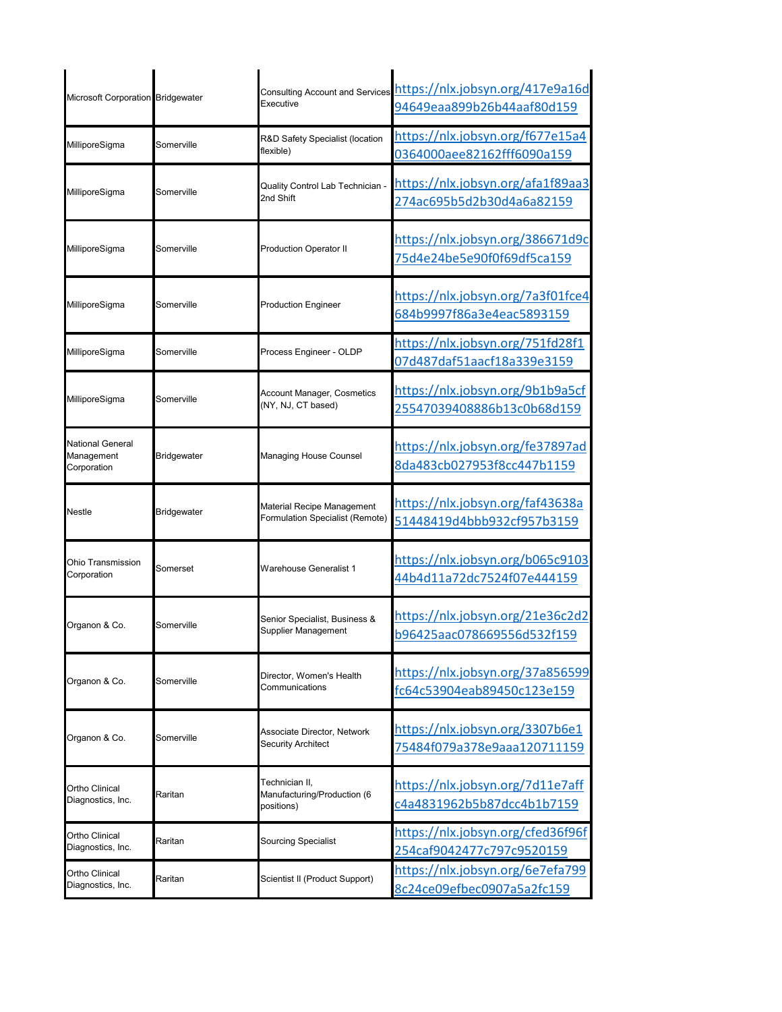| Microsoft Corporation Bridgewater             |                    | <b>Consulting Account and Services</b><br>Executive           | https://nlx.jobsyn.org/417e9a16d<br>94649eaa899b26b44aaf80d159 |
|-----------------------------------------------|--------------------|---------------------------------------------------------------|----------------------------------------------------------------|
| MilliporeSigma                                | Somerville         | R&D Safety Specialist (location<br>flexible)                  | https://nlx.jobsyn.org/f677e15a4<br>0364000aee82162fff6090a159 |
| MilliporeSigma                                | Somerville         | Quality Control Lab Technician -<br>2nd Shift                 | https://nlx.jobsyn.org/afa1f89aa3<br>274ac695b5d2b30d4a6a82159 |
| MilliporeSigma                                | Somerville         | <b>Production Operator II</b>                                 | https://nlx.jobsyn.org/386671d9c<br>75d4e24be5e90f0f69df5ca159 |
| MilliporeSigma                                | Somerville         | <b>Production Engineer</b>                                    | https://nlx.jobsyn.org/7a3f01fce4<br>684b9997f86a3e4eac5893159 |
| MilliporeSigma                                | Somerville         | Process Engineer - OLDP                                       | https://nlx.jobsyn.org/751fd28f1<br>07d487daf51aacf18a339e3159 |
| MilliporeSigma                                | Somerville         | Account Manager, Cosmetics<br>(NY, NJ, CT based)              | https://nlx.jobsyn.org/9b1b9a5cf<br>25547039408886b13c0b68d159 |
| National General<br>Management<br>Corporation | <b>Bridgewater</b> | Managing House Counsel                                        | https://nlx.jobsyn.org/fe37897ad<br>8da483cb027953f8cc447b1159 |
| Nestle                                        | Bridgewater        | Material Recipe Management<br>Formulation Specialist (Remote) | https://nlx.jobsyn.org/faf43638a<br>51448419d4bbb932cf957b3159 |
| Ohio Transmission<br>Corporation              | Somerset           | <b>Warehouse Generalist 1</b>                                 | https://nlx.jobsyn.org/b065c9103<br>44b4d11a72dc7524f07e444159 |
| Organon & Co.                                 | Somerville         | Senior Specialist, Business &<br>Supplier Management          | https://nlx.jobsyn.org/21e36c2d2<br>b96425aac078669556d532f159 |
| Organon & Co.                                 | Somerville         | Director, Women's Health<br>Communications                    | https://nlx.jobsyn.org/37a856599<br>fc64c53904eab89450c123e159 |
| Organon & Co.                                 | Somerville         | Associate Director, Network<br><b>Security Architect</b>      | https://nlx.jobsyn.org/3307b6e1<br>75484f079a378e9aaa120711159 |
| Ortho Clinical<br>Diagnostics, Inc.           | Raritan            | Technician II,<br>Manufacturing/Production (6<br>positions)   | https://nlx.jobsyn.org/7d11e7aff<br>c4a4831962b5b87dcc4b1b7159 |
| Ortho Clinical<br>Diagnostics, Inc.           | Raritan            | <b>Sourcing Specialist</b>                                    | https://nlx.jobsyn.org/cfed36f96f<br>254caf9042477c797c9520159 |
| Ortho Clinical<br>Diagnostics, Inc.           | Raritan            | Scientist II (Product Support)                                | https://nlx.jobsyn.org/6e7efa799<br>8c24ce09efbec0907a5a2fc159 |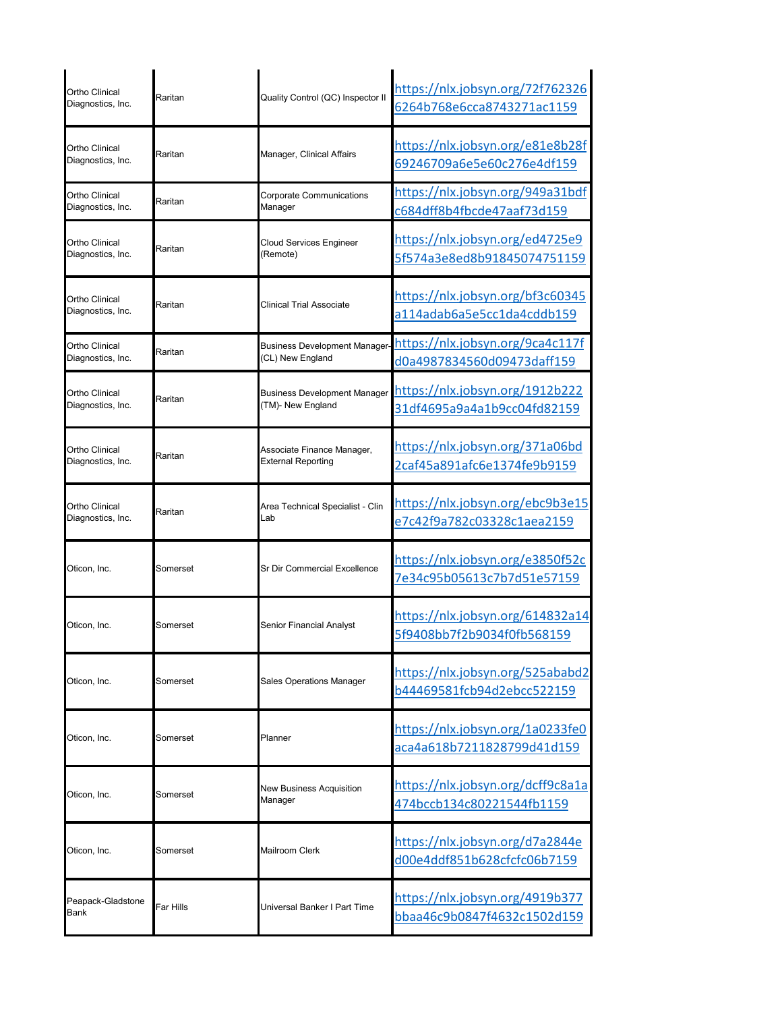| Ortho Clinical<br>Diagnostics, Inc.        | Raritan   | Quality Control (QC) Inspector II                        | https://nlx.jobsyn.org/72f762326<br>6264b768e6cca8743271ac1159         |
|--------------------------------------------|-----------|----------------------------------------------------------|------------------------------------------------------------------------|
| Ortho Clinical<br>Diagnostics, Inc.        | Raritan   | Manager, Clinical Affairs                                | https://nlx.jobsyn.org/e81e8b28f<br>69246709a6e5e60c276e4df159         |
| Ortho Clinical<br>Diagnostics, Inc.        | Raritan   | Corporate Communications<br>Manager                      | https://nlx.jobsyn.org/949a31bdf<br>c684dff8b4fbcde47aaf73d159         |
| Ortho Clinical<br>Diagnostics, Inc.        | Raritan   | <b>Cloud Services Engineer</b><br>(Remote)               | https://nlx.jobsyn.org/ed4725e9<br>5f574a3e8ed8b91845074751159         |
| Ortho Clinical<br>Diagnostics, Inc.        | Raritan   | <b>Clinical Trial Associate</b>                          | https://nlx.jobsyn.org/bf3c60345<br>a114adab6a5e5cc1da4cddb159         |
| <b>Ortho Clinical</b><br>Diagnostics, Inc. | Raritan   | <b>Business Development Manager</b><br>(CL) New England  | https://nlx.jobsyn.org/9ca4c117f<br>d0a4987834560d09473daff159         |
| Ortho Clinical<br>Diagnostics, Inc.        | Raritan   | <b>Business Development Manager</b><br>(TM)- New England | https://nlx.jobsyn.org/1912b222<br>31df4695a9a4a1b9cc04fd82159         |
| Ortho Clinical<br>Diagnostics, Inc.        | Raritan   | Associate Finance Manager,<br><b>External Reporting</b>  | https://nlx.jobsyn.org/371a06bd<br>2caf45a891afc6e1374fe9b9159         |
| Ortho Clinical<br>Diagnostics, Inc.        | Raritan   | Area Technical Specialist - Clin<br>Lab                  | https://nlx.jobsyn.org/ebc9b3e15<br>e7c42f9a782c03328c1aea2159         |
| Oticon. Inc.                               | Somerset  | Sr Dir Commercial Excellence                             | https://nlx.jobsyn.org/e3850f52c<br>7e34c95b05613c7b7d51e57159         |
| Oticon, Inc.                               | Somerset  | Senior Financial Analyst                                 | https://nlx.jobsyn.org/614832a14<br>5f9408bb7f2b9034f0fb568159         |
| Oticon, Inc.                               | Somerset  | <b>Sales Operations Manager</b>                          | https://nlx.jobsyn.org/525ababd2<br>b44469581fcb94d2ebcc522159         |
| Oticon, Inc.                               | Somerset  | Planner                                                  | https://nlx.jobsyn.org/1a0233fe0<br>aca4a618b7211828799d41d159         |
| Oticon, Inc.                               | Somerset  | New Business Acquisition<br>Manager                      | https://nlx.jobsyn.org/dcff9c8a1a<br>474bccb134c80221544fb1159         |
| Oticon, Inc.                               | Somerset  | Mailroom Clerk                                           | https://nlx.jobsyn.org/d7a2844e<br>d00e4ddf851b628cfcfc06b7159         |
| Peapack-Gladstone<br>Bank                  | Far Hills | Universal Banker I Part Time                             | <u> https://nlx.jobsyn.org/4919b377</u><br>bbaa46c9b0847f4632c1502d159 |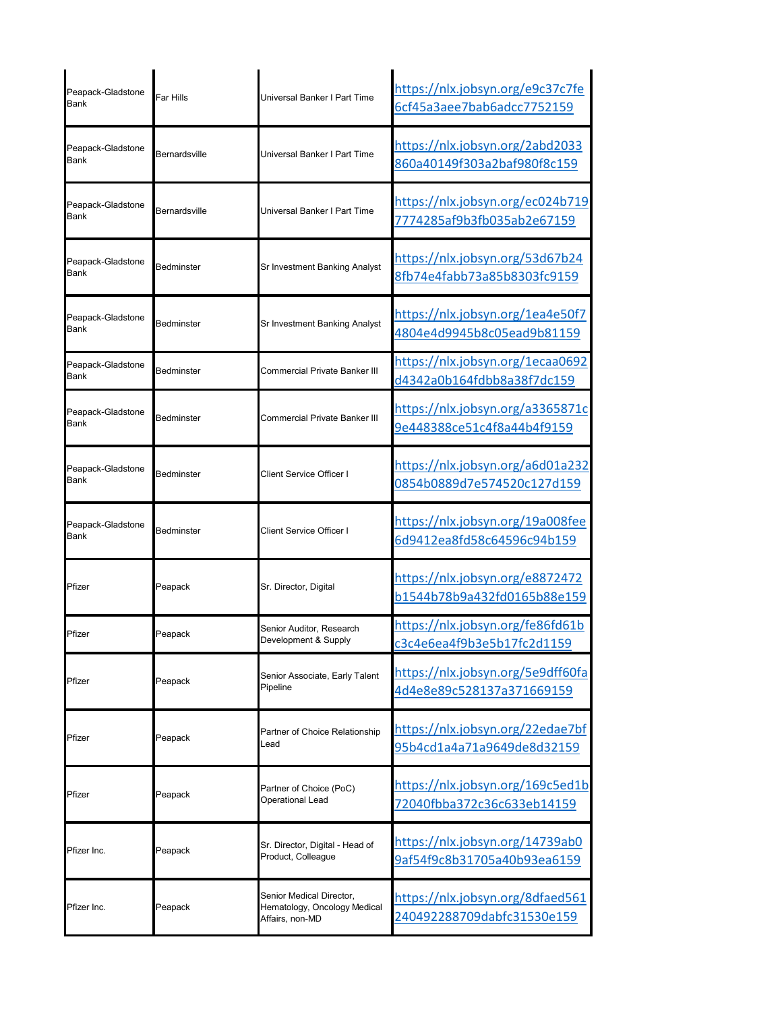| Peapack-Gladstone<br>Bank        | Far Hills            | Universal Banker I Part Time                                                | https://nlx.jobsyn.org/e9c37c7fe<br>6cf45a3aee7bab6adcc7752159 |
|----------------------------------|----------------------|-----------------------------------------------------------------------------|----------------------------------------------------------------|
| Peapack-Gladstone<br><b>Bank</b> | <b>Bernardsville</b> | Universal Banker I Part Time                                                | https://nlx.jobsyn.org/2abd2033<br>860a40149f303a2baf980f8c159 |
| Peapack-Gladstone<br><b>Bank</b> | <b>Bernardsville</b> | Universal Banker I Part Time                                                | https://nlx.jobsyn.org/ec024b719<br>7774285af9b3fb035ab2e67159 |
| Peapack-Gladstone<br><b>Bank</b> | Bedminster           | Sr Investment Banking Analyst                                               | https://nlx.jobsyn.org/53d67b24<br>8fb74e4fabb73a85b8303fc9159 |
| Peapack-Gladstone<br><b>Bank</b> | Bedminster           | Sr Investment Banking Analyst                                               | https://nlx.jobsyn.org/1ea4e50f7<br>4804e4d9945b8c05ead9b81159 |
| Peapack-Gladstone<br><b>Bank</b> | Bedminster           | Commercial Private Banker III                                               | https://nlx.jobsyn.org/1ecaa0692<br>d4342a0b164fdbb8a38f7dc159 |
| Peapack-Gladstone<br><b>Bank</b> | <b>Bedminster</b>    | Commercial Private Banker III                                               | https://nlx.jobsyn.org/a3365871c<br>9e448388ce51c4f8a44b4f9159 |
| Peapack-Gladstone<br><b>Bank</b> | Bedminster           | Client Service Officer I                                                    | https://nlx.jobsyn.org/a6d01a232<br>0854b0889d7e574520c127d159 |
| Peapack-Gladstone<br>Bank        | Bedminster           | Client Service Officer I                                                    | https://nlx.jobsyn.org/19a008fee<br>6d9412ea8fd58c64596c94b159 |
| Pfizer                           | Peapack              | Sr. Director, Digital                                                       | https://nlx.jobsyn.org/e8872472<br>b1544b78b9a432fd0165b88e159 |
| Pfizer                           | Peapack              | Senior Auditor, Research<br>Development & Supply                            | https://nlx.jobsyn.org/fe86fd61b<br>c3c4e6ea4f9b3e5b17fc2d1159 |
| Pfizer                           | Peapack              | Senior Associate, Early Talent<br>Pipeline                                  | https://nlx.jobsyn.org/5e9dff60fa<br>4d4e8e89c528137a371669159 |
| Pfizer                           | Peapack              | Partner of Choice Relationship<br>Lead                                      | https://nlx.jobsyn.org/22edae7bf<br>95b4cd1a4a71a9649de8d32159 |
| Pfizer                           | Peapack              | Partner of Choice (PoC)<br>Operational Lead                                 | https://nlx.jobsyn.org/169c5ed1b<br>72040fbba372c36c633eb14159 |
| Pfizer Inc.                      | Peapack              | Sr. Director, Digital - Head of<br>Product, Colleague                       | https://nlx.jobsyn.org/14739ab0<br>9af54f9c8b31705a40b93ea6159 |
| Pfizer Inc.                      | Peapack              | Senior Medical Director,<br>Hematology, Oncology Medical<br>Affairs, non-MD | https://nlx.jobsyn.org/8dfaed561<br>240492288709dabfc31530e159 |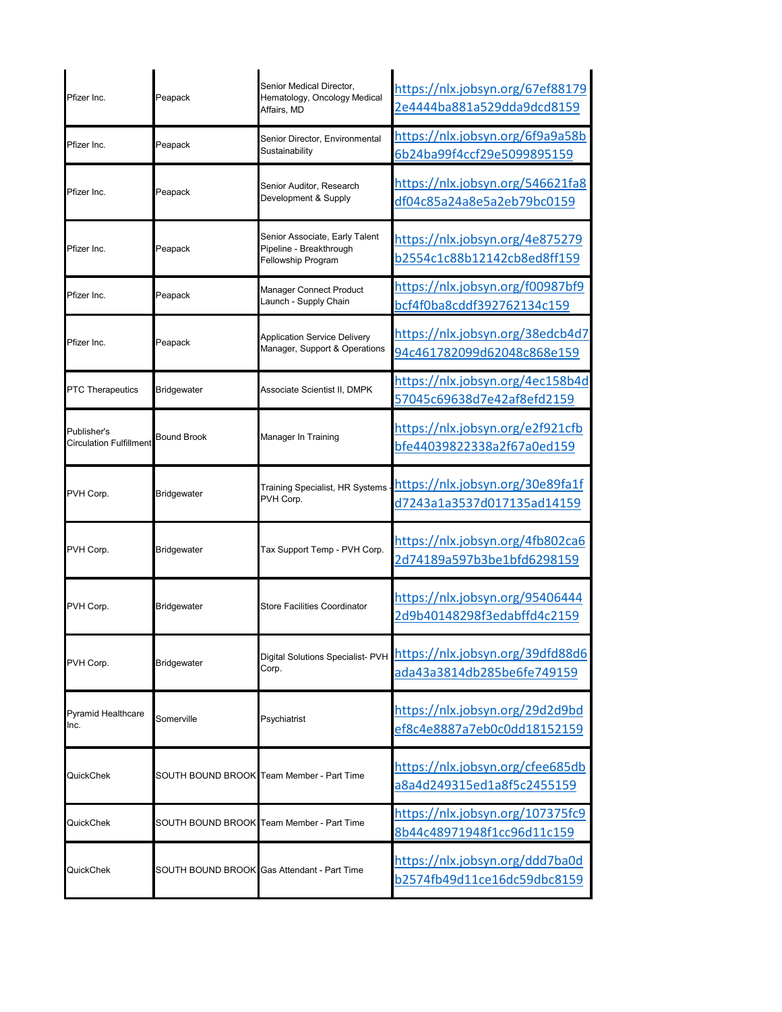| Pfizer Inc.                                   | Peapack            | Senior Medical Director,<br>Hematology, Oncology Medical<br>Affairs, MD         | https://nlx.jobsyn.org/67ef88179<br>2e4444ba881a529dda9dcd8159 |
|-----------------------------------------------|--------------------|---------------------------------------------------------------------------------|----------------------------------------------------------------|
| Pfizer Inc                                    | Peapack            | Senior Director, Environmental<br>Sustainability                                | https://nlx.jobsyn.org/6f9a9a58b<br>6b24ba99f4ccf29e5099895159 |
| Pfizer Inc.                                   | Peapack            | Senior Auditor, Research<br>Development & Supply                                | https://nlx.jobsyn.org/546621fa8<br>df04c85a24a8e5a2eb79bc0159 |
| Pfizer Inc.                                   | Peapack            | Senior Associate, Early Talent<br>Pipeline - Breakthrough<br>Fellowship Program | https://nlx.jobsyn.org/4e875279<br>b2554c1c88b12142cb8ed8ff159 |
| Pfizer Inc.                                   | Peapack            | Manager Connect Product<br>Launch - Supply Chain                                | https://nlx.jobsyn.org/f00987bf9<br>bcf4f0ba8cddf392762134c159 |
| Pfizer Inc.                                   | Peapack            | <b>Application Service Delivery</b><br>Manager, Support & Operations            | https://nlx.jobsyn.org/38edcb4d7<br>94c461782099d62048c868e159 |
| <b>PTC Therapeutics</b>                       | <b>Bridgewater</b> | Associate Scientist II, DMPK                                                    | https://nlx.jobsyn.org/4ec158b4d<br>57045c69638d7e42af8efd2159 |
| Publisher's<br><b>Circulation Fulfillment</b> | <b>Bound Brook</b> | Manager In Training                                                             | https://nlx.jobsyn.org/e2f921cfb<br>bfe44039822338a2f67a0ed159 |
| PVH Corp.                                     | Bridgewater        | <b>Training Specialist, HR Systems</b><br>PVH Corp.                             | https://nlx.jobsyn.org/30e89fa1f<br>d7243a1a3537d017135ad14159 |
| PVH Corp.                                     | <b>Bridgewater</b> | Tax Support Temp - PVH Corp.                                                    | https://nlx.jobsyn.org/4fb802ca6<br>2d74189a597b3be1bfd6298159 |
| PVH Corp.                                     | <b>Bridgewater</b> | Store Facilities Coordinator                                                    | https://nlx.jobsyn.org/95406444<br>2d9b40148298f3edabffd4c2159 |
| PVH Corp.                                     | <b>Bridgewater</b> | Digital Solutions Specialist- PVH<br>Corp.                                      | https://nlx.jobsyn.org/39dfd88d6<br>ada43a3814db285be6fe749159 |
| <b>Pyramid Healthcare</b><br>Inc.             | Somerville         | Psychiatrist                                                                    | https://nlx.jobsyn.org/29d2d9bd<br>ef8c4e8887a7eb0c0dd18152159 |
| QuickChek                                     |                    | SOUTH BOUND BROOK Team Member - Part Time                                       | https://nlx.jobsyn.org/cfee685db<br>a8a4d249315ed1a8f5c2455159 |
| QuickChek                                     |                    | SOUTH BOUND BROOK Team Member - Part Time                                       | https://nlx.jobsyn.org/107375fc9<br>8b44c48971948f1cc96d11c159 |
| QuickChek                                     |                    | SOUTH BOUND BROOK Gas Attendant - Part Time                                     | https://nlx.jobsyn.org/ddd7ba0d<br>b2574fb49d11ce16dc59dbc8159 |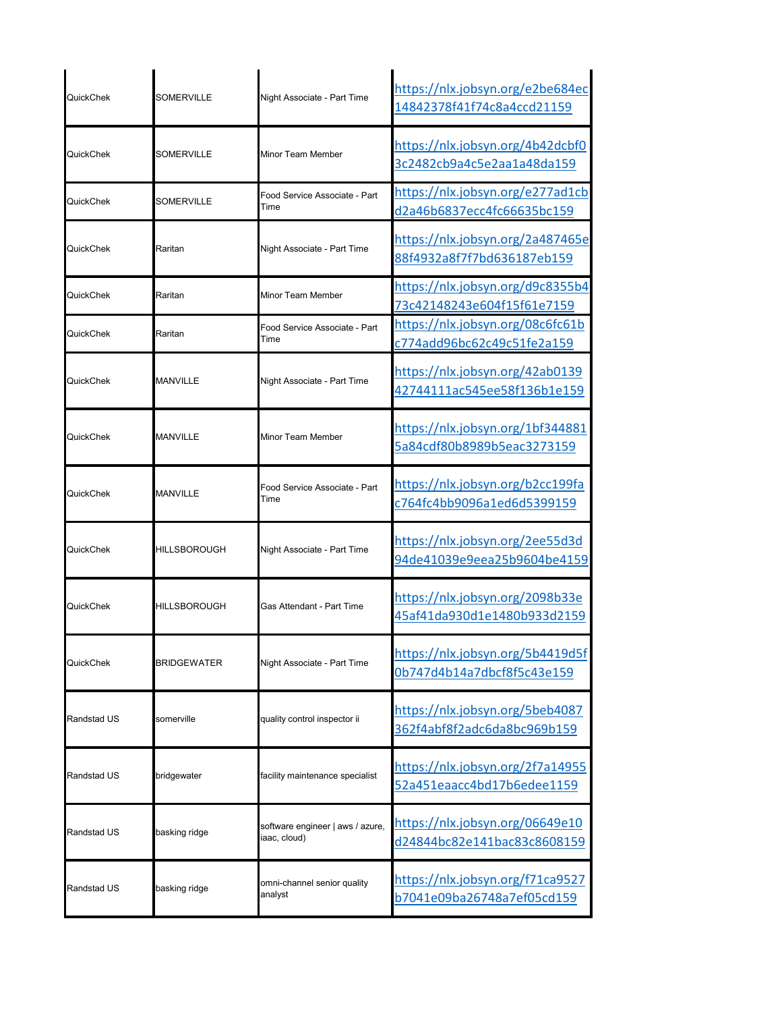| QuickChek          | SOMERVILLE          | Night Associate - Part Time                      | https://nlx.jobsyn.org/e2be684ec<br>14842378f41f74c8a4ccd21159         |
|--------------------|---------------------|--------------------------------------------------|------------------------------------------------------------------------|
| QuickChek          | SOMERVILLE          | Minor Team Member                                | https://nlx.jobsyn.org/4b42dcbf0<br>3c2482cb9a4c5e2aa1a48da159         |
| QuickChek          | SOMERVILLE          | Food Service Associate - Part<br>Time            | https://nlx.jobsyn.org/e277ad1cb<br>d2a46b6837ecc4fc66635bc159         |
| QuickChek          | Raritan             | Night Associate - Part Time                      | https://nlx.jobsyn.org/2a487465e<br>88f4932a8f7f7bd636187eb159         |
| QuickChek          | Raritan             | Minor Team Member                                | https://nlx.jobsyn.org/d9c8355b4<br>73c42148243e604f15f61e7159         |
| QuickChek          | Raritan             | Food Service Associate - Part<br>Time            | <u> https://nlx.jobsyn.org/08c6fc61b</u><br>c774add96bc62c49c51fe2a159 |
| <b>QuickChek</b>   | MANVILLE            | Night Associate - Part Time                      | https://nlx.jobsyn.org/42ab0139<br>42744111ac545ee58f136b1e159         |
| QuickChek          | MANVILLE            | Minor Team Member                                | https://nlx.jobsyn.org/1bf344881<br>5a84cdf80b8989b5eac3273159         |
| QuickChek          | <b>MANVILLE</b>     | Food Service Associate - Part<br>Time            | https://nlx.jobsyn.org/b2cc199fa<br>c764fc4bb9096a1ed6d5399159         |
| QuickChek          | HILLSBOROUGH        | Night Associate - Part Time                      | https://nlx.jobsyn.org/2ee55d3d<br>94de41039e9eea25b9604be4159         |
| QuickChek          | <b>HILLSBOROUGH</b> | Gas Attendant - Part Time                        | https://nlx.jobsyn.org/2098b33e<br>45af41da930d1e1480b933d2159         |
| QuickChek          | <b>BRIDGEWATER</b>  | Night Associate - Part Time                      | https://nlx.jobsyn.org/5b4419d5f<br>0b747d4b14a7dbcf8f5c43e159         |
| <b>Randstad US</b> | somerville          | quality control inspector ii                     | https://nlx.jobsyn.org/5beb4087<br>362f4abf8f2adc6da8bc969b159         |
| Randstad US        | bridgewater         | facility maintenance specialist                  | https://nlx.jobsyn.org/2f7a14955<br>52a451eaacc4bd17b6edee1159         |
| Randstad US        | basking ridge       | software engineer   aws / azure,<br>iaac, cloud) | https://nlx.jobsyn.org/06649e10<br>d24844bc82e141bac83c8608159         |
| Randstad US        | basking ridge       | omni-channel senior quality<br>analyst           | https://nlx.jobsyn.org/f71ca9527<br>b7041e09ba26748a7ef05cd159         |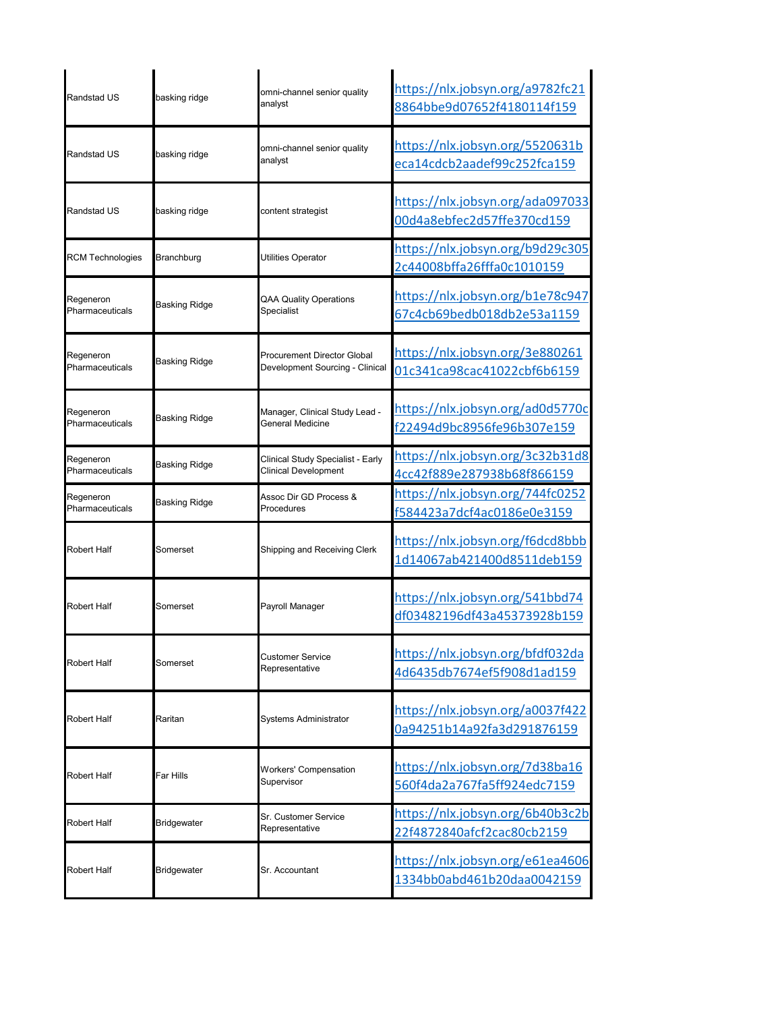| <b>Randstad US</b>           | basking ridge        | omni-channel senior quality                                      | https://nlx.jobsyn.org/a9782fc21                               |
|------------------------------|----------------------|------------------------------------------------------------------|----------------------------------------------------------------|
|                              |                      | analyst                                                          | 8864bbe9d07652f4180114f159                                     |
| <b>Randstad US</b>           | basking ridge        | omni-channel senior quality<br>analyst                           | https://nlx.jobsyn.org/5520631b<br>eca14cdcb2aadef99c252fca159 |
| <b>Randstad US</b>           | basking ridge        | content strategist                                               | https://nlx.jobsyn.org/ada097033<br>00d4a8ebfec2d57ffe370cd159 |
| <b>RCM Technologies</b>      | Branchburg           | Utilities Operator                                               | https://nlx.jobsyn.org/b9d29c305<br>2c44008bffa26fffa0c1010159 |
| Regeneron<br>Pharmaceuticals | <b>Basking Ridge</b> | QAA Quality Operations<br>Specialist                             | https://nlx.jobsyn.org/b1e78c947<br>67c4cb69bedb018db2e53a1159 |
| Regeneron<br>Pharmaceuticals | Basking Ridge        | Procurement Director Global<br>Development Sourcing - Clinical   | https://nlx.jobsyn.org/3e880261<br>01c341ca98cac41022cbf6b6159 |
| Regeneron<br>Pharmaceuticals | Basking Ridge        | Manager, Clinical Study Lead -<br>General Medicine               | https://nlx.jobsyn.org/ad0d5770c<br>f22494d9bc8956fe96b307e159 |
| Regeneron<br>Pharmaceuticals | Basking Ridge        | Clinical Study Specialist - Early<br><b>Clinical Development</b> | https://nlx.jobsyn.org/3c32b31d8<br>4cc42f889e287938b68f866159 |
| Regeneron<br>Pharmaceuticals | Basking Ridge        | Assoc Dir GD Process &<br>Procedures                             | https://nlx.jobsyn.org/744fc0252<br>f584423a7dcf4ac0186e0e3159 |
| Robert Half                  | Somerset             | Shipping and Receiving Clerk                                     | https://nlx.jobsyn.org/f6dcd8bbb<br>1d14067ab421400d8511deb159 |
| Robert Half                  | Somerset             | Payroll Manager                                                  | https://nlx.jobsyn.org/541bbd74<br>df03482196df43a45373928b159 |
| Robert Half                  | Somerset             | Customer Service<br>Representative                               | https://nlx.jobsyn.org/bfdf032da<br>4d6435db7674ef5f908d1ad159 |
| Robert Half                  | Raritan              | Systems Administrator                                            | https://nlx.jobsyn.org/a0037f422<br>0a94251b14a92fa3d291876159 |
| Robert Half                  | Far Hills            | <b>Workers' Compensation</b><br>Supervisor                       | https://nlx.jobsyn.org/7d38ba16<br>560f4da2a767fa5ff924edc7159 |
| Robert Half                  | Bridgewater          | Sr. Customer Service<br>Representative                           | https://nlx.jobsyn.org/6b40b3c2b<br>22f4872840afcf2cac80cb2159 |
| Robert Half                  | Bridgewater          | Sr. Accountant                                                   | https://nlx.jobsyn.org/e61ea4606<br>1334bb0abd461b20daa0042159 |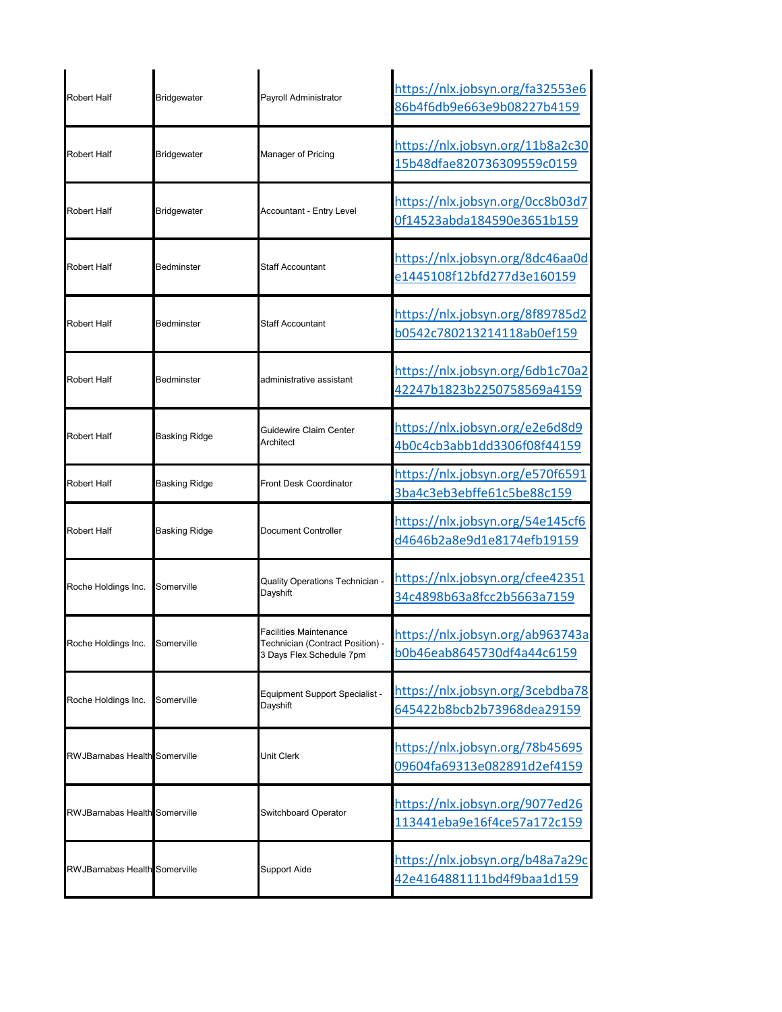| <b>Robert Half</b>                   | <b>Bridgewater</b>   | Payroll Administrator                                                                  | https://nlx.jobsyn.org/fa32553e6<br>86b4f6db9e663e9b08227b4159 |
|--------------------------------------|----------------------|----------------------------------------------------------------------------------------|----------------------------------------------------------------|
| Robert Half                          | Bridgewater          | Manager of Pricing                                                                     | https://nlx.jobsyn.org/11b8a2c30<br>15b48dfae820736309559c0159 |
| Robert Half                          | Bridgewater          | <b>Accountant - Entry Level</b>                                                        | https://nlx.jobsyn.org/0cc8b03d7<br>0f14523abda184590e3651b159 |
| Robert Half                          | Bedminster           | <b>Staff Accountant</b>                                                                | https://nlx.jobsyn.org/8dc46aa0d<br>e1445108f12bfd277d3e160159 |
| <b>Robert Half</b>                   | Bedminster           | <b>Staff Accountant</b>                                                                | https://nlx.jobsyn.org/8f89785d2<br>b0542c780213214118ab0ef159 |
| Robert Half                          | Bedminster           | administrative assistant                                                               | https://nlx.jobsyn.org/6db1c70a2<br>42247b1823b2250758569a4159 |
| <b>Robert Half</b>                   | <b>Basking Ridge</b> | Guidewire Claim Center<br>Architect                                                    | https://nlx.jobsyn.org/e2e6d8d9<br>4b0c4cb3abb1dd3306f08f44159 |
| Robert Half                          | Basking Ridge        | <b>Front Desk Coordinator</b>                                                          | https://nlx.jobsyn.org/e570f6591<br>3ba4c3eb3ebffe61c5be88c159 |
| Robert Half                          | <b>Basking Ridge</b> | Document Controller                                                                    | https://nlx.jobsyn.org/54e145cf6<br>d4646b2a8e9d1e8174efb19159 |
| Roche Holdings Inc.                  | Somerville           | Quality Operations Technician -<br>Dayshift                                            | https://nlx.jobsyn.org/cfee42351<br>34c4898b63a8fcc2b5663a7159 |
| Roche Holdings Inc.                  | Somerville           | Facilities Maintenance<br>Technician (Contract Position) -<br>3 Days Flex Schedule 7pm | https://nlx.jobsyn.org/ab963743a<br>b0b46eab8645730df4a44c6159 |
| Roche Holdings Inc.                  | Somerville           | Equipment Support Specialist -<br>Dayshift                                             | https://nlx.jobsyn.org/3cebdba78<br>645422b8bcb2b73968dea29159 |
| <b>RWJBarnabas Health</b> Somerville |                      | Unit Clerk                                                                             | https://nlx.jobsyn.org/78b45695<br>09604fa69313e082891d2ef4159 |
| <b>RWJBarnabas Health Somerville</b> |                      | Switchboard Operator                                                                   | https://nlx.jobsyn.org/9077ed26<br>113441eba9e16f4ce57a172c159 |
| <b>RWJBarnabas Health</b> Somerville |                      | <b>Support Aide</b>                                                                    | https://nlx.jobsyn.org/b48a7a29c<br>42e4164881111bd4f9baa1d159 |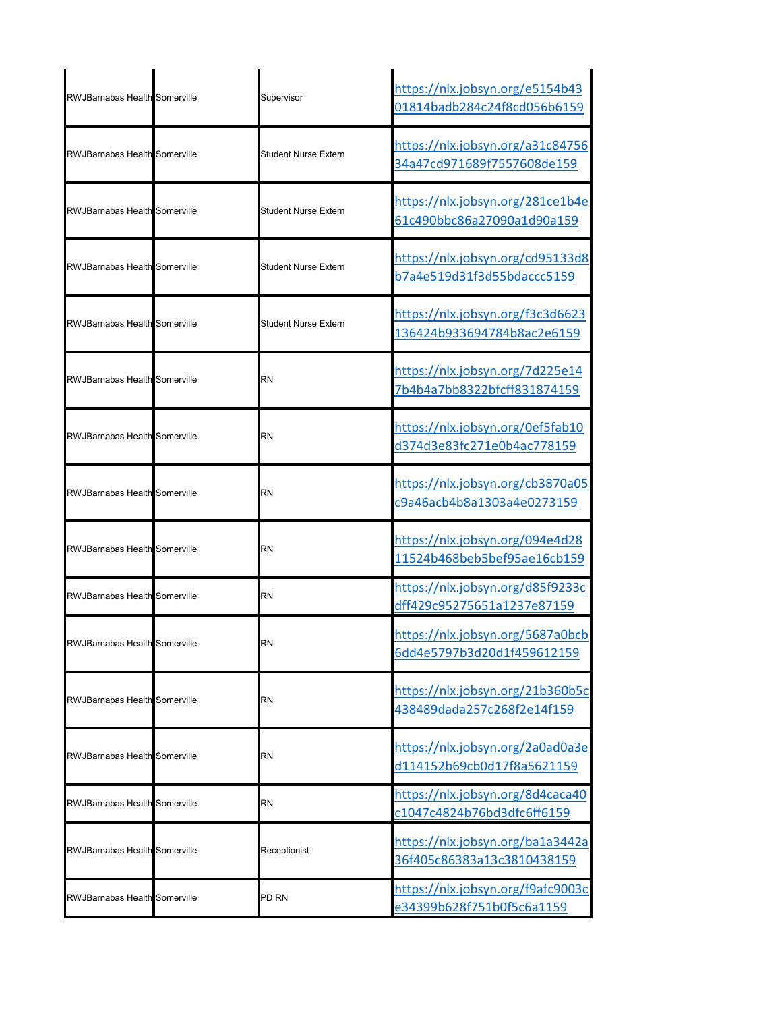| <b>RWJBarnabas Health Somerville</b> | Supervisor           | https://nlx.jobsyn.org/e5154b43<br>01814badb284c24f8cd056b6159 |
|--------------------------------------|----------------------|----------------------------------------------------------------|
| <b>RWJBarnabas Health Somerville</b> | Student Nurse Extern | https://nlx.jobsyn.org/a31c84756<br>34a47cd971689f7557608de159 |
| RWJBarnabas Health Somerville        | Student Nurse Extern | https://nlx.jobsyn.org/281ce1b4e<br>61c490bbc86a27090a1d90a159 |
| RWJBarnabas Health Somerville        | Student Nurse Extern | https://nlx.jobsyn.org/cd95133d8<br>b7a4e519d31f3d55bdaccc5159 |
| <b>RWJBarnabas Health Somerville</b> | Student Nurse Extern | https://nlx.jobsyn.org/f3c3d6623<br>136424b933694784b8ac2e6159 |
| RWJBarnabas Health Somerville        | RN                   | https://nlx.jobsyn.org/7d225e14<br>7b4b4a7bb8322bfcff831874159 |
| RWJBarnabas Health Somerville        | RN                   | https://nlx.jobsyn.org/0ef5fab10<br>d374d3e83fc271e0b4ac778159 |
| <b>RWJBarnabas Health Somerville</b> | RN                   | https://nlx.jobsyn.org/cb3870a05<br>c9a46acb4b8a1303a4e0273159 |
| <b>RWJBarnabas Health Somerville</b> | RN                   | https://nlx.jobsyn.org/094e4d28<br>11524b468beb5bef95ae16cb159 |
| <b>RWJBarnabas Health Somerville</b> | RN                   | https://nlx.jobsyn.org/d85f9233c<br>dff429c95275651a1237e87159 |
| <b>RWJBarnabas Health Somerville</b> | <b>RN</b>            | https://nlx.jobsyn.org/5687a0bcb<br>6dd4e5797b3d20d1f459612159 |
| RWJBarnabas Health Somerville        | RN                   | https://nlx.jobsyn.org/21b360b5c<br>438489dada257c268f2e14f159 |
| <b>RWJBarnabas Health Somerville</b> | RN                   | https://nlx.jobsyn.org/2a0ad0a3e<br>d114152b69cb0d17f8a5621159 |
| RWJBarnabas Health Somerville        | RN                   | https://nlx.jobsyn.org/8d4caca40<br>c1047c4824b76bd3dfc6ff6159 |
| <b>RWJBarnabas Health</b> Somerville | Receptionist         | https://nlx.jobsyn.org/ba1a3442a<br>36f405c86383a13c3810438159 |
| <b>RWJBarnabas Health Somerville</b> | PD RN                | https://nlx.jobsyn.org/f9afc9003c<br>e34399b628f751b0f5c6a1159 |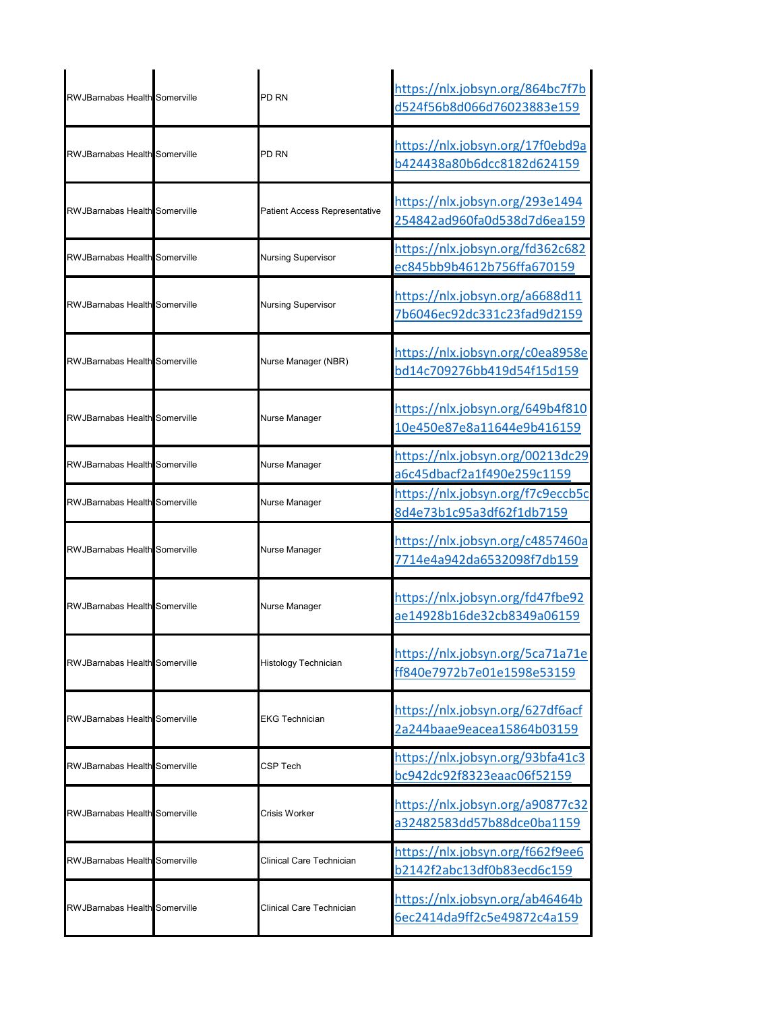| <b>RWJBarnabas Health Somerville</b> | PD RN                         | https://nlx.jobsyn.org/864bc7f7b<br>d524f56b8d066d76023883e159 |
|--------------------------------------|-------------------------------|----------------------------------------------------------------|
| RWJBarnabas Health Somerville        | PD RN                         | https://nlx.jobsyn.org/17f0ebd9a<br>b424438a80b6dcc8182d624159 |
| <b>RWJBarnabas Health Somerville</b> | Patient Access Representative | https://nlx.jobsyn.org/293e1494<br>254842ad960fa0d538d7d6ea159 |
| <b>RWJBarnabas Health</b> Somerville | <b>Nursing Supervisor</b>     | https://nlx.jobsyn.org/fd362c682<br>ec845bb9b4612b756ffa670159 |
| <b>RWJBarnabas Health</b> Somerville | <b>Nursing Supervisor</b>     | https://nlx.jobsyn.org/a6688d11<br>7b6046ec92dc331c23fad9d2159 |
| <b>RWJBarnabas Health</b> Somerville | Nurse Manager (NBR)           | https://nlx.jobsyn.org/c0ea8958e<br>bd14c709276bb419d54f15d159 |
| <b>RWJBarnabas Health Somerville</b> | Nurse Manager                 | https://nlx.jobsyn.org/649b4f810<br>10e450e87e8a11644e9b416159 |
| RWJBarnabas Health Somerville        | Nurse Manager                 | https://nlx.jobsyn.org/00213dc29<br>a6c45dbacf2a1f490e259c1159 |
| RWJBarnabas Health Somerville        | Nurse Manager                 | https://nlx.jobsyn.org/f7c9eccb5c<br>8d4e73b1c95a3df62f1db7159 |
| <b>RWJBarnabas Health</b> Somerville | Nurse Manager                 | https://nlx.jobsyn.org/c4857460a<br>7714e4a942da6532098f7db159 |
| <b>RWJBarnabas Health Somerville</b> | Nurse Manager                 | https://nlx.jobsyn.org/fd47fbe92<br>ae14928b16de32cb8349a06159 |
| <b>RWJBarnabas Health Somerville</b> | Histology Technician          | https://nlx.jobsyn.org/5ca71a71e<br>ff840e7972b7e01e1598e53159 |
| <b>RWJBarnabas Health</b> Somerville | EKG Technician                | https://nlx.jobsyn.org/627df6acf<br>2a244baae9eacea15864b03159 |
| RWJBarnabas Health Somerville        | CSP Tech                      | https://nlx.jobsyn.org/93bfa41c3<br>bc942dc92f8323eaac06f52159 |
| <b>RWJBarnabas Health</b> Somerville | Crisis Worker                 | https://nlx.jobsyn.org/a90877c32<br>a32482583dd57b88dce0ba1159 |
| <b>RWJBarnabas Health Somerville</b> | Clinical Care Technician      | https://nlx.jobsyn.org/f662f9ee6<br>b2142f2abc13df0b83ecd6c159 |
| <b>RWJBarnabas Health</b> Somerville | Clinical Care Technician      | https://nlx.jobsyn.org/ab46464b<br>6ec2414da9ff2c5e49872c4a159 |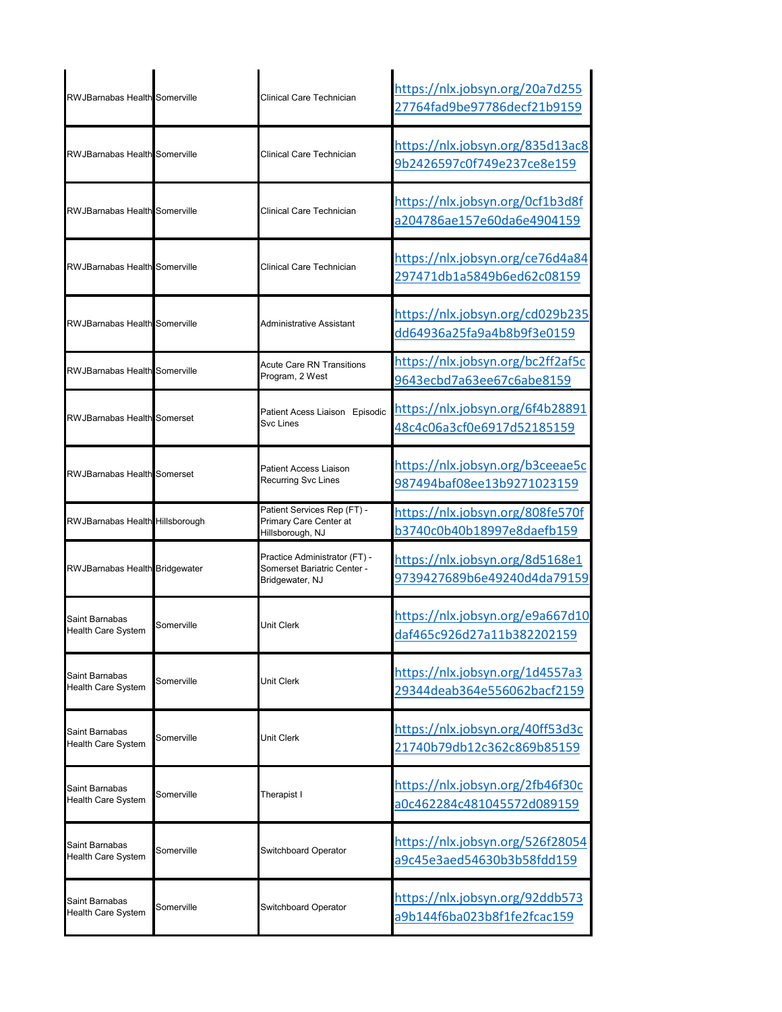| <b>RWJBarnabas Health</b> Somerville        |            | Clinical Care Technician                                                        | https://nlx.jobsyn.org/20a7d255<br>27764fad9be97786decf21b9159 |
|---------------------------------------------|------------|---------------------------------------------------------------------------------|----------------------------------------------------------------|
| RWJBarnabas Health Somerville               |            | Clinical Care Technician                                                        | https://nlx.jobsyn.org/835d13ac8<br>9b2426597c0f749e237ce8e159 |
| RWJBarnabas Health Somerville               |            | Clinical Care Technician                                                        | https://nlx.jobsyn.org/0cf1b3d8f<br>a204786ae157e60da6e4904159 |
| <b>RWJBarnabas Health Somerville</b>        |            | Clinical Care Technician                                                        | https://nlx.jobsyn.org/ce76d4a84<br>297471db1a5849b6ed62c08159 |
| <b>RWJBarnabas Health Somerville</b>        |            | Administrative Assistant                                                        | https://nlx.jobsyn.org/cd029b235<br>dd64936a25fa9a4b8b9f3e0159 |
| <b>RWJBarnabas Health Somerville</b>        |            | <b>Acute Care RN Transitions</b><br>Program, 2 West                             | https://nlx.jobsyn.org/bc2ff2af5c<br>9643ecbd7a63ee67c6abe8159 |
| <b>RWJBarnabas Health Somerset</b>          |            | Patient Acess Liaison Episodic<br>Svc Lines                                     | https://nlx.jobsyn.org/6f4b28891<br>48c4c06a3cf0e6917d52185159 |
| <b>RWJBarnabas Health Somerset</b>          |            | Patient Access Liaison<br><b>Recurring Svc Lines</b>                            | https://nlx.jobsyn.org/b3ceeae5c<br>987494baf08ee13b9271023159 |
| RWJBarnabas Health Hillsborough             |            | Patient Services Rep (FT) -<br>Primary Care Center at<br>Hillsborough, NJ       | https://nlx.jobsyn.org/808fe570f<br>b3740c0b40b18997e8daefb159 |
| <b>RWJBarnabas Health Bridgewater</b>       |            | Practice Administrator (FT) -<br>Somerset Bariatric Center -<br>Bridgewater, NJ | https://nlx.jobsyn.org/8d5168e1<br>9739427689b6e49240d4da79159 |
| Saint Barnabas<br><b>Health Care System</b> | Somerville | Unit Clerk                                                                      | https://nlx.jobsyn.org/e9a667d10<br>daf465c926d27a11b382202159 |
| Saint Barnabas<br>Health Care System        | Somerville | Unit Clerk                                                                      | https://nlx.jobsyn.org/1d4557a3<br>29344deab364e556062bacf2159 |
| Saint Barnabas<br><b>Health Care System</b> | Somerville | Unit Clerk                                                                      | https://nlx.jobsyn.org/40ff53d3c<br>21740b79db12c362c869b85159 |
| Saint Barnabas<br><b>Health Care System</b> | Somerville | Therapist I                                                                     | https://nlx.jobsyn.org/2fb46f30c<br>a0c462284c481045572d089159 |
| Saint Barnabas<br>Health Care System        | Somerville | Switchboard Operator                                                            | https://nlx.jobsyn.org/526f28054<br>a9c45e3aed54630b3b58fdd159 |
| Saint Barnabas<br><b>Health Care System</b> | Somerville | Switchboard Operator                                                            | https://nlx.jobsyn.org/92ddb573<br>a9b144f6ba023b8f1fe2fcac159 |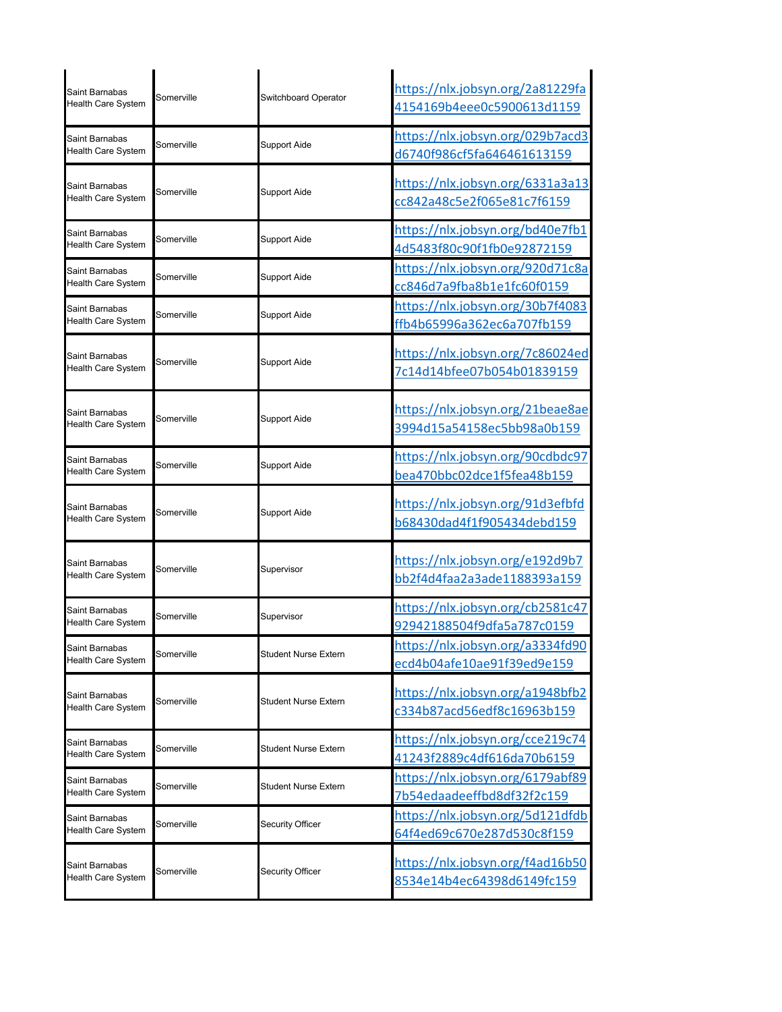| Saint Barnabas<br><b>Health Care System</b> | Somerville | Switchboard Operator | https://nlx.jobsyn.org/2a81229fa<br>4154169b4eee0c5900613d1159 |
|---------------------------------------------|------------|----------------------|----------------------------------------------------------------|
| Saint Barnabas<br><b>Health Care System</b> | Somerville | Support Aide         | https://nlx.jobsyn.org/029b7acd3<br>d6740f986cf5fa646461613159 |
| Saint Barnabas<br><b>Health Care System</b> | Somerville | <b>Support Aide</b>  | https://nlx.jobsyn.org/6331a3a13<br>cc842a48c5e2f065e81c7f6159 |
| Saint Barnabas<br><b>Health Care System</b> | Somerville | <b>Support Aide</b>  | https://nlx.jobsyn.org/bd40e7fb1<br>4d5483f80c90f1fb0e92872159 |
| Saint Barnabas<br>Health Care System        | Somerville | <b>Support Aide</b>  | https://nlx.jobsyn.org/920d71c8a<br>cc846d7a9fba8b1e1fc60f0159 |
| Saint Barnabas<br>Health Care System        | Somerville | Support Aide         | https://nlx.jobsyn.org/30b7f4083<br>ffb4b65996a362ec6a707fb159 |
| Saint Barnabas<br><b>Health Care System</b> | Somerville | Support Aide         | https://nlx.jobsyn.org/7c86024ed<br>7c14d14bfee07b054b01839159 |
| Saint Barnabas<br><b>Health Care System</b> | Somerville | Support Aide         | https://nlx.jobsyn.org/21beae8ae<br>3994d15a54158ec5bb98a0b159 |
| Saint Barnabas<br>Health Care System        | Somerville | Support Aide         | https://nlx.jobsyn.org/90cdbdc97<br>bea470bbc02dce1f5fea48b159 |
| Saint Barnabas<br><b>Health Care System</b> | Somerville | <b>Support Aide</b>  | https://nlx.jobsyn.org/91d3efbfd<br>b68430dad4f1f905434debd159 |
|                                             |            |                      |                                                                |
| Saint Barnabas<br>Health Care System        | Somerville | Supervisor           | https://nlx.jobsyn.org/e192d9b7<br>bb2f4d4faa2a3ade1188393a159 |
| Saint Barnabas<br><b>Health Care System</b> | Somerville | Supervisor           | https://nlx.jobsyn.org/cb2581c47<br>92942188504f9dfa5a787c0159 |
| Saint Barnabas<br><b>Health Care System</b> | Somerville | Student Nurse Extern | https://nlx.jobsyn.org/a3334fd90<br>ecd4b04afe10ae91f39ed9e159 |
| Saint Barnabas<br><b>Health Care System</b> | Somerville | Student Nurse Extern | https://nlx.jobsyn.org/a1948bfb2<br>c334b87acd56edf8c16963b159 |
| Saint Barnabas<br><b>Health Care System</b> | Somerville | Student Nurse Extern | https://nlx.jobsyn.org/cce219c74<br>41243f2889c4df616da70b6159 |
| Saint Barnabas<br>Health Care System        | Somerville | Student Nurse Extern | https://nlx.jobsyn.org/6179abf89<br>7b54edaadeeffbd8df32f2c159 |
| Saint Barnabas<br>Health Care System        | Somerville | Security Officer     | https://nlx.jobsyn.org/5d121dfdb<br>64f4ed69c670e287d530c8f159 |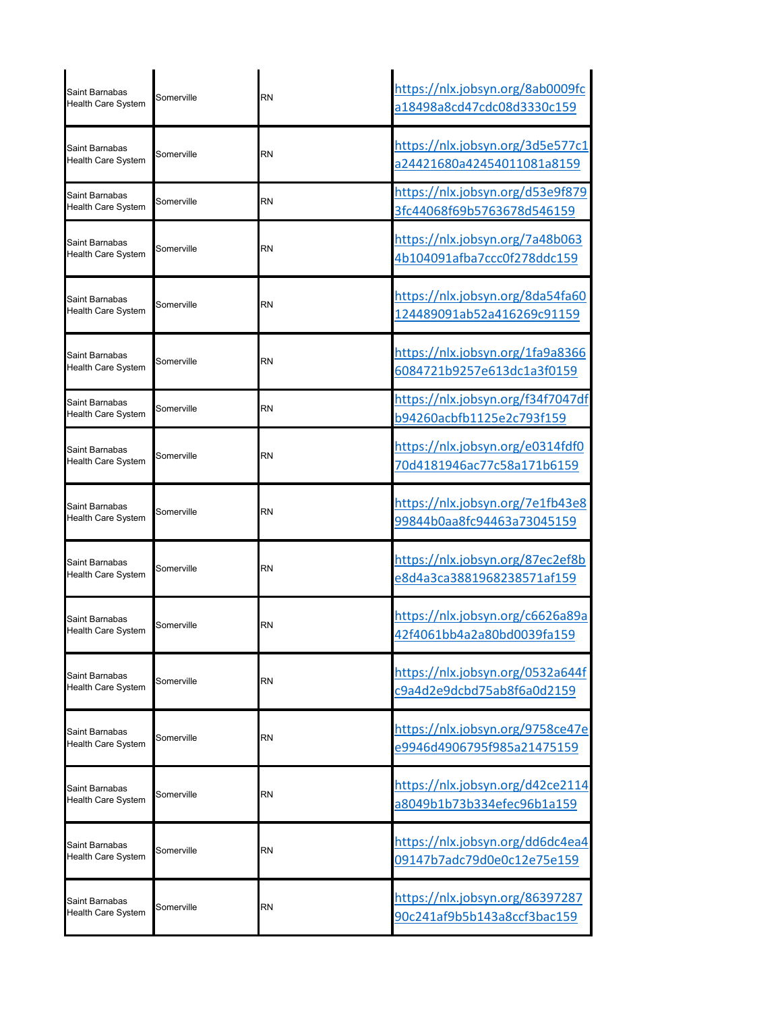| Saint Barnabas<br><b>Health Care System</b> | Somerville | RN        | https://nlx.jobsyn.org/8ab0009fc<br>a18498a8cd47cdc08d3330c159 |
|---------------------------------------------|------------|-----------|----------------------------------------------------------------|
| Saint Barnabas<br>Health Care System        | Somerville | <b>RN</b> | https://nlx.jobsyn.org/3d5e577c1<br>a24421680a42454011081a8159 |
| Saint Barnabas<br>Health Care System        | Somerville | RN        | https://nlx.jobsyn.org/d53e9f879<br>3fc44068f69b5763678d546159 |
| Saint Barnabas<br><b>Health Care System</b> | Somerville | RN        | https://nlx.jobsyn.org/7a48b063<br>4b104091afba7ccc0f278ddc159 |
| Saint Barnabas<br><b>Health Care System</b> | Somerville | RN        | https://nlx.jobsyn.org/8da54fa60<br>124489091ab52a416269c91159 |
| Saint Barnabas<br><b>Health Care System</b> | Somerville | RN        | https://nlx.jobsyn.org/1fa9a8366<br>6084721b9257e613dc1a3f0159 |
| Saint Barnabas<br>Health Care System        | Somerville | RN        | https://nlx.jobsyn.org/f34f7047df<br>b94260acbfb1125e2c793f159 |
| Saint Barnabas<br><b>Health Care System</b> | Somerville | <b>RN</b> | https://nlx.jobsyn.org/e0314fdf0<br>70d4181946ac77c58a171b6159 |
| Saint Barnabas<br>Health Care System        | Somerville | RN        | https://nlx.jobsyn.org/7e1fb43e8<br>99844b0aa8fc94463a73045159 |
| Saint Barnabas<br>Health Care System        | Somerville | RN        | https://nlx.jobsyn.org/87ec2ef8b<br>e8d4a3ca3881968238571af159 |
| Saint Barnabas<br><b>Health Care System</b> | Somerville | <b>RN</b> | https://nlx.jobsyn.org/c6626a89a<br>42f4061bb4a2a80bd0039fa159 |
| Saint Barnabas<br><b>Health Care System</b> | Somerville | RN        | https://nlx.jobsyn.org/0532a644f<br>c9a4d2e9dcbd75ab8f6a0d2159 |
| Saint Barnabas<br><b>Health Care System</b> | Somerville | RN        | https://nlx.jobsyn.org/9758ce47e<br>e9946d4906795f985a21475159 |
| Saint Barnabas<br><b>Health Care System</b> | Somerville | RN        | https://nlx.jobsyn.org/d42ce2114<br>a8049b1b73b334efec96b1a159 |
| Saint Barnabas<br>Health Care System        | Somerville | RN        | https://nlx.jobsyn.org/dd6dc4ea4<br>09147b7adc79d0e0c12e75e159 |
| Saint Barnabas<br><b>Health Care System</b> | Somerville | RN        | https://nlx.jobsyn.org/86397287<br>90c241af9b5b143a8ccf3bac159 |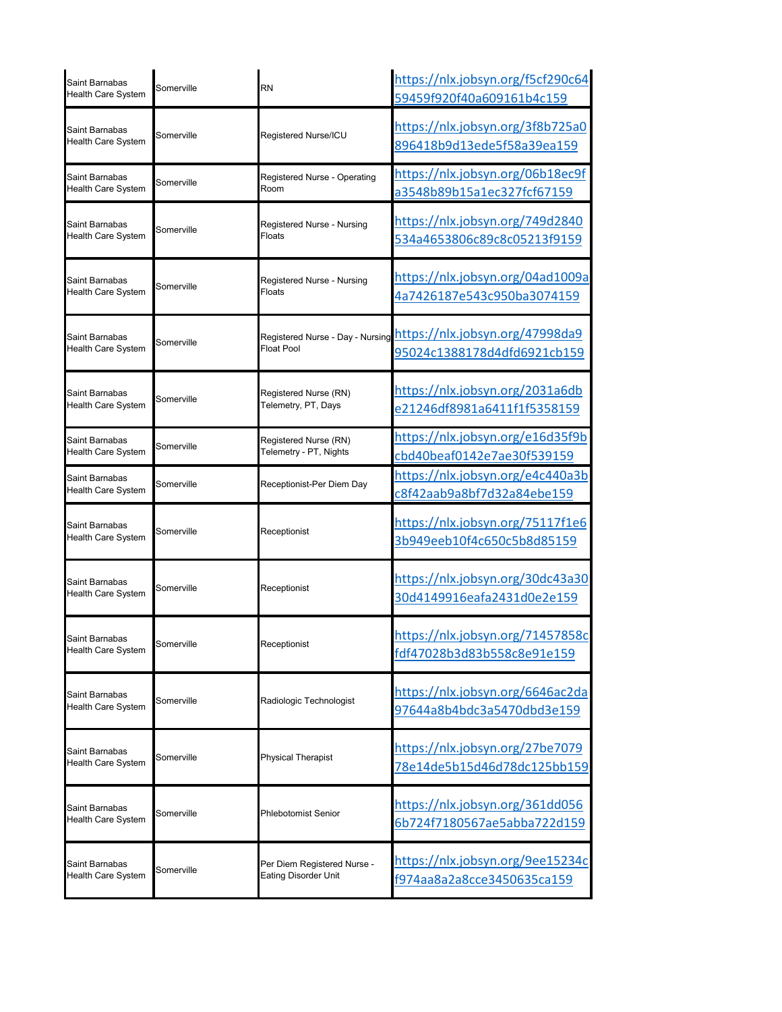| Saint Barnabas<br>Health Care System        | Somerville | <b>RN</b>                                                  | https://nlx.jobsyn.org/f5cf290c64<br>59459f920f40a609161b4c159 |
|---------------------------------------------|------------|------------------------------------------------------------|----------------------------------------------------------------|
| Saint Barnabas<br>Health Care System        | Somerville | Registered Nurse/ICU                                       | https://nlx.jobsyn.org/3f8b725a0<br>896418b9d13ede5f58a39ea159 |
| Saint Barnabas<br><b>Health Care System</b> | Somerville | Registered Nurse - Operating<br>Room                       | https://nlx.jobsyn.org/06b18ec9f<br>a3548b89b15a1ec327fcf67159 |
| Saint Barnabas<br><b>Health Care System</b> | Somerville | Registered Nurse - Nursing<br>Floats                       | https://nlx.jobsyn.org/749d2840<br>534a4653806c89c8c05213f9159 |
| Saint Barnabas<br><b>Health Care System</b> | Somerville | Registered Nurse - Nursing<br>Floats                       | https://nlx.jobsyn.org/04ad1009a<br>4a7426187e543c950ba3074159 |
| Saint Barnabas<br>Health Care System        | Somerville | Registered Nurse - Day - Nursing<br><b>Float Pool</b>      | https://nlx.jobsyn.org/47998da9<br>95024c1388178d4dfd6921cb159 |
| Saint Barnabas<br>Health Care System        | Somerville | Registered Nurse (RN)<br>Telemetry, PT, Days               | https://nlx.jobsyn.org/2031a6db<br>e21246df8981a6411f1f5358159 |
| Saint Barnabas<br><b>Health Care System</b> | Somerville | Registered Nurse (RN)<br>Telemetry - PT, Nights            | https://nlx.jobsyn.org/e16d35f9b<br>cbd40beaf0142e7ae30f539159 |
| Saint Barnabas<br>Health Care System        | Somerville | Receptionist-Per Diem Day                                  | https://nlx.jobsyn.org/e4c440a3b<br>c8f42aab9a8bf7d32a84ebe159 |
| Saint Barnabas<br>Health Care System        | Somerville | Receptionist                                               | https://nlx.jobsyn.org/75117f1e6<br>3b949eeb10f4c650c5b8d85159 |
| Saint Barnabas<br>Health Care System        | Somerville | Receptionist                                               | https://nlx.jobsyn.org/30dc43a30<br>30d4149916eafa2431d0e2e159 |
| Saint Barnabas<br><b>Health Care System</b> | Somerville | Receptionist                                               | https://nlx.jobsyn.org/71457858c<br>fdf47028b3d83b558c8e91e159 |
| Saint Barnabas<br><b>Health Care System</b> | Somerville | Radiologic Technologist                                    | https://nlx.jobsyn.org/6646ac2da<br>97644a8b4bdc3a5470dbd3e159 |
| Saint Barnabas<br>Health Care System        | Somerville | <b>Physical Therapist</b>                                  | https://nlx.jobsyn.org/27be7079<br>78e14de5b15d46d78dc125bb159 |
| Saint Barnabas<br>Health Care System        | Somerville | Phlebotomist Senior                                        | https://nlx.jobsyn.org/361dd056<br>6b724f7180567ae5abba722d159 |
| Saint Barnabas<br>Health Care System        | Somerville | Per Diem Registered Nurse -<br><b>Eating Disorder Unit</b> | https://nlx.jobsyn.org/9ee15234c<br>f974aa8a2a8cce3450635ca159 |
|                                             |            |                                                            |                                                                |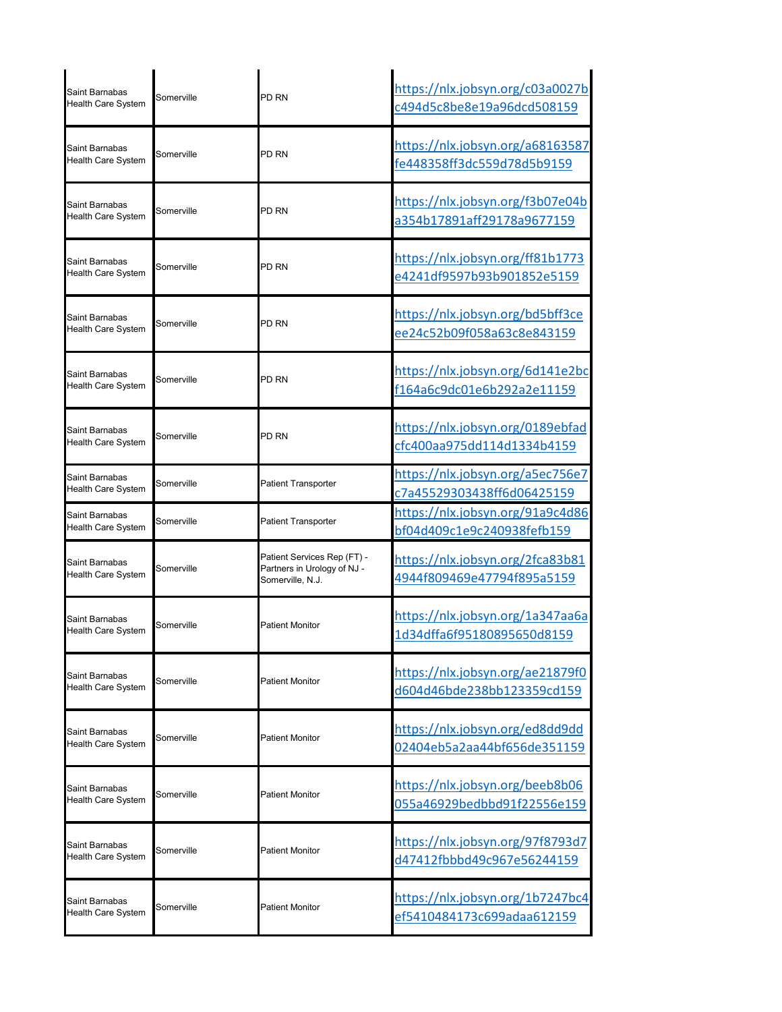| Saint Barnabas<br>Health Care System | Somerville | PD <sub>RN</sub>                                                               | https://nlx.jobsyn.org/c03a0027b<br>c494d5c8be8e19a96dcd508159 |
|--------------------------------------|------------|--------------------------------------------------------------------------------|----------------------------------------------------------------|
| Saint Barnabas<br>Health Care System | Somerville | PD RN                                                                          | https://nlx.jobsyn.org/a68163587<br>fe448358ff3dc559d78d5b9159 |
| Saint Barnabas<br>Health Care System | Somerville | PD RN                                                                          | https://nlx.jobsyn.org/f3b07e04b<br>a354b17891aff29178a9677159 |
| Saint Barnabas<br>Health Care System | Somerville | PD RN                                                                          | https://nlx.jobsyn.org/ff81b1773<br>e4241df9597b93b901852e5159 |
| Saint Barnabas<br>Health Care System | Somerville | PD RN                                                                          | https://nlx.jobsyn.org/bd5bff3ce<br>ee24c52b09f058a63c8e843159 |
| Saint Barnabas<br>Health Care System | Somerville | PD RN                                                                          | https://nlx.jobsyn.org/6d141e2bc<br>f164a6c9dc01e6b292a2e11159 |
| Saint Barnabas<br>Health Care System | Somerville | PD RN                                                                          | https://nlx.jobsyn.org/0189ebfad<br>cfc400aa975dd114d1334b4159 |
| Saint Barnabas<br>Health Care System | Somerville | Patient Transporter                                                            | https://nlx.jobsyn.org/a5ec756e7<br>c7a45529303438ff6d06425159 |
| Saint Barnabas<br>Health Care System | Somerville | Patient Transporter                                                            | https://nlx.jobsyn.org/91a9c4d86<br>bf04d409c1e9c240938fefb159 |
| Saint Barnabas<br>Health Care System | Somerville | Patient Services Rep (FT) -<br>Partners in Urology of NJ -<br>Somerville, N.J. | https://nlx.jobsyn.org/2fca83b81<br>4944f809469e47794f895a5159 |
| Saint Barnabas<br>Health Care System | Somerville | <b>Patient Monitor</b>                                                         | https://nlx.jobsyn.org/1a347aa6a<br>1d34dffa6f95180895650d8159 |
| Saint Barnabas<br>Health Care System | Somerville | Patient Monitor                                                                | https://nlx.jobsyn.org/ae21879f0<br>d604d46bde238bb123359cd159 |
| Saint Barnabas<br>Health Care System | Somerville | <b>Patient Monitor</b>                                                         | https://nlx.jobsyn.org/ed8dd9dd<br>02404eb5a2aa44bf656de351159 |
| Saint Barnabas<br>Health Care System | Somerville | Patient Monitor                                                                | https://nlx.jobsyn.org/beeb8b06<br>055a46929bedbbd91f22556e159 |
| Saint Barnabas<br>Health Care System | Somerville | Patient Monitor                                                                | https://nlx.jobsyn.org/97f8793d7<br>d47412fbbbd49c967e56244159 |
| Saint Barnabas<br>Health Care System | Somerville | Patient Monitor                                                                | https://nlx.jobsyn.org/1b7247bc4<br>ef5410484173c699adaa612159 |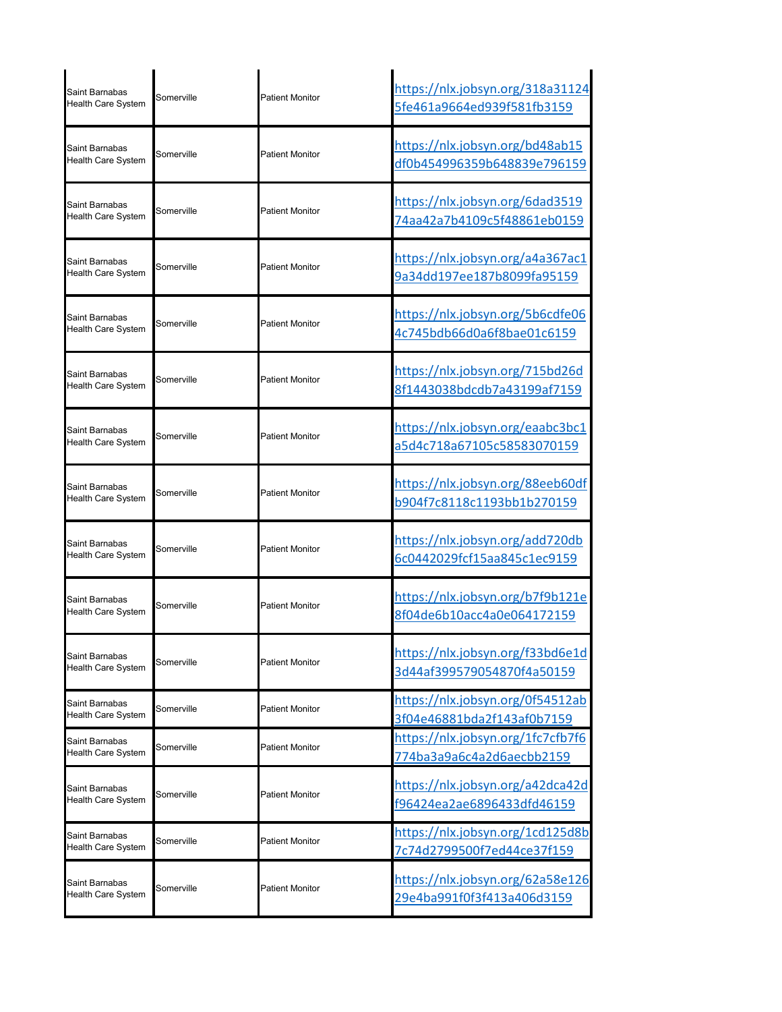| Saint Barnabas<br><b>Health Care System</b> | Somerville | <b>Patient Monitor</b> | https://nlx.jobsyn.org/318a31124<br>5fe461a9664ed939f581fb3159 |
|---------------------------------------------|------------|------------------------|----------------------------------------------------------------|
| Saint Barnabas<br><b>Health Care System</b> | Somerville | Patient Monitor        | https://nlx.jobsyn.org/bd48ab15<br>df0b454996359b648839e796159 |
| Saint Barnabas<br><b>Health Care System</b> | Somerville | <b>Patient Monitor</b> | https://nlx.jobsyn.org/6dad3519<br>74aa42a7b4109c5f48861eb0159 |
| Saint Barnabas<br><b>Health Care System</b> | Somerville | <b>Patient Monitor</b> | https://nlx.jobsyn.org/a4a367ac1<br>9a34dd197ee187b8099fa95159 |
| Saint Barnabas<br><b>Health Care System</b> | Somerville | <b>Patient Monitor</b> | https://nlx.jobsyn.org/5b6cdfe06<br>4c745bdb66d0a6f8bae01c6159 |
| Saint Barnabas<br>Health Care System        | Somerville | <b>Patient Monitor</b> | https://nlx.jobsyn.org/715bd26d<br>8f1443038bdcdb7a43199af7159 |
| Saint Barnabas<br>Health Care System        | Somerville | <b>Patient Monitor</b> | https://nlx.jobsyn.org/eaabc3bc1<br>a5d4c718a67105c58583070159 |
| Saint Barnabas<br><b>Health Care System</b> | Somerville | <b>Patient Monitor</b> | https://nlx.jobsyn.org/88eeb60df<br>b904f7c8118c1193bb1b270159 |
| Saint Barnabas<br>Health Care System        | Somerville | <b>Patient Monitor</b> | https://nlx.jobsyn.org/add720db<br>6c0442029fcf15aa845c1ec9159 |
| Saint Barnabas<br><b>Health Care System</b> | Somerville | atient Monitor         | https://nlx.jobsyn.org/b7f9b121e<br>8f04de6b10acc4a0e064172159 |
| Saint Barnabas<br><b>Health Care System</b> | Somerville | <b>Patient Monitor</b> | https://nlx.jobsyn.org/f33bd6e1d<br>3d44af399579054870f4a50159 |
| Saint Barnabas<br><b>Health Care System</b> | Somerville | Patient Monitor        | https://nlx.jobsyn.org/0f54512ab<br>3f04e46881bda2f143af0b7159 |
| Saint Barnabas<br>Health Care System        | Somerville | <b>Patient Monitor</b> | https://nlx.jobsyn.org/1fc7cfb7f6<br>774ba3a9a6c4a2d6aecbb2159 |
| Saint Barnabas<br><b>Health Care System</b> | Somerville | <b>Patient Monitor</b> | https://nlx.jobsyn.org/a42dca42d<br>f96424ea2ae6896433dfd46159 |
| Saint Barnabas<br>Health Care System        | Somerville | <b>Patient Monitor</b> | https://nlx.jobsyn.org/1cd125d8b<br>7c74d2799500f7ed44ce37f159 |
| Saint Barnabas<br><b>Health Care System</b> | Somerville | Patient Monitor        | https://nlx.jobsyn.org/62a58e126<br>29e4ba991f0f3f413a406d3159 |
|                                             |            |                        |                                                                |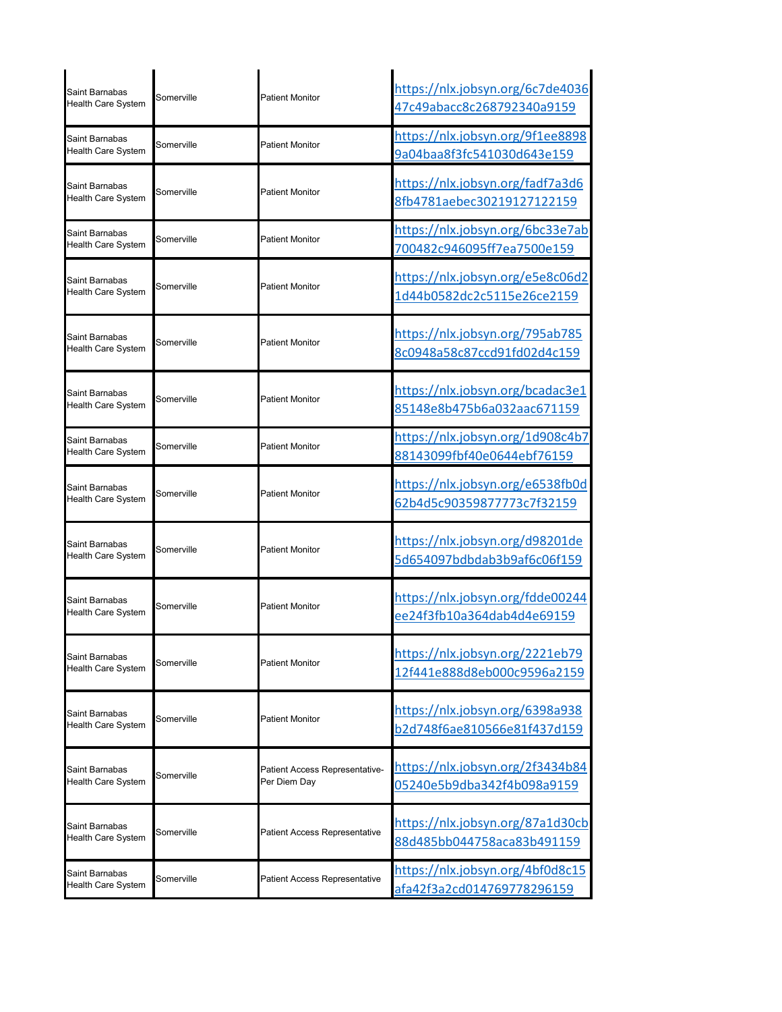| Saint Barnabas<br>Health Care System               | Somerville | <b>Patient Monitor</b>                         | https://nlx.jobsyn.org/6c7de4036<br>47c49abacc8c268792340a9159 |
|----------------------------------------------------|------------|------------------------------------------------|----------------------------------------------------------------|
| Saint Barnabas<br><b>Health Care System</b>        | Somerville | <b>Patient Monitor</b>                         | https://nlx.jobsyn.org/9f1ee8898<br>9a04baa8f3fc541030d643e159 |
| Saint Barnabas<br>Health Care System               | Somerville | <b>Patient Monitor</b>                         | https://nlx.jobsyn.org/fadf7a3d6<br>8fb4781aebec30219127122159 |
| Saint Barnabas<br>Health Care System               | Somerville | <b>Patient Monitor</b>                         | https://nlx.jobsyn.org/6bc33e7ab<br>700482c946095ff7ea7500e159 |
| Saint Barnabas<br><b>Health Care System</b>        | Somerville | <b>Patient Monitor</b>                         | https://nlx.jobsyn.org/e5e8c06d2<br>1d44b0582dc2c5115e26ce2159 |
| Saint Barnabas<br>Health Care System               | Somerville | <b>Patient Monitor</b>                         | https://nlx.jobsyn.org/795ab785<br>8c0948a58c87ccd91fd02d4c159 |
| Saint Barnabas<br>Health Care System               | Somerville | <b>Patient Monitor</b>                         | https://nlx.jobsyn.org/bcadac3e1<br>85148e8b475b6a032aac671159 |
| Saint Barnabas<br>Health Care System               | Somerville | <b>Patient Monitor</b>                         | https://nlx.jobsyn.org/1d908c4b7<br>88143099fbf40e0644ebf76159 |
| Saint Barnabas<br>Health Care System               | Somerville | <b>Patient Monitor</b>                         | https://nlx.jobsyn.org/e6538fb0d<br>62b4d5c90359877773c7f32159 |
| Saint Barnabas<br>Health Care System               | Somerville | <b>Patient Monitor</b>                         | https://nlx.jobsyn.org/d98201de<br>5d654097bdbdab3b9af6c06f159 |
| Saint Barnabas<br><b>Health Care System</b>        | Somerville | <b>Patient Monitor</b>                         | https://nlx.jobsyn.org/fdde00244<br>ee24f3fb10a364dab4d4e69159 |
| Saint Barnabas<br>Health Care System               | Somerville | <b>Patient Monitor</b>                         | https://nlx.jobsyn.org/2221eb79<br>12f441e888d8eb000c9596a2159 |
| Saint Barnabas<br><b>Health Care System</b>        | Somerville | Patient Monitor                                | https://nlx.jobsyn.org/6398a938<br>b2d748f6ae810566e81f437d159 |
| Saint Barnabas<br>Health Care System               | Somerville | Patient Access Representative-<br>Per Diem Day | https://nlx.jobsyn.org/2f3434b84<br>05240e5b9dba342f4b098a9159 |
| Saint Barnabas<br>Health Care System               | Somerville | Patient Access Representative                  | https://nlx.jobsyn.org/87a1d30cb<br>88d485bb044758aca83b491159 |
| <b>Saint Barnabas</b><br><b>Health Care System</b> | Somerville | Patient Access Representative                  | https://nlx.jobsyn.org/4bf0d8c15<br>afa42f3a2cd014769778296159 |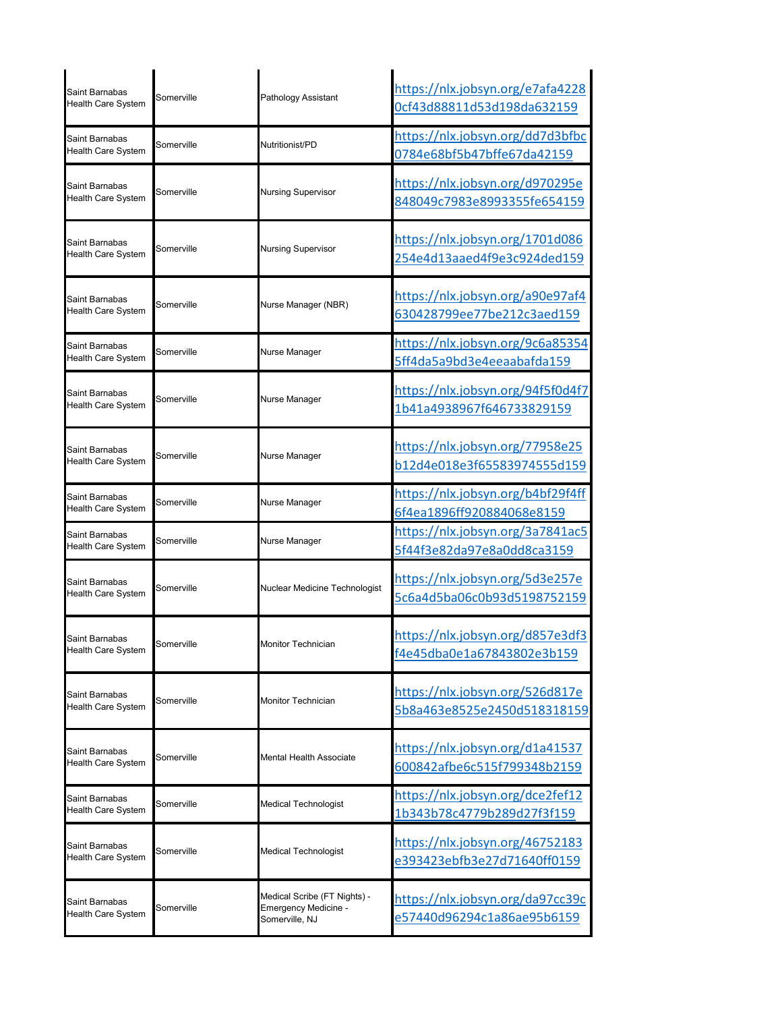| Saint Barnabas<br><b>Health Care System</b> | Somerville | Pathology Assistant                                                    | https://nlx.jobsyn.org/e7afa4228<br>0cf43d88811d53d198da632159 |
|---------------------------------------------|------------|------------------------------------------------------------------------|----------------------------------------------------------------|
| Saint Barnabas<br>Health Care System        | Somerville | Nutritionist/PD                                                        | https://nlx.jobsyn.org/dd7d3bfbc<br>0784e68bf5b47bffe67da42159 |
| Saint Barnabas<br>Health Care System        | Somerville | Nursing Supervisor                                                     | https://nlx.jobsyn.org/d970295e<br>848049c7983e8993355fe654159 |
| Saint Barnabas<br><b>Health Care System</b> | Somerville | Nursing Supervisor                                                     | https://nlx.jobsyn.org/1701d086<br>254e4d13aaed4f9e3c924ded159 |
| Saint Barnabas<br><b>Health Care System</b> | Somerville | Nurse Manager (NBR)                                                    | https://nlx.jobsyn.org/a90e97af4<br>630428799ee77be212c3aed159 |
| Saint Barnabas<br>Health Care System        | Somerville | Nurse Manager                                                          | https://nlx.jobsyn.org/9c6a85354<br>5ff4da5a9bd3e4eeaabafda159 |
| Saint Barnabas<br>Health Care System        | Somerville | Nurse Manager                                                          | https://nlx.jobsyn.org/94f5f0d4f7<br>1b41a4938967f646733829159 |
| Saint Barnabas<br>Health Care System        | Somerville | Nurse Manager                                                          | https://nlx.jobsyn.org/77958e25<br>b12d4e018e3f65583974555d159 |
| Saint Barnabas<br>Health Care System        | Somerville | Nurse Manager                                                          | https://nlx.jobsyn.org/b4bf29f4ff<br>6f4ea1896ff920884068e8159 |
| Saint Barnabas<br>Health Care System        | Somerville | Nurse Manager                                                          | https://nlx.jobsyn.org/3a7841ac5<br>5f44f3e82da97e8a0dd8ca3159 |
| Saint Barnabas<br><b>Health Care System</b> | Somerville | Nuclear Medicine Technologist                                          | https://nlx.jobsyn.org/5d3e257e<br>5c6a4d5ba06c0b93d5198752159 |
| Saint Barnabas<br>Health Care System        | Somerville | <b>Monitor Technician</b>                                              | https://nlx.jobsyn.org/d857e3df3<br>f4e45dba0e1a67843802e3b159 |
| Saint Barnabas<br><b>Health Care System</b> | Somerville | Monitor Technician                                                     | https://nlx.jobsyn.org/526d817e<br>5b8a463e8525e2450d518318159 |
| Saint Barnabas<br>Health Care System        | Somerville | Mental Health Associate                                                | https://nlx.jobsyn.org/d1a41537<br>600842afbe6c515f799348b2159 |
| Saint Barnabas<br>Health Care System        | Somerville | Medical Technologist                                                   | https://nlx.jobsyn.org/dce2fef12<br>1b343b78c4779b289d27f3f159 |
| Saint Barnabas<br>Health Care System        | Somerville | Medical Technologist                                                   | https://nlx.jobsyn.org/46752183<br>e393423ebfb3e27d71640ff0159 |
| Saint Barnabas<br>Health Care System        | Somerville | Medical Scribe (FT Nights) -<br>Emergency Medicine -<br>Somerville, NJ | https://nlx.jobsyn.org/da97cc39c<br>e57440d96294c1a86ae95b6159 |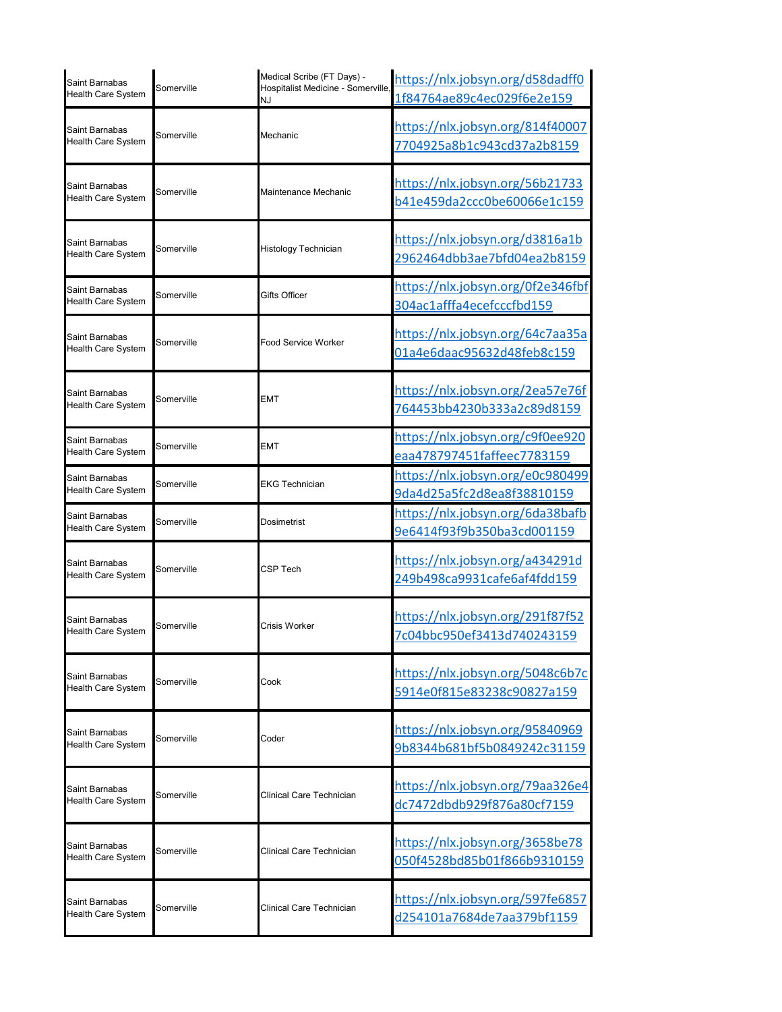| Saint Barnabas<br><b>Health Care System</b> | Somerville | Medical Scribe (FT Days) -<br>Hospitalist Medicine - Somerville,<br>NJ | https://nlx.jobsyn.org/d58dadff0<br>1f84764ae89c4ec029f6e2e159 |
|---------------------------------------------|------------|------------------------------------------------------------------------|----------------------------------------------------------------|
| Saint Barnabas<br><b>Health Care System</b> | Somerville | Mechanic                                                               | https://nlx.jobsyn.org/814f40007<br>7704925a8b1c943cd37a2b8159 |
| Saint Barnabas<br><b>Health Care System</b> | Somerville | Maintenance Mechanic                                                   | https://nlx.jobsyn.org/56b21733<br>b41e459da2ccc0be60066e1c159 |
| Saint Barnabas<br><b>Health Care System</b> | Somerville | Histology Technician                                                   | https://nlx.jobsyn.org/d3816a1b<br>2962464dbb3ae7bfd04ea2b8159 |
| Saint Barnabas<br>Health Care System        | Somerville | Gifts Officer                                                          | https://nlx.jobsyn.org/0f2e346fbf<br>304ac1afffa4ecefcccfbd159 |
| Saint Barnabas<br><b>Health Care System</b> | Somerville | <b>Food Service Worker</b>                                             | https://nlx.jobsyn.org/64c7aa35a<br>01a4e6daac95632d48feb8c159 |
| Saint Barnabas<br><b>Health Care System</b> | Somerville | EMT                                                                    | https://nlx.jobsyn.org/2ea57e76f<br>764453bb4230b333a2c89d8159 |
| Saint Barnabas<br><b>Health Care System</b> | Somerville | <b>EMT</b>                                                             | https://nlx.jobsyn.org/c9f0ee920<br>eaa478797451faffeec7783159 |
| Saint Barnabas<br><b>Health Care System</b> | Somerville | <b>EKG Technician</b>                                                  | https://nlx.jobsyn.org/e0c980499<br>9da4d25a5fc2d8ea8f38810159 |
| Saint Barnabas<br>Health Care System        | Somerville | Dosimetrist                                                            | https://nlx.jobsyn.org/6da38bafb<br>9e6414f93f9b350ba3cd001159 |
| Saint Barnabas<br><b>Health Care System</b> | Somerville | CSP Tech                                                               | https://nlx.jobsyn.org/a434291d<br>249b498ca9931cafe6af4fdd159 |
| Saint Barnabas<br><b>Health Care System</b> | Somerville | Crisis Worker                                                          | https://nlx.jobsyn.org/291f87f52<br>7c04bbc950ef3413d740243159 |
| Saint Barnabas<br><b>Health Care System</b> | Somerville | Cook                                                                   | https://nlx.jobsyn.org/5048c6b7c<br>5914e0f815e83238c90827a159 |
| Saint Barnabas<br><b>Health Care System</b> | Somerville | Coder                                                                  | https://nlx.jobsyn.org/95840969<br>9b8344b681bf5b0849242c31159 |
| Saint Barnabas<br><b>Health Care System</b> | Somerville | Clinical Care Technician                                               | https://nlx.jobsyn.org/79aa326e4<br>dc7472dbdb929f876a80cf7159 |
| Saint Barnabas<br><b>Health Care System</b> | Somerville | Clinical Care Technician                                               | https://nlx.jobsyn.org/3658be78<br>050f4528bd85b01f866b9310159 |
| Saint Barnabas<br><b>Health Care System</b> | Somerville | Clinical Care Technician                                               | https://nlx.jobsyn.org/597fe6857<br>d254101a7684de7aa379bf1159 |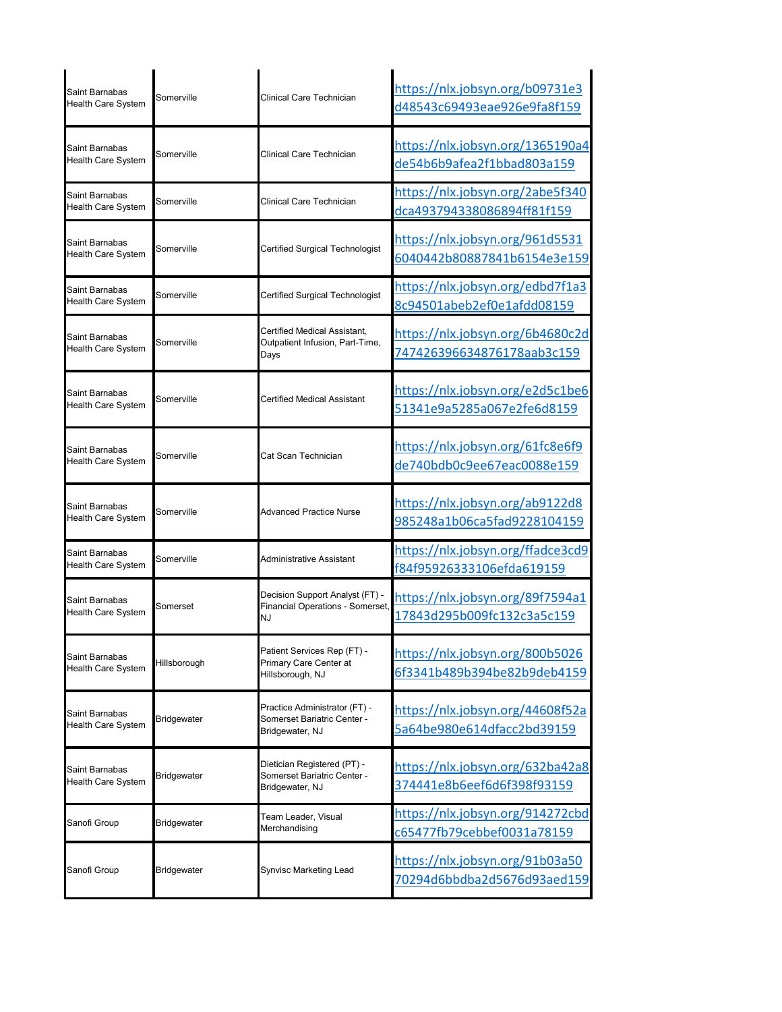| Saint Barnabas<br><b>Health Care System</b> | Somerville   | Clinical Care Technician                                                        | https://nlx.jobsyn.org/b09731e3<br>d48543c69493eae926e9fa8f159 |
|---------------------------------------------|--------------|---------------------------------------------------------------------------------|----------------------------------------------------------------|
| Saint Barnabas<br><b>Health Care System</b> | Somerville   | Clinical Care Technician                                                        | https://nlx.jobsyn.org/1365190a4<br>de54b6b9afea2f1bbad803a159 |
| Saint Barnabas<br>Health Care System        | Somerville   | Clinical Care Technician                                                        | https://nlx.jobsyn.org/2abe5f340<br>dca493794338086894ff81f159 |
| Saint Barnabas<br><b>Health Care System</b> | Somerville   | Certified Surgical Technologist                                                 | https://nlx.jobsyn.org/961d5531<br>6040442b80887841b6154e3e159 |
| Saint Barnabas<br><b>Health Care System</b> | Somerville   | Certified Surgical Technologist                                                 | https://nlx.jobsyn.org/edbd7f1a3<br>8c94501abeb2ef0e1afdd08159 |
| Saint Barnabas<br><b>Health Care System</b> | Somerville   | Certified Medical Assistant,<br>Outpatient Infusion, Part-Time,<br>Days         | https://nlx.jobsyn.org/6b4680c2d<br>747426396634876178aab3c159 |
| Saint Barnabas<br><b>Health Care System</b> | Somerville   | Certified Medical Assistant                                                     | https://nlx.jobsyn.org/e2d5c1be6<br>51341e9a5285a067e2fe6d8159 |
| Saint Barnabas<br>Health Care System        | Somerville   | Cat Scan Technician                                                             | https://nlx.jobsyn.org/61fc8e6f9<br>de740bdb0c9ee67eac0088e159 |
| Saint Barnabas<br><b>Health Care System</b> | Somerville   | <b>Advanced Practice Nurse</b>                                                  | https://nlx.jobsyn.org/ab9122d8<br>985248a1b06ca5fad9228104159 |
| Saint Barnabas<br><b>Health Care System</b> | Somerville   | Administrative Assistant                                                        | https://nlx.jobsyn.org/ffadce3cd9<br>f84f95926333106efda619159 |
| Saint Barnabas<br><b>Health Care System</b> | Somerset     | Decision Support Analyst (FT) -<br>Financial Operations - Somerset,<br>IJ       | https://nlx.jobsyn.org/89f7594a1<br>17843d295b009fc132c3a5c159 |
| Saint Barnabas<br>Health Care System        | Hillsborough | Patient Services Rep (FT) -<br>Primary Care Center at<br>Hillsborough, NJ       | https://nlx.jobsyn.org/800b5026<br>6f3341b489b394be82b9deb4159 |
| Saint Barnabas<br><b>Health Care System</b> | Bridgewater  | Practice Administrator (FT) -<br>Somerset Bariatric Center -<br>Bridgewater, NJ | https://nlx.jobsyn.org/44608f52a<br>5a64be980e614dfacc2bd39159 |
| Saint Barnabas<br>Health Care System        | Bridgewater  | Dietician Registered (PT) -<br>Somerset Bariatric Center -<br>Bridgewater, NJ   | https://nlx.jobsyn.org/632ba42a8<br>374441e8b6eef6d6f398f93159 |
| Sanofi Group                                | Bridgewater  | Team Leader, Visual<br>Merchandising                                            | https://nlx.jobsyn.org/914272cbd<br>c65477fb79cebbef0031a78159 |
| Sanofi Group                                | Bridgewater  | Synvisc Marketing Lead                                                          | https://nlx.jobsyn.org/91b03a50<br>70294d6bbdba2d5676d93aed159 |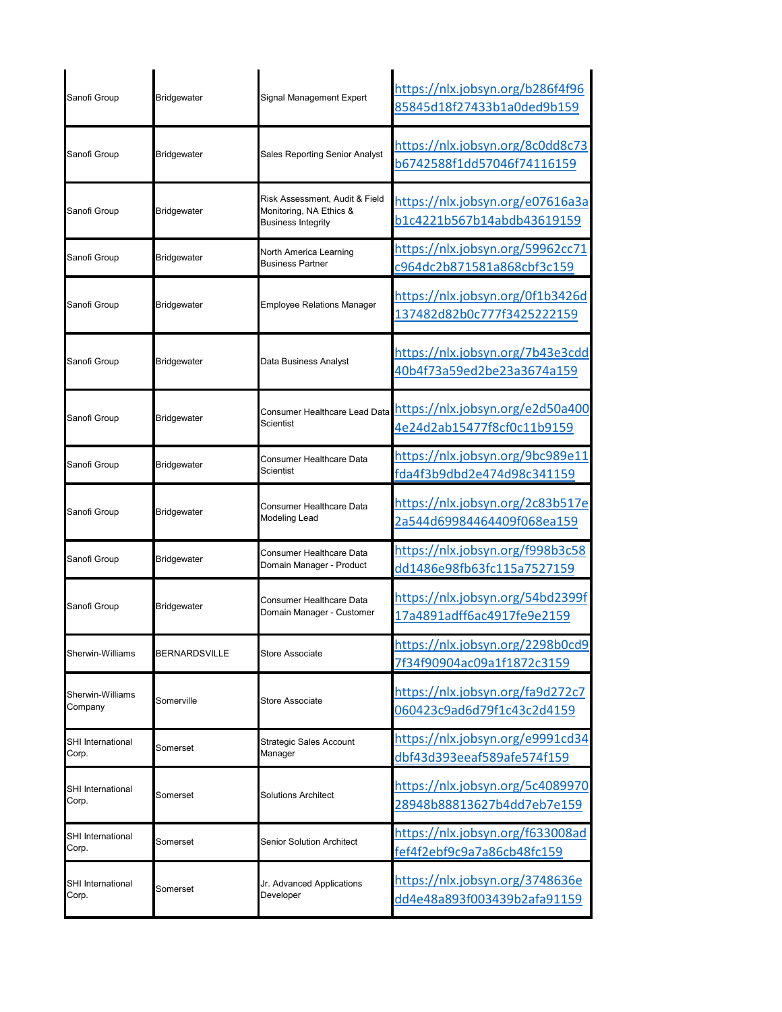| Sanofi Group                      | Bridgewater          | Signal Management Expert                                                               | https://nlx.jobsyn.org/b286f4f96<br>85845d18f27433b1a0ded9b159 |
|-----------------------------------|----------------------|----------------------------------------------------------------------------------------|----------------------------------------------------------------|
| Sanofi Group                      | <b>Bridgewater</b>   | <b>Sales Reporting Senior Analyst</b>                                                  | https://nlx.jobsyn.org/8c0dd8c73<br>b6742588f1dd57046f74116159 |
| Sanofi Group                      | <b>Bridgewater</b>   | Risk Assessment, Audit & Field<br>Monitoring, NA Ethics &<br><b>Business Integrity</b> | https://nlx.jobsyn.org/e07616a3a<br>b1c4221b567b14abdb43619159 |
| Sanofi Group                      | Bridgewater          | North America Learning<br><b>Business Partner</b>                                      | https://nlx.jobsyn.org/59962cc71<br>c964dc2b871581a868cbf3c159 |
| Sanofi Group                      | Bridgewater          | <b>Employee Relations Manager</b>                                                      | https://nlx.jobsyn.org/0f1b3426d<br>137482d82b0c777f3425222159 |
| Sanofi Group                      | Bridgewater          | Data Business Analyst                                                                  | https://nlx.jobsyn.org/7b43e3cdd<br>40b4f73a59ed2be23a3674a159 |
| Sanofi Group                      | Bridgewater          | Consumer Healthcare Lead Data<br>Scientist                                             | https://nlx.jobsyn.org/e2d50a400<br>4e24d2ab15477f8cf0c11b9159 |
| Sanofi Group                      | Bridgewater          | Consumer Healthcare Data<br>Scientist                                                  | https://nlx.jobsyn.org/9bc989e11<br>fda4f3b9dbd2e474d98c341159 |
| Sanofi Group                      | Bridgewater          | Consumer Healthcare Data<br>Modeling Lead                                              | https://nlx.jobsyn.org/2c83b517e<br>2a544d69984464409f068ea159 |
| Sanofi Group                      | Bridgewater          | Consumer Healthcare Data<br>Domain Manager - Product                                   | https://nlx.jobsyn.org/f998b3c58<br>dd1486e98fb63fc115a7527159 |
| Sanofi Group                      | Bridgewater          | Consumer Healthcare Data<br>Domain Manager - Customer                                  | https://nlx.jobsyn.org/54bd2399f<br>17a4891adff6ac4917fe9e2159 |
| Sherwin-Williams                  | <b>BERNARDSVILLE</b> | Store Associate                                                                        | https://nlx.jobsyn.org/2298b0cd9<br>7f34f90904ac09a1f1872c3159 |
| Sherwin-Williams<br>Company       | Somerville           | Store Associate                                                                        | https://nlx.jobsyn.org/fa9d272c7<br>060423c9ad6d79f1c43c2d4159 |
| <b>SHI</b> International<br>Corp. | Somerset             | Strategic Sales Account<br>Manager                                                     | https://nlx.jobsyn.org/e9991cd34<br>dbf43d393eeaf589afe574f159 |
| SHI International<br>Corp.        | Somerset             | Solutions Architect                                                                    | https://nlx.jobsyn.org/5c4089970<br>28948b88813627b4dd7eb7e159 |
| <b>SHI</b> International<br>Corp. | Somerset             | Senior Solution Architect                                                              | https://nlx.jobsyn.org/f633008ad<br>fef4f2ebf9c9a7a86cb48fc159 |
| SHI International<br>Corp.        | Somerset             | Jr. Advanced Applications<br>Developer                                                 | https://nlx.jobsyn.org/3748636e<br>dd4e48a893f003439b2afa91159 |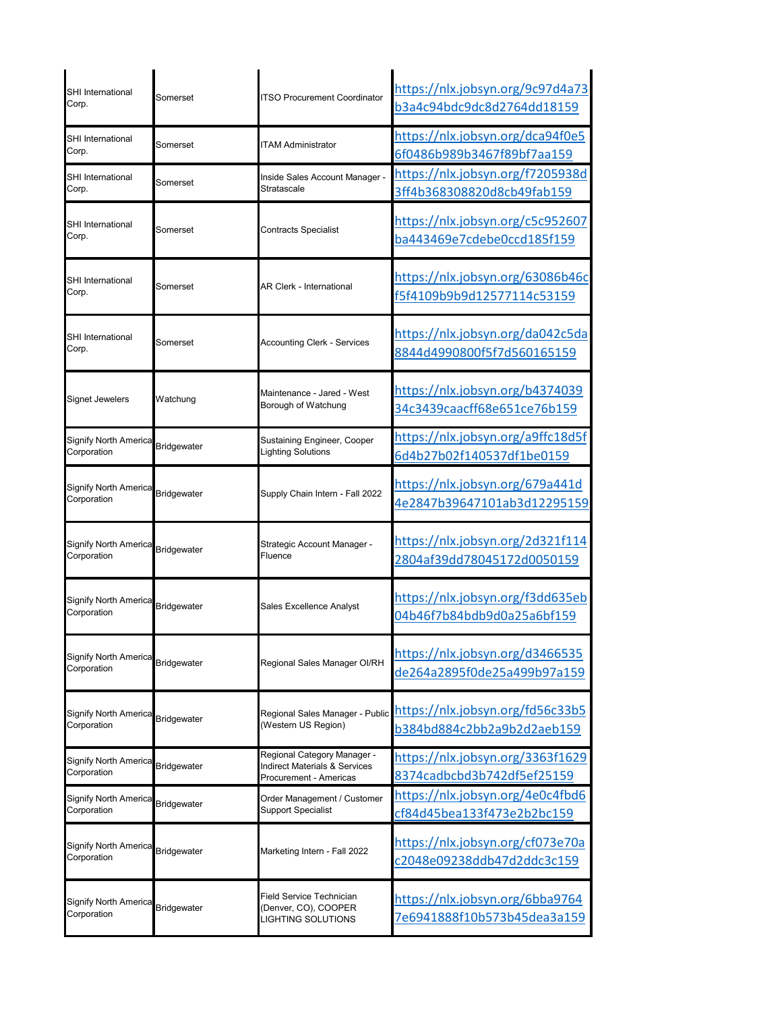| <b>SHI</b> International<br>Corp.           | Somerset           | <b>ITSO Procurement Coordinator</b>                                                               | https://nlx.jobsyn.org/9c97d4a73<br>b3a4c94bdc9dc8d2764dd18159 |
|---------------------------------------------|--------------------|---------------------------------------------------------------------------------------------------|----------------------------------------------------------------|
| <b>SHI</b> International<br>Corp.           | Somerset           | <b>ITAM Administrator</b>                                                                         | https://nlx.jobsyn.org/dca94f0e5<br>6f0486b989b3467f89bf7aa159 |
| <b>SHI</b> International<br>Corp.           | Somerset           | Inside Sales Account Manager -<br>Stratascale                                                     | https://nlx.jobsyn.org/f7205938d<br>3ff4b368308820d8cb49fab159 |
| <b>SHI</b> International<br>Corp.           | Somerset           | <b>Contracts Specialist</b>                                                                       | https://nlx.jobsyn.org/c5c952607<br>ba443469e7cdebe0ccd185f159 |
| <b>SHI</b> International<br>Corp.           | Somerset           | <b>AR Clerk - International</b>                                                                   | https://nlx.jobsyn.org/63086b46c<br>f5f4109b9b9d12577114c53159 |
| <b>SHI</b> International<br>Corp.           | Somerset           | <b>Accounting Clerk - Services</b>                                                                | https://nlx.jobsyn.org/da042c5da<br>8844d4990800f5f7d560165159 |
| <b>Signet Jewelers</b>                      | Watchung           | Maintenance - Jared - West<br>Borough of Watchung                                                 | https://nlx.jobsyn.org/b4374039<br>34c3439caacff68e651ce76b159 |
| <b>Signify North America</b><br>Corporation | <b>Bridgewater</b> | Sustaining Engineer, Cooper<br><b>Lighting Solutions</b>                                          | https://nlx.jobsyn.org/a9ffc18d5f<br>6d4b27b02f140537df1be0159 |
| Signify North America<br>Corporation        | Bridgewater        | Supply Chain Intern - Fall 2022                                                                   | https://nlx.jobsyn.org/679a441d<br>4e2847b39647101ab3d12295159 |
| Signify North America<br>Corporation        | <b>Bridgewater</b> | Strategic Account Manager -<br>Fluence                                                            | https://nlx.jobsyn.org/2d321f114<br>2804af39dd78045172d0050159 |
| Signify North America<br>Corporation        | Bridgewater        | Sales Excellence Analyst                                                                          | https://nlx.jobsyn.org/f3dd635eb<br>04b46f7b84bdb9d0a25a6bf159 |
| Signify North America<br>Corporation        | <b>Bridgewater</b> | Regional Sales Manager Ol/RH                                                                      | https://nlx.jobsyn.org/d3466535<br>de264a2895f0de25a499b97a159 |
| Signify North America<br>Corporation        | Bridgewater        | Regional Sales Manager - Public<br>(Western US Region)                                            | https://nlx.jobsyn.org/fd56c33b5<br>b384bd884c2bb2a9b2d2aeb159 |
| <b>Signify North America</b><br>Corporation | Bridgewater        | Regional Category Manager -<br><b>Indirect Materials &amp; Services</b><br>Procurement - Americas | https://nlx.jobsyn.org/3363f1629<br>8374cadbcbd3b742df5ef25159 |
| <b>Signify North America</b><br>Corporation | <b>Bridgewater</b> | Order Management / Customer<br><b>Support Specialist</b>                                          | https://nlx.jobsyn.org/4e0c4fbd6<br>cf84d45bea133f473e2b2bc159 |
| Signify North America<br>Corporation        | <b>Bridgewater</b> | Marketing Intern - Fall 2022                                                                      | https://nlx.jobsyn.org/cf073e70a<br>c2048e09238ddb47d2ddc3c159 |
| Signify North America<br>Corporation        | Bridgewater        | Field Service Technician<br>(Denver, CO), COOPER<br>LIGHTING SOLUTIONS                            | https://nlx.jobsyn.org/6bba9764<br>7e6941888f10b573b45dea3a159 |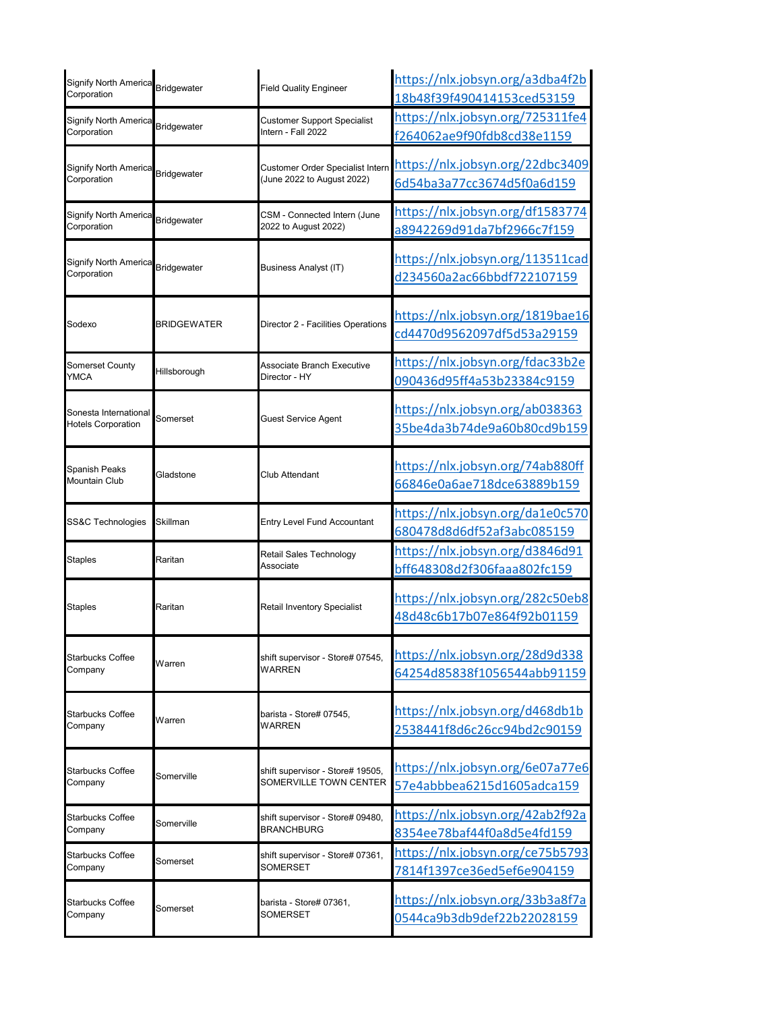| <b>Signify North America</b><br>Corporation        | <b>Bridgewater</b> | <b>Field Quality Engineer</b>           | https://nlx.jobsyn.org/a3dba4f2b<br>18b48f39f490414153ced53159 |
|----------------------------------------------------|--------------------|-----------------------------------------|----------------------------------------------------------------|
| <b>Signify North America</b>                       | <b>Bridgewater</b> | <b>Customer Support Specialist</b>      | https://nlx.jobsyn.org/725311fe4                               |
| Corporation                                        |                    | Intern - Fall 2022                      | f264062ae9f90fdb8cd38e1159                                     |
| <b>Signify North America</b>                       | Bridgewater        | <b>Customer Order Specialist Intern</b> | https://nlx.jobsyn.org/22dbc3409                               |
| Corporation                                        |                    | (June 2022 to August 2022)              | 6d54ba3a77cc3674d5f0a6d159                                     |
| <b>Signify North America</b>                       | <b>Bridgewater</b> | CSM - Connected Intern (June            | https://nlx.jobsyn.org/df1583774                               |
| Corporation                                        |                    | 2022 to August 2022)                    | a8942269d91da7bf2966c7f159                                     |
| <b>Signify North America</b><br>Corporation        | <b>Bridgewater</b> | Business Analyst (IT)                   | https://nlx.jobsyn.org/113511cad<br>d234560a2ac66bbdf722107159 |
| Sodexo                                             | BRIDGEWATER        | Director 2 - Facilities Operations      | https://nlx.jobsyn.org/1819bae16<br>cd4470d9562097df5d53a29159 |
| <b>Somerset County</b>                             | Hillsborough       | Associate Branch Executive              | https://nlx.jobsyn.org/fdac33b2e                               |
| <b>YMCA</b>                                        |                    | Director - HY                           | 090436d95ff4a53b23384c9159                                     |
| Sonesta International<br><b>Hotels Corporation</b> | Somerset           | Guest Service Agent                     | https://nlx.jobsyn.org/ab038363<br>35be4da3b74de9a60b80cd9b159 |
| Spanish Peaks<br><b>Mountain Club</b>              | Gladstone          | Club Attendant                          | https://nlx.jobsyn.org/74ab880ff<br>66846e0a6ae718dce63889b159 |
| SS&C Technologies                                  | Skillman           | Entry Level Fund Accountant             | https://nlx.jobsyn.org/da1e0c570<br>680478d8d6df52af3abc085159 |
| <b>Staples</b>                                     | Raritan            | Retail Sales Technology<br>Associate    | https://nlx.jobsyn.org/d3846d91<br>bff648308d2f306faaa802fc159 |
| <b>Staples</b>                                     | Raritan            | Retail Inventory Specialist             | https://nlx.jobsyn.org/282c50eb8<br>48d48c6b17b07e864f92b01159 |
| <b>Starbucks Coffee</b>                            | Warren             | shift supervisor - Store# 07545,        | https://nlx.jobsyn.org/28d9d338                                |
| Company                                            |                    | WARREN                                  | 64254d85838f1056544abb91159                                    |
| Starbucks Coffee                                   | Warren             | barista - Store# 07545.                 | https://nlx.jobsyn.org/d468db1b                                |
| Company                                            |                    | WARREN                                  | 2538441f8d6c26cc94bd2c90159                                    |
| <b>Starbucks Coffee</b>                            | Somerville         | shift supervisor - Store# 19505,        | https://nlx.jobsyn.org/6e07a77e6                               |
| Company                                            |                    | SOMERVILLE TOWN CENTER                  | 57e4abbbea6215d1605adca159                                     |
| <b>Starbucks Coffee</b>                            | Somerville         | shift supervisor - Store# 09480,        | https://nlx.jobsyn.org/42ab2f92a                               |
| Company                                            |                    | <b>BRANCHBURG</b>                       | 8354ee78baf44f0a8d5e4fd159                                     |
| <b>Starbucks Coffee</b>                            | Somerset           | shift supervisor - Store# 07361,        | https://nlx.jobsyn.org/ce75b5793                               |
| Company                                            |                    | SOMERSET                                | 7814f1397ce36ed5ef6e904159                                     |
| <b>Starbucks Coffee</b>                            | Somerset           | barista - Store# 07361,                 | https://nlx.jobsyn.org/33b3a8f7a                               |
| Company                                            |                    | SOMERSET                                | 0544ca9b3db9def22b22028159                                     |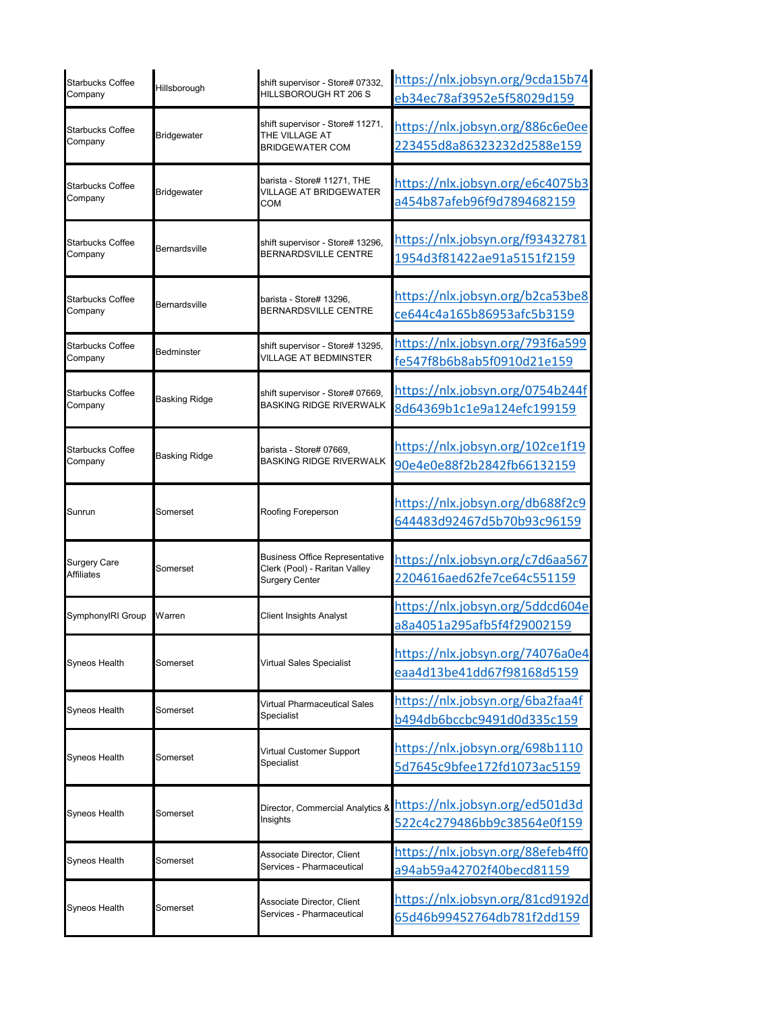| <b>Starbucks Coffee</b><br>Company       | Hillsborough         | shift supervisor - Store# 07332,<br>HILLSBOROUGH RT 206 S                                | https://nlx.jobsyn.org/9cda15b74<br>eb34ec78af3952e5f58029d159 |
|------------------------------------------|----------------------|------------------------------------------------------------------------------------------|----------------------------------------------------------------|
| Starbucks Coffee<br>Company              | <b>Bridgewater</b>   | shift supervisor - Store# 11271,<br>THE VILLAGE AT<br>BRIDGEWATER COM                    | https://nlx.jobsyn.org/886c6e0ee<br>223455d8a86323232d2588e159 |
| <b>Starbucks Coffee</b><br>Company       | Bridgewater          | barista - Store# 11271, THE<br><b>VILLAGE AT BRIDGEWATER</b><br>COM                      | https://nlx.jobsyn.org/e6c4075b3<br>a454b87afeb96f9d7894682159 |
| <b>Starbucks Coffee</b><br>Company       | Bernardsville        | shift supervisor - Store# 13296,<br>BERNARDSVILLE CENTRE                                 | https://nlx.jobsyn.org/f93432781<br>1954d3f81422ae91a5151f2159 |
| <b>Starbucks Coffee</b><br>Company       | Bernardsville        | barista - Store# 13296,<br>BERNARDSVILLE CENTRE                                          | https://nlx.jobsyn.org/b2ca53be8<br>ce644c4a165b86953afc5b3159 |
| <b>Starbucks Coffee</b><br>Company       | <b>Bedminster</b>    | shift supervisor - Store# 13295,<br><b>VILLAGE AT BEDMINSTER</b>                         | https://nlx.jobsyn.org/793f6a599<br>fe547f8b6b8ab5f0910d21e159 |
| <b>Starbucks Coffee</b><br>Company       | <b>Basking Ridge</b> | shift supervisor - Store# 07669,<br><b>BASKING RIDGE RIVERWALK</b>                       | https://nlx.jobsyn.org/0754b244f<br>8d64369b1c1e9a124efc199159 |
| <b>Starbucks Coffee</b><br>Company       | Basking Ridge        | barista - Store# 07669,<br>BASKING RIDGE RIVERWALK                                       | https://nlx.jobsyn.org/102ce1f19<br>90e4e0e88f2b2842fb66132159 |
| Sunrun                                   | Somerset             | Roofing Foreperson                                                                       | https://nlx.jobsyn.org/db688f2c9<br>644483d92467d5b70b93c96159 |
| <b>Surgery Care</b><br><b>Affiliates</b> | Somerset             | <b>Business Office Representative</b><br>Clerk (Pool) - Raritan Valley<br>Surgery Center | https://nlx.jobsyn.org/c7d6aa567<br>2204616aed62fe7ce64c551159 |
| SymphonyIRI Group                        | Warren               | Client Insights Analyst                                                                  | https://nlx.jobsyn.org/5ddcd604e<br>a8a4051a295afb5f4f29002159 |
| Syneos Health                            | Somerset             | Virtual Sales Specialist                                                                 | https://nlx.jobsyn.org/74076a0e4<br>eaa4d13be41dd67f98168d5159 |
| Syneos Health                            | Somerset             | Virtual Pharmaceutical Sales<br>Specialist                                               | https://nlx.jobsyn.org/6ba2faa4f<br>b494db6bccbc9491d0d335c159 |
| Syneos Health                            | Somerset             | Virtual Customer Support<br>Specialist                                                   | https://nlx.jobsyn.org/698b1110<br>5d7645c9bfee172fd1073ac5159 |
| Syneos Health                            | Somerset             | Director, Commercial Analytics &<br>Insights                                             | https://nlx.jobsyn.org/ed501d3d<br>522c4c279486bb9c38564e0f159 |
| Syneos Health                            | Somerset             | Associate Director, Client<br>Services - Pharmaceutical                                  | https://nlx.jobsyn.org/88efeb4ff0<br>a94ab59a42702f40becd81159 |
| Syneos Health                            | Somerset             | Associate Director, Client<br>Services - Pharmaceutical                                  | https://nlx.jobsyn.org/81cd9192d<br>65d46b99452764db781f2dd159 |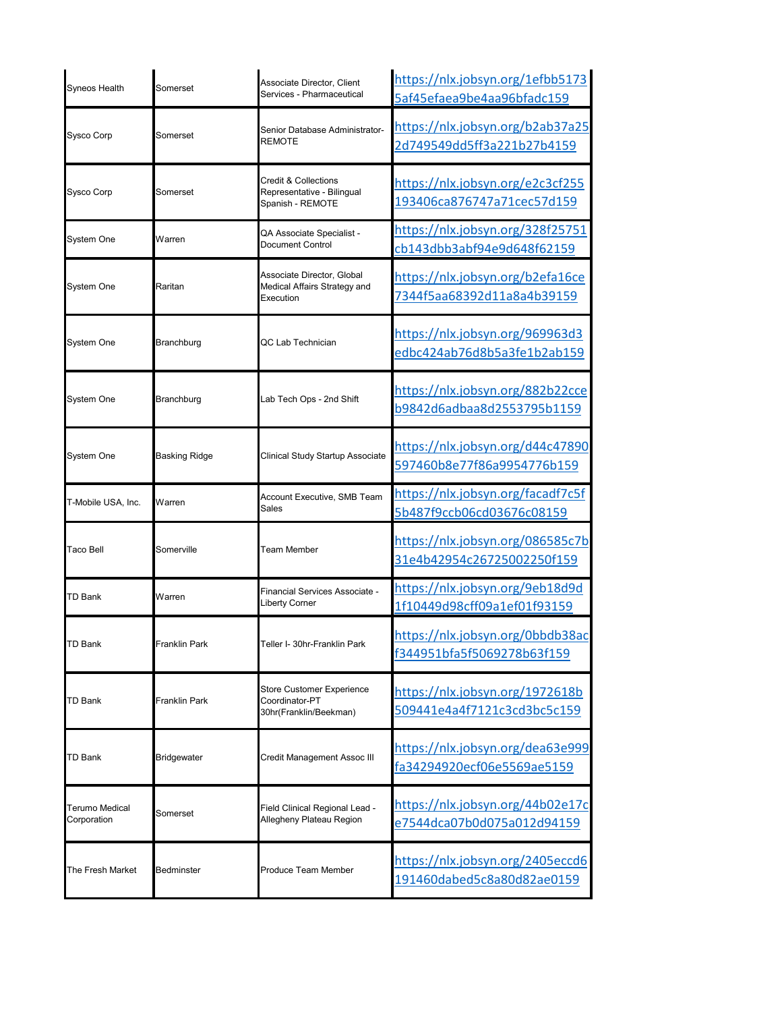| Syneos Health                        | Somerset                  | Associate Director, Client<br>Services - Pharmaceutical                           | https://nlx.jobsyn.org/1efbb5173<br>5af45efaea9be4aa96bfadc159 |
|--------------------------------------|---------------------------|-----------------------------------------------------------------------------------|----------------------------------------------------------------|
| <b>Sysco Corp</b>                    | Somerset                  | Senior Database Administrator-<br><b>REMOTE</b>                                   | https://nlx.jobsyn.org/b2ab37a25<br>2d749549dd5ff3a221b27b4159 |
| <b>Sysco Corp</b>                    | Somerset                  | <b>Credit &amp; Collections</b><br>Representative - Bilingual<br>Spanish - REMOTE | https://nlx.jobsyn.org/e2c3cf255<br>193406ca876747a71cec57d159 |
| System One                           | Warren                    | QA Associate Specialist -<br>Document Control                                     | https://nlx.jobsyn.org/328f25751<br>cb143dbb3abf94e9d648f62159 |
| System One                           | Raritan                   | Associate Director, Global<br>Medical Affairs Strategy and<br>Execution           | https://nlx.jobsyn.org/b2efa16ce<br>7344f5aa68392d11a8a4b39159 |
| System One                           | Branchburg                | QC Lab Technician                                                                 | https://nlx.jobsyn.org/969963d3<br>edbc424ab76d8b5a3fe1b2ab159 |
| <b>System One</b>                    | Branchburg                | Lab Tech Ops - 2nd Shift                                                          | https://nlx.jobsyn.org/882b22cce<br>b9842d6adbaa8d2553795b1159 |
| System One                           | <b>Basking Ridge</b>      | Clinical Study Startup Associate                                                  | https://nlx.jobsyn.org/d44c47890<br>597460b8e77f86a9954776b159 |
| T-Mobile USA, Inc.                   | Warren                    | Account Executive, SMB Team<br>Sales                                              | https://nlx.jobsyn.org/facadf7c5f<br>5b487f9ccb06cd03676c08159 |
| Taco Bell                            | Somerville                | <b>Team Member</b>                                                                | https://nlx.jobsyn.org/086585c7b<br>31e4b42954c26725002250f159 |
| <b>TD Bank</b>                       | Warren                    | Financial Services Associate -<br>Liberty Corner                                  | https://nlx.jobsyn.org/9eb18d9d<br>1f10449d98cff09a1ef01f93159 |
| <b>TD Bank</b>                       | <sup>∶</sup> ranklin Park | eller I- 30hr-Franklin Park                                                       | https://nlx.jobsyn.org/0bbdb38ac<br>f344951bfa5f5069278b63f159 |
| <b>TD Bank</b>                       | <b>Franklin Park</b>      | <b>Store Customer Experience</b><br>Coordinator-PT<br>30hr(Franklin/Beekman)      | https://nlx.jobsyn.org/1972618b<br>509441e4a4f7121c3cd3bc5c159 |
| <b>TD Bank</b>                       | Bridgewater               | Credit Management Assoc III                                                       | https://nlx.jobsyn.org/dea63e999<br>fa34294920ecf06e5569ae5159 |
| <b>Terumo Medical</b><br>Corporation | Somerset                  | Field Clinical Regional Lead -<br>Allegheny Plateau Region                        | https://nlx.jobsyn.org/44b02e17c<br>e7544dca07b0d075a012d94159 |
| The Fresh Market                     | Bedminster                | Produce Team Member                                                               | https://nlx.jobsyn.org/2405eccd6<br>191460dabed5c8a80d82ae0159 |
|                                      |                           |                                                                                   |                                                                |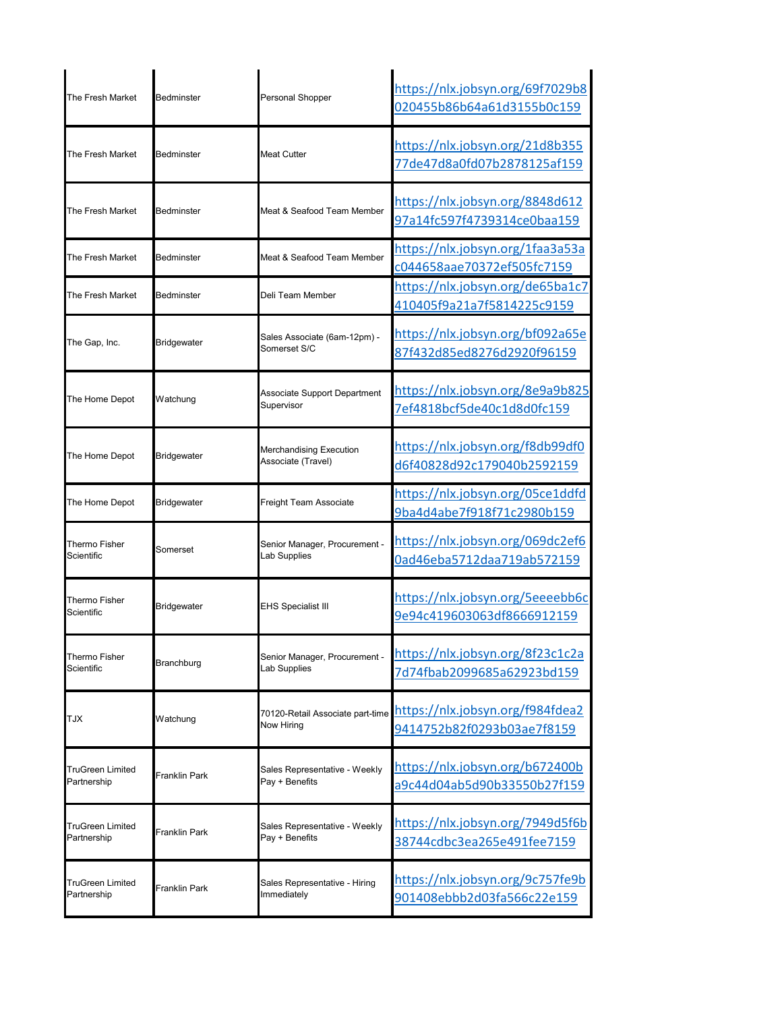| Bedminster           |                    | https://nlx.jobsyn.org/69f7029b8<br>020455b86b64a61d3155b0c159                                                                                                                                                                                                                                                                                                                                                                                                   |
|----------------------|--------------------|------------------------------------------------------------------------------------------------------------------------------------------------------------------------------------------------------------------------------------------------------------------------------------------------------------------------------------------------------------------------------------------------------------------------------------------------------------------|
| Bedminster           |                    | https://nlx.jobsyn.org/21d8b355<br>77de47d8a0fd07b2878125af159                                                                                                                                                                                                                                                                                                                                                                                                   |
| Bedminster           |                    | https://nlx.jobsyn.org/8848d612<br>97a14fc597f4739314ce0baa159                                                                                                                                                                                                                                                                                                                                                                                                   |
| Bedminster           |                    | https://nlx.jobsyn.org/1faa3a53a<br>c044658aae70372ef505fc7159                                                                                                                                                                                                                                                                                                                                                                                                   |
| Bedminster           |                    | https://nlx.jobsyn.org/de65ba1c7<br>410405f9a21a7f5814225c9159                                                                                                                                                                                                                                                                                                                                                                                                   |
| <b>Bridgewater</b>   |                    | https://nlx.jobsyn.org/bf092a65e<br>87f432d85ed8276d2920f96159                                                                                                                                                                                                                                                                                                                                                                                                   |
| Watchung             | Supervisor         | https://nlx.jobsyn.org/8e9a9b825<br>7ef4818bcf5de40c1d8d0fc159                                                                                                                                                                                                                                                                                                                                                                                                   |
| <b>Bridgewater</b>   |                    | https://nlx.jobsyn.org/f8db99df0<br>d6f40828d92c179040b2592159                                                                                                                                                                                                                                                                                                                                                                                                   |
| Bridgewater          |                    | https://nlx.jobsyn.org/05ce1ddfd<br>9ba4d4abe7f918f71c2980b159                                                                                                                                                                                                                                                                                                                                                                                                   |
| Somerset             | Lab Supplies       | https://nlx.jobsyn.org/069dc2ef6<br>0ad46eba5712daa719ab572159                                                                                                                                                                                                                                                                                                                                                                                                   |
| Bridgewater          | EHS Specialist III | https://nlx.jobsyn.org/5eeeebb6c<br>9e94c419603063df8666912159                                                                                                                                                                                                                                                                                                                                                                                                   |
| Branchburg           | Lab Supplies       | https://nlx.jobsyn.org/8f23c1c2a<br>7d74fbab2099685a62923bd159                                                                                                                                                                                                                                                                                                                                                                                                   |
| Watchung             |                    | 9414752b82f0293b03ae7f8159                                                                                                                                                                                                                                                                                                                                                                                                                                       |
| <b>Franklin Park</b> |                    | https://nlx.jobsyn.org/b672400b<br>a9c44d04ab5d90b33550b27f159                                                                                                                                                                                                                                                                                                                                                                                                   |
| Franklin Park        |                    | https://nlx.jobsyn.org/7949d5f6b<br>38744cdbc3ea265e491fee7159                                                                                                                                                                                                                                                                                                                                                                                                   |
|                      |                    |                                                                                                                                                                                                                                                                                                                                                                                                                                                                  |
|                      |                    | Personal Shopper<br>Meat Cutter<br>Meat & Seafood Team Member<br>Meat & Seafood Team Member<br>Deli Team Member<br>Sales Associate (6am-12pm) -<br>Somerset S/C<br>Associate Support Department<br>Merchandising Execution<br>Associate (Travel)<br>Freight Team Associate<br>Senior Manager, Procurement -<br>Senior Manager, Procurement -<br>Now Hiring<br>Sales Representative - Weekly<br>Pay + Benefits<br>Sales Representative - Weekly<br>Pay + Benefits |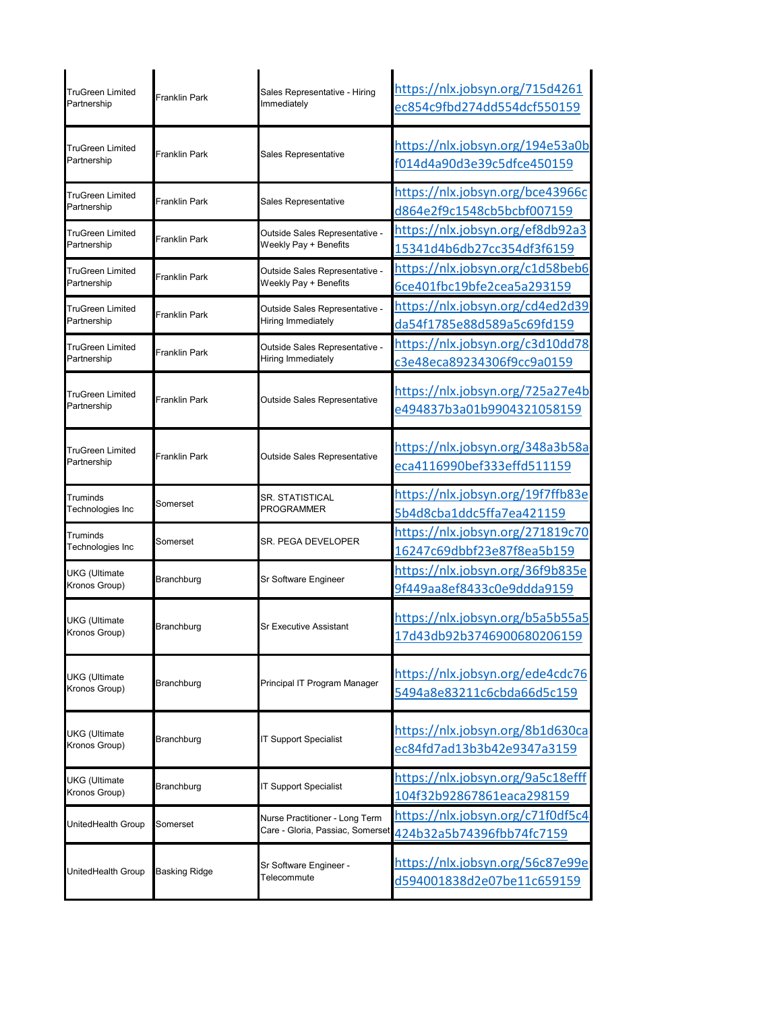| <b>TruGreen Limited</b><br>Partnership | <b>Franklin Park</b> | Sales Representative - Hiring<br>Immediately                       | https://nlx.jobsyn.org/715d4261<br>ec854c9fbd274dd554dcf550159 |
|----------------------------------------|----------------------|--------------------------------------------------------------------|----------------------------------------------------------------|
| <b>TruGreen Limited</b><br>Partnership | Franklin Park        | Sales Representative                                               | https://nlx.jobsyn.org/194e53a0b<br>f014d4a90d3e39c5dfce450159 |
| <b>TruGreen Limited</b><br>Partnership | Franklin Park        | Sales Representative                                               | https://nlx.jobsyn.org/bce43966c<br>d864e2f9c1548cb5bcbf007159 |
| <b>TruGreen Limited</b><br>Partnership | Franklin Park        | Outside Sales Representative -<br>Weekly Pay + Benefits            | https://nlx.jobsyn.org/ef8db92a3<br>15341d4b6db27cc354df3f6159 |
| <b>TruGreen Limited</b><br>Partnership | Franklin Park        | Outside Sales Representative -<br>Weekly Pay + Benefits            | https://nlx.jobsyn.org/c1d58beb6<br>6ce401fbc19bfe2cea5a293159 |
| <b>TruGreen Limited</b><br>Partnership | Franklin Park        | Outside Sales Representative -<br>Hiring Immediately               | https://nlx.jobsyn.org/cd4ed2d39<br>da54f1785e88d589a5c69fd159 |
| <b>TruGreen Limited</b><br>Partnership | Franklin Park        | Outside Sales Representative -<br>Hiring Immediately               | https://nlx.jobsyn.org/c3d10dd78<br>c3e48eca89234306f9cc9a0159 |
| <b>TruGreen Limited</b><br>Partnership | <b>Franklin Park</b> | Outside Sales Representative                                       | https://nlx.jobsyn.org/725a27e4b<br>e494837b3a01b9904321058159 |
| <b>TruGreen Limited</b><br>Partnership | <b>Franklin Park</b> | Outside Sales Representative                                       | https://nlx.jobsyn.org/348a3b58a<br>eca4116990bef333effd511159 |
| Truminds<br>Technologies Inc           | Somerset             | SR. STATISTICAL<br>PROGRAMMER                                      | https://nlx.jobsyn.org/19f7ffb83e<br>5b4d8cba1ddc5ffa7ea421159 |
| Truminds<br>Technologies Inc           | Somerset             | SR. PEGA DEVELOPER                                                 | https://nlx.jobsyn.org/271819c70<br>16247c69dbbf23e87f8ea5b159 |
| <b>UKG</b> (Ultimate<br>Kronos Group)  | Branchburg           | Sr Software Engineer                                               | https://nlx.jobsyn.org/36f9b835e<br>9f449aa8ef8433c0e9ddda9159 |
| <b>UKG</b> (Ultimate<br>Kronos Group)  | Branchburg           | Sr Executive Assistant                                             | https://nlx.jobsyn.org/b5a5b55a5<br>17d43db92b3746900680206159 |
| <b>UKG</b> (Ultimate<br>Kronos Group)  | Branchburg           | Principal IT Program Manager                                       | https://nlx.jobsyn.org/ede4cdc76<br>5494a8e83211c6cbda66d5c159 |
| <b>UKG</b> (Ultimate<br>Kronos Group)  | Branchburg           | <b>T Support Specialist</b>                                        | https://nlx.jobsyn.org/8b1d630ca<br>ec84fd7ad13b3b42e9347a3159 |
| <b>UKG</b> (Ultimate<br>Kronos Group)  | Branchburg           | <b>IT Support Specialist</b>                                       | https://nlx.jobsyn.org/9a5c18efff<br>104f32b92867861eaca298159 |
| UnitedHealth Group                     | Somerset             | Nurse Practitioner - Long Term<br>Care - Gloria, Passiac, Somerset | https://nlx.jobsyn.org/c71f0df5c4<br>424b32a5b74396fbb74fc7159 |
| UnitedHealth Group                     | <b>Basking Ridge</b> | Sr Software Engineer -<br>Telecommute                              | https://nlx.jobsyn.org/56c87e99e<br>d594001838d2e07be11c659159 |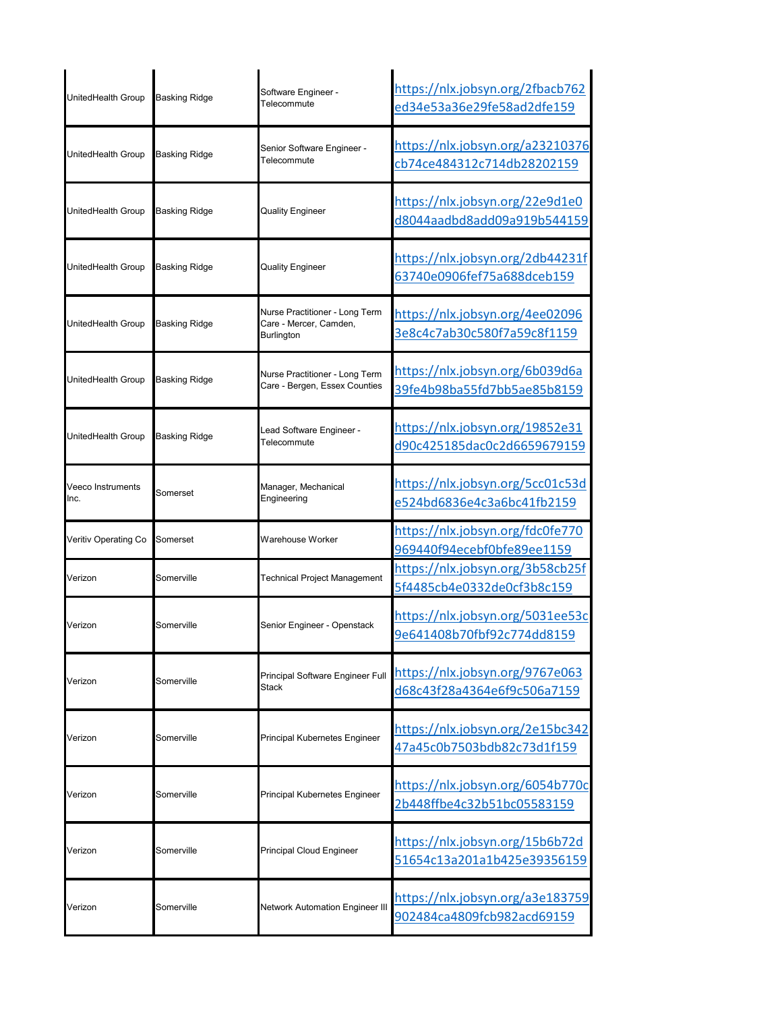| UnitedHealth Group        | <b>Basking Ridge</b> | Software Engineer -<br>Telecommute                                            | https://nlx.jobsyn.org/2fbacb762<br>ed34e53a36e29fe58ad2dfe159         |
|---------------------------|----------------------|-------------------------------------------------------------------------------|------------------------------------------------------------------------|
| UnitedHealth Group        | <b>Basking Ridge</b> | Senior Software Engineer -<br>Telecommute                                     | <u> https://nlx.jobsyn.org/a23210376</u><br>cb74ce484312c714db28202159 |
| UnitedHealth Group        | <b>Basking Ridge</b> | Quality Engineer                                                              | https://nlx.jobsyn.org/22e9d1e0<br>d8044aadbd8add09a919b544159         |
| UnitedHealth Group        | Basking Ridge        | <b>Quality Engineer</b>                                                       | https://nlx.jobsyn.org/2db44231f<br>63740e0906fef75a688dceb159         |
| UnitedHealth Group        | <b>Basking Ridge</b> | Nurse Practitioner - Long Term<br>Care - Mercer, Camden,<br><b>Burlington</b> | https://nlx.jobsyn.org/4ee02096<br>3e8c4c7ab30c580f7a59c8f1159         |
| UnitedHealth Group        | <b>Basking Ridge</b> | Nurse Practitioner - Long Term<br>Care - Bergen, Essex Counties               | <u> https://nlx.jobsyn.org/6b039d6a</u><br>39fe4b98ba55fd7bb5ae85b8159 |
| UnitedHealth Group        | Basking Ridge        | Lead Software Engineer -<br>Telecommute                                       | https://nlx.jobsyn.org/19852e31<br>d90c425185dac0c2d6659679159         |
| Veeco Instruments<br>Inc. | Somerset             | Manager, Mechanical<br>Engineering                                            | https://nlx.jobsyn.org/5cc01c53d<br>e524bd6836e4c3a6bc41fb2159         |
| Veritiv Operating Co      | Somerset             | Warehouse Worker                                                              | https://nlx.jobsyn.org/fdc0fe770<br>969440f94ecebf0bfe89ee1159         |
| Verizon                   | Somerville           | Technical Project Management                                                  | https://nlx.jobsyn.org/3b58cb25f<br>5f4485cb4e0332de0cf3b8c159         |
| Verizon                   | Somerville           | Senior Engineer - Openstack                                                   | https://nlx.jobsyn.org/5031ee53c<br>9e641408b70fbf92c774dd8159         |
| Verizon                   | Somerville           | Principal Software Engineer Full<br>Stack                                     | https://nlx.jobsyn.org/9767e063<br>d68c43f28a4364e6f9c506a7159         |
| Verizon                   | Somerville           | Principal Kubernetes Engineer                                                 | https://nlx.jobsyn.org/2e15bc342<br>47a45c0b7503bdb82c73d1f159         |
| Verizon                   | Somerville           | Principal Kubernetes Engineer                                                 | https://nlx.jobsyn.org/6054b770c<br>2b448ffbe4c32b51bc05583159         |
| Verizon                   | Somerville           | Principal Cloud Engineer                                                      | https://nlx.jobsyn.org/15b6b72d<br>51654c13a201a1b425e39356159         |
| Verizon                   | Somerville           | <b>Network Automation Engineer III</b>                                        | https://nlx.jobsyn.org/a3e183759<br>902484ca4809fcb982acd69159         |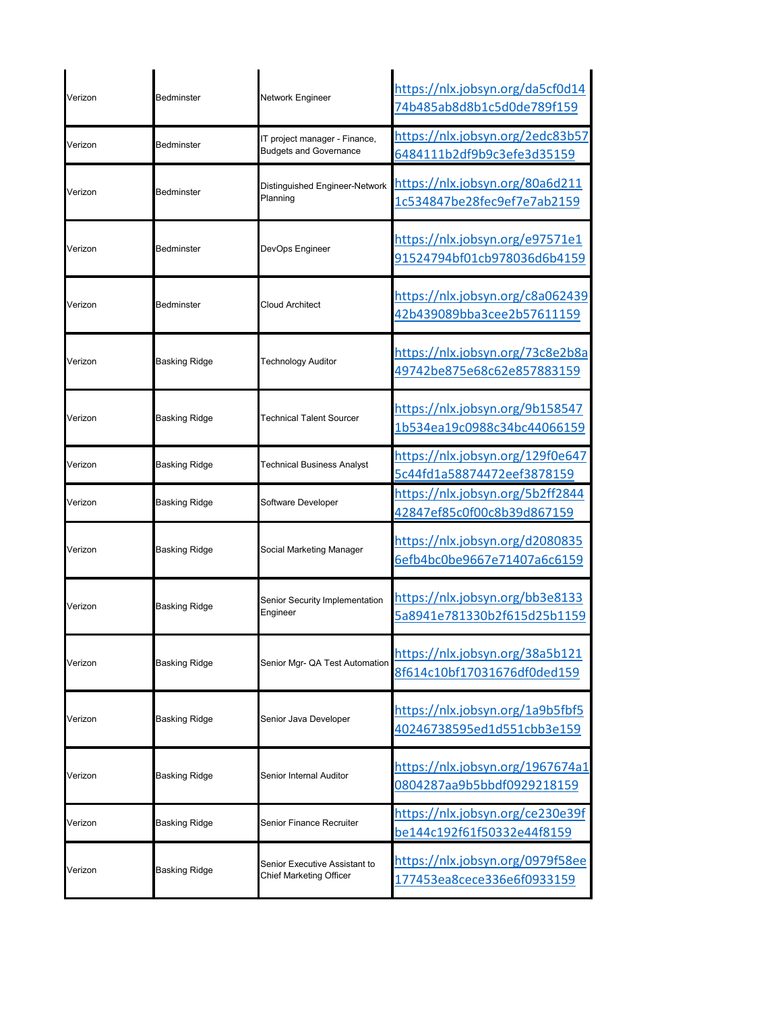| Verizon | Bedminster           | Network Engineer                                               | https://nlx.jobsyn.org/da5cf0d14<br>74b485ab8d8b1c5d0de789f159 |
|---------|----------------------|----------------------------------------------------------------|----------------------------------------------------------------|
| Verizon | Bedminster           | IT project manager - Finance,<br><b>Budgets and Governance</b> | https://nlx.jobsyn.org/2edc83b57<br>6484111b2df9b9c3efe3d35159 |
| Verizon | Bedminster           | Distinguished Engineer-Network<br>Planning                     | https://nlx.jobsyn.org/80a6d211<br>1c534847be28fec9ef7e7ab2159 |
| Verizon | Bedminster           | DevOps Engineer                                                | https://nlx.jobsyn.org/e97571e1<br>91524794bf01cb978036d6b4159 |
| Verizon | Bedminster           | Cloud Architect                                                | https://nlx.jobsyn.org/c8a062439<br>42b439089bba3cee2b57611159 |
| Verizon | <b>Basking Ridge</b> | <b>Technology Auditor</b>                                      | https://nlx.jobsyn.org/73c8e2b8a<br>49742be875e68c62e857883159 |
| Verizon | <b>Basking Ridge</b> | Technical Talent Sourcer                                       | https://nlx.jobsyn.org/9b158547<br>1b534ea19c0988c34bc44066159 |
| Verizon | <b>Basking Ridge</b> | <b>Technical Business Analyst</b>                              | https://nlx.jobsyn.org/129f0e647<br>5c44fd1a58874472eef3878159 |
| Verizon | <b>Basking Ridge</b> | Software Developer                                             | https://nlx.jobsyn.org/5b2ff2844<br>42847ef85c0f00c8b39d867159 |
| Verizon | <b>Basking Ridge</b> | Social Marketing Manager                                       | https://nlx.jobsyn.org/d2080835<br>6efb4bc0be9667e71407a6c6159 |
| Verizon | <b>Basking Ridge</b> | Senior Security Implementation<br>Engineer                     | https://nlx.jobsyn.org/bb3e8133<br>5a8941e781330b2f615d25b1159 |
| Verizon | <b>Basking Ridge</b> | Senior Mgr- QA Test Automation                                 | https://nlx.jobsyn.org/38a5b121<br>8f614c10bf17031676df0ded159 |
| Verizon | <b>Basking Ridge</b> | Senior Java Developer                                          | https://nlx.jobsyn.org/1a9b5fbf5<br>40246738595ed1d551cbb3e159 |
| Verizon | <b>Basking Ridge</b> | Senior Internal Auditor                                        | https://nlx.jobsyn.org/1967674a1<br>0804287aa9b5bbdf0929218159 |
| Verizon | Basking Ridge        | Senior Finance Recruiter                                       | https://nlx.jobsyn.org/ce230e39f<br>be144c192f61f50332e44f8159 |
| Verizon | <b>Basking Ridge</b> | Senior Executive Assistant to<br>Chief Marketing Officer       | https://nlx.jobsyn.org/0979f58ee<br>177453ea8cece336e6f0933159 |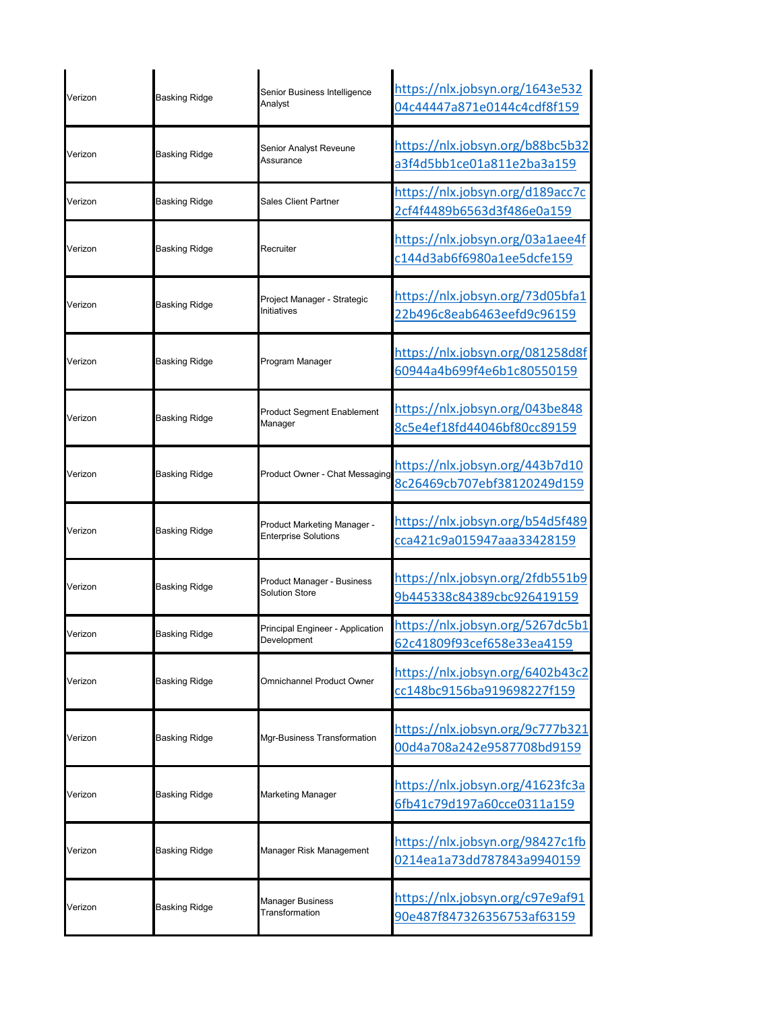| Verizon | Basking Ridge        | Senior Business Intelligence<br>Analyst                    | https://nlx.jobsyn.org/1643e532<br>04c44447a871e0144c4cdf8f159 |
|---------|----------------------|------------------------------------------------------------|----------------------------------------------------------------|
| Verizon | Basking Ridge        | Senior Analyst Reveune<br>Assurance                        | https://nlx.jobsyn.org/b88bc5b32<br>a3f4d5bb1ce01a811e2ba3a159 |
| Verizon | <b>Basking Ridge</b> | Sales Client Partner                                       | https://nlx.jobsyn.org/d189acc7c<br>2cf4f4489b6563d3f486e0a159 |
| Verizon | Basking Ridge        | Recruiter                                                  | https://nlx.jobsyn.org/03a1aee4f<br>c144d3ab6f6980a1ee5dcfe159 |
| Verizon | Basking Ridge        | Project Manager - Strategic<br>Initiatives                 | https://nlx.jobsyn.org/73d05bfa1<br>22b496c8eab6463eefd9c96159 |
| Verizon | Basking Ridge        | Program Manager                                            | https://nlx.jobsyn.org/081258d8f<br>60944a4b699f4e6b1c80550159 |
| Verizon | Basking Ridge        | Product Segment Enablement<br>Manager                      | https://nlx.jobsyn.org/043be848<br>8c5e4ef18fd44046bf80cc89159 |
| Verizon | Basking Ridge        | Product Owner - Chat Messaging                             | https://nlx.jobsyn.org/443b7d10<br>8c26469cb707ebf38120249d159 |
| Verizon | Basking Ridge        | Product Marketing Manager -<br><b>Enterprise Solutions</b> | https://nlx.jobsyn.org/b54d5f489<br>cca421c9a015947aaa33428159 |
| Verizon | <b>Basking Ridge</b> | Product Manager - Business<br><b>Solution Store</b>        | https://nlx.jobsyn.org/2fdb551b9<br>9b445338c84389cbc926419159 |
| Verizon | Basking Ridge        | Principal Engineer - Application<br>Development            | https://nlx.jobsyn.org/5267dc5b1<br>62c41809f93cef658e33ea4159 |
| Verizon | <b>Basking Ridge</b> | <b>Omnichannel Product Owner</b>                           | https://nlx.jobsyn.org/6402b43c2<br>cc148bc9156ba919698227f159 |
| Verizon | <b>Basking Ridge</b> | Mgr-Business Transformation                                | https://nlx.jobsyn.org/9c777b321<br>00d4a708a242e9587708bd9159 |
| Verizon | <b>Basking Ridge</b> | Marketing Manager                                          | https://nlx.jobsyn.org/41623fc3a<br>6fb41c79d197a60cce0311a159 |
| Verizon | Basking Ridge        | Manager Risk Management                                    | https://nlx.jobsyn.org/98427c1fb<br>0214ea1a73dd787843a9940159 |
| Verizon | <b>Basking Ridge</b> | Manager Business<br>Transformation                         | https://nlx.jobsyn.org/c97e9af91<br>90e487f847326356753af63159 |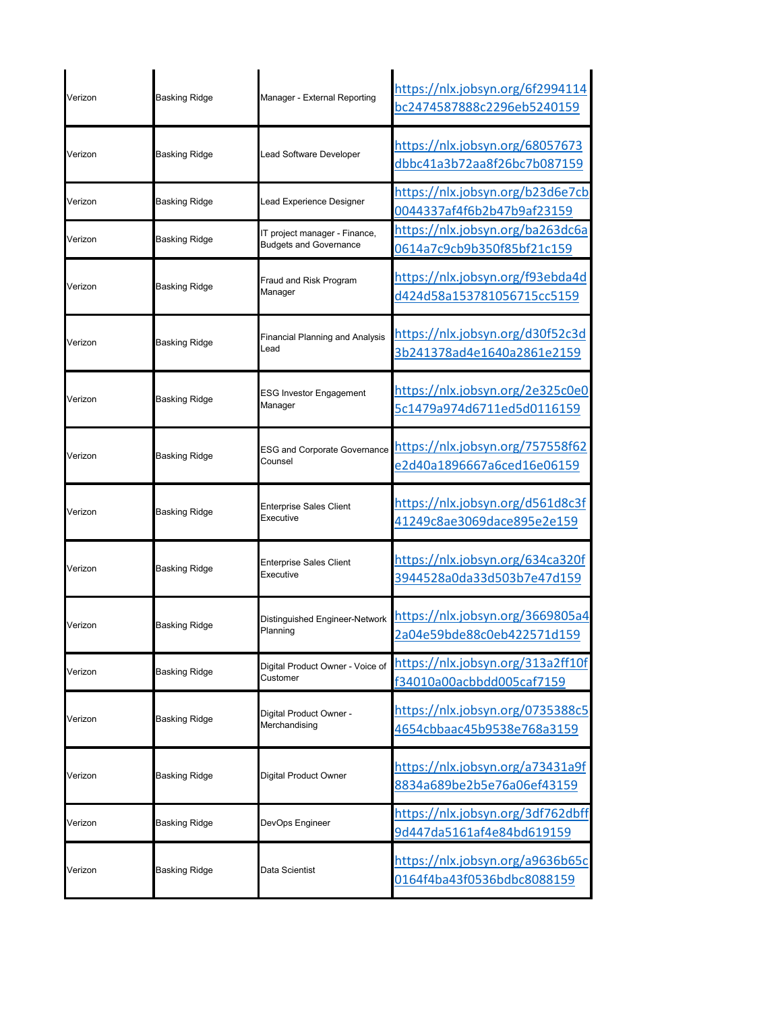| Verizon | <b>Basking Ridge</b> | Manager - External Reporting                                   | https://nlx.jobsyn.org/6f2994114<br>bc2474587888c2296eb5240159 |
|---------|----------------------|----------------------------------------------------------------|----------------------------------------------------------------|
| Verizon | Basking Ridge        | Lead Software Developer                                        | https://nlx.jobsyn.org/68057673<br>dbbc41a3b72aa8f26bc7b087159 |
| Verizon | Basking Ridge        | Lead Experience Designer                                       | https://nlx.jobsyn.org/b23d6e7cb<br>0044337af4f6b2b47b9af23159 |
| Verizon | Basking Ridge        | IT project manager - Finance,<br><b>Budgets and Governance</b> | https://nlx.jobsyn.org/ba263dc6a<br>0614a7c9cb9b350f85bf21c159 |
| Verizon | Basking Ridge        | Fraud and Risk Program<br>Manager                              | https://nlx.jobsyn.org/f93ebda4d<br>d424d58a153781056715cc5159 |
| Verizon | <b>Basking Ridge</b> | Financial Planning and Analysis<br>Lead                        | https://nlx.jobsyn.org/d30f52c3d<br>3b241378ad4e1640a2861e2159 |
| Verizon | <b>Basking Ridge</b> | <b>ESG Investor Engagement</b><br>Manager                      | https://nlx.jobsyn.org/2e325c0e0<br>5c1479a974d6711ed5d0116159 |
| Verizon | Basking Ridge        | <b>ESG and Corporate Governance</b><br>Counsel                 | https://nlx.jobsyn.org/757558f62<br>e2d40a1896667a6ced16e06159 |
| Verizon | Basking Ridge        | Enterprise Sales Client<br>Executive                           | https://nlx.jobsyn.org/d561d8c3f<br>41249c8ae3069dace895e2e159 |
| Verizon | Basking Ridge        | <b>Enterprise Sales Client</b><br>Executive                    | https://nlx.jobsyn.org/634ca320f<br>3944528a0da33d503b7e47d159 |
| Verizon | Basking Ridge        | Distinguished Engineer-Network<br>Planning                     | https://nlx.jobsyn.org/3669805a4<br>2a04e59bde88c0eb422571d159 |
| Verizon | <b>Basking Ridge</b> | Digital Product Owner - Voice of<br>Customer                   | https://nlx.jobsyn.org/313a2ff10f<br>f34010a00acbbdd005caf7159 |
| Verizon | <b>Basking Ridge</b> | Digital Product Owner -<br>Merchandising                       | https://nlx.jobsyn.org/0735388c5<br>4654cbbaac45b9538e768a3159 |
| Verizon | <b>Basking Ridge</b> | Digital Product Owner                                          | https://nlx.jobsyn.org/a73431a9f<br>8834a689be2b5e76a06ef43159 |
| Verizon | <b>Basking Ridge</b> | DevOps Engineer                                                | https://nlx.jobsyn.org/3df762dbff<br>9d447da5161af4e84bd619159 |
| Verizon | Basking Ridge        | Data Scientist                                                 | https://nlx.jobsyn.org/a9636b65c<br>0164f4ba43f0536bdbc8088159 |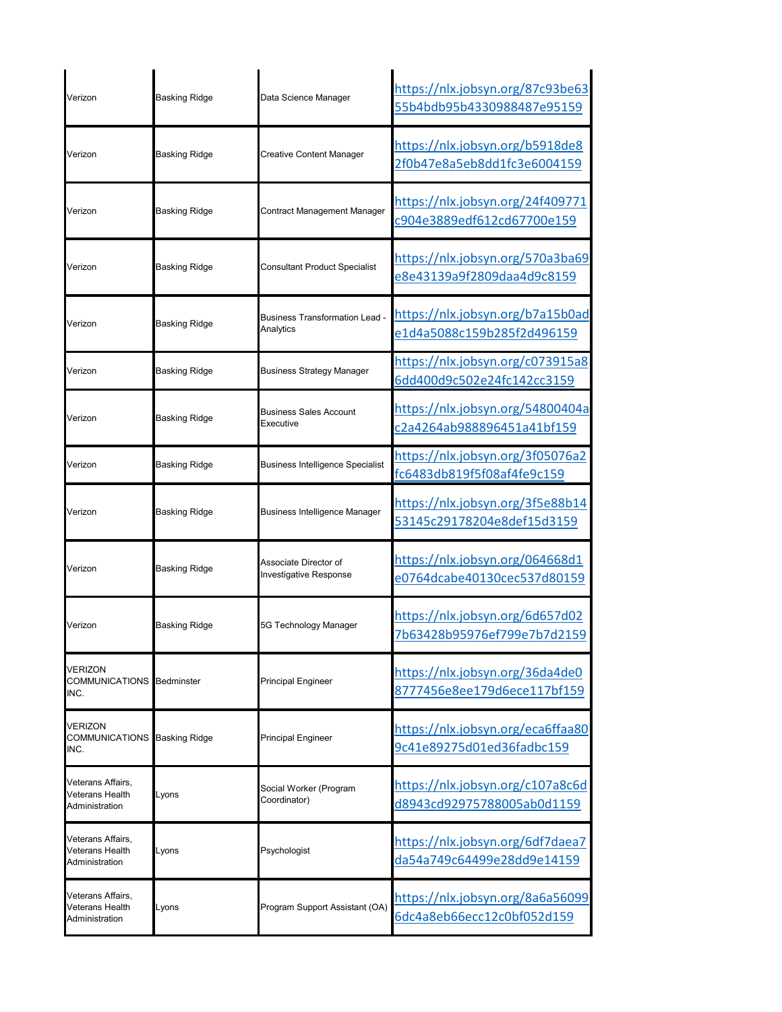| Verizon                                                | <b>Basking Ridge</b> | Data Science Manager                               | https://nlx.jobsyn.org/87c93be63<br>55b4bdb95b4330988487e95159 |
|--------------------------------------------------------|----------------------|----------------------------------------------------|----------------------------------------------------------------|
| Verizon                                                | <b>Basking Ridge</b> | <b>Creative Content Manager</b>                    | https://nlx.jobsyn.org/b5918de8<br>2f0b47e8a5eb8dd1fc3e6004159 |
| Verizon                                                | <b>Basking Ridge</b> | Contract Management Manager                        | https://nlx.jobsyn.org/24f409771<br>c904e3889edf612cd67700e159 |
| Verizon                                                | <b>Basking Ridge</b> | <b>Consultant Product Specialist</b>               | https://nlx.jobsyn.org/570a3ba69<br>e8e43139a9f2809daa4d9c8159 |
| Verizon                                                | <b>Basking Ridge</b> | <b>Business Transformation Lead -</b><br>Analytics | https://nlx.jobsyn.org/b7a15b0ad<br>e1d4a5088c159b285f2d496159 |
| Verizon                                                | <b>Basking Ridge</b> | <b>Business Strategy Manager</b>                   | https://nlx.jobsyn.org/c073915a8<br>6dd400d9c502e24fc142cc3159 |
| Verizon                                                | <b>Basking Ridge</b> | Business Sales Account<br>Executive                | https://nlx.jobsyn.org/54800404a<br>c2a4264ab988896451a41bf159 |
| Verizon                                                | <b>Basking Ridge</b> | <b>Business Intelligence Specialist</b>            | https://nlx.jobsyn.org/3f05076a2<br>fc6483db819f5f08af4fe9c159 |
| Verizon                                                | <b>Basking Ridge</b> | Business Intelligence Manager                      | https://nlx.jobsyn.org/3f5e88b14<br>53145c29178204e8def15d3159 |
| Verizon                                                | <b>Basking Ridge</b> | Associate Director of<br>Investigative Response    | https://nlx.jobsyn.org/064668d1<br>e0764dcabe40130cec537d80159 |
| Verizon                                                | <b>Basking Ridge</b> | 5G Technology Manager                              | https://nlx.jobsyn.org/6d657d02<br>7b63428b95976ef799e7b7d2159 |
| VERIZON<br>COMMUNICATIONS Bedminster<br>INC.           |                      | Principal Engineer                                 | https://nlx.jobsyn.org/36da4de0<br>8777456e8ee179d6ece117bf159 |
| VERIZON<br>COMMUNICATIONS Basking Ridge<br>INC.        |                      | Principal Engineer                                 | https://nlx.jobsyn.org/eca6ffaa80<br>9c41e89275d01ed36fadbc159 |
| Veterans Affairs,<br>Veterans Health<br>Administration | Lyons                | Social Worker (Program<br>Coordinator)             | https://nlx.jobsyn.org/c107a8c6d<br>d8943cd92975788005ab0d1159 |
| Veterans Affairs,<br>Veterans Health<br>Administration | Lyons                | Psychologist                                       | https://nlx.jobsyn.org/6df7daea7<br>da54a749c64499e28dd9e14159 |
| Veterans Affairs,<br>Veterans Health<br>Administration | Lyons                | Program Support Assistant (OA)                     | https://nlx.jobsyn.org/8a6a56099<br>6dc4a8eb66ecc12c0bf052d159 |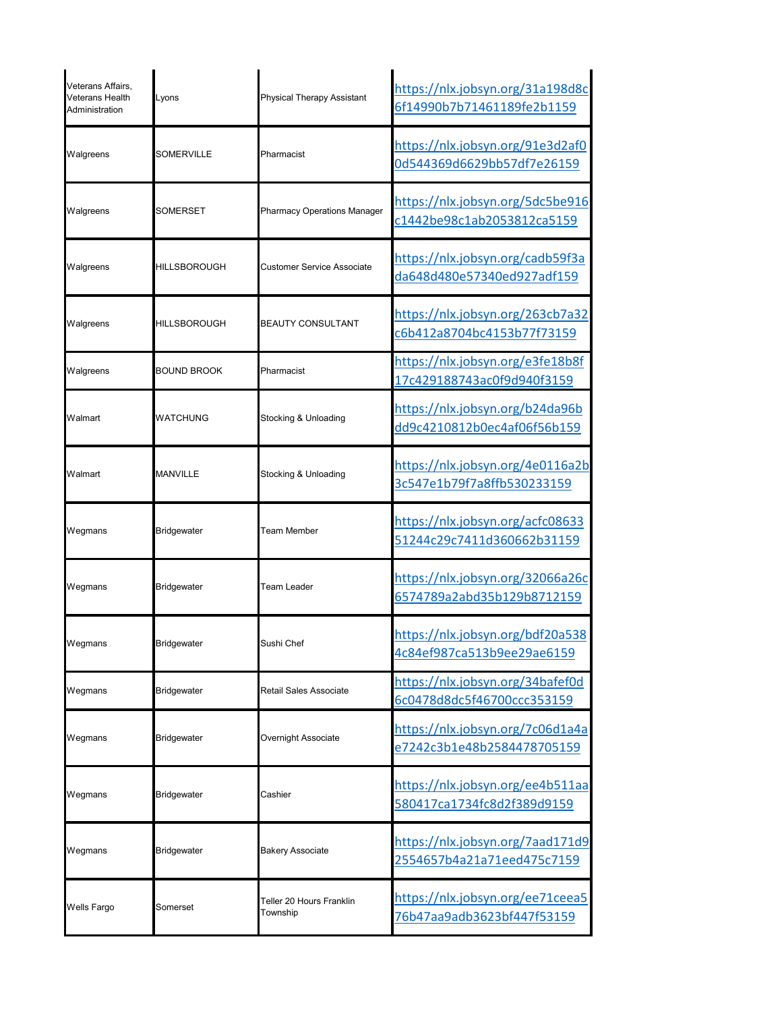| Veterans Affairs,<br>Veterans Health<br>Administration | Lyons              | Physical Therapy Assistant           | https://nlx.jobsyn.org/31a198d8c<br>6f14990b7b71461189fe2b1159 |
|--------------------------------------------------------|--------------------|--------------------------------------|----------------------------------------------------------------|
| Walgreens                                              | SOMERVILLE         | Pharmacist                           | https://nlx.jobsyn.org/91e3d2af0<br>0d544369d6629bb57df7e26159 |
| Walgreens                                              | <b>SOMERSET</b>    | <b>Pharmacy Operations Manager</b>   | https://nlx.jobsyn.org/5dc5be916<br>c1442be98c1ab2053812ca5159 |
| Walgreens                                              | HILLSBOROUGH       | <b>Customer Service Associate</b>    | https://nlx.jobsyn.org/cadb59f3a<br>da648d480e57340ed927adf159 |
| Walgreens                                              | HILLSBOROUGH       | <b>BEAUTY CONSULTANT</b>             | https://nlx.jobsyn.org/263cb7a32<br>c6b412a8704bc4153b77f73159 |
| Walgreens                                              | <b>BOUND BROOK</b> | Pharmacist                           | https://nlx.jobsyn.org/e3fe18b8f<br>17c429188743ac0f9d940f3159 |
| Walmart                                                | WATCHUNG           | Stocking & Unloading                 | https://nlx.jobsyn.org/b24da96b<br>dd9c4210812b0ec4af06f56b159 |
| Walmart                                                | <b>MANVILLE</b>    | Stocking & Unloading                 | https://nlx.jobsyn.org/4e0116a2b<br>3c547e1b79f7a8ffb530233159 |
| Wegmans                                                | <b>Bridgewater</b> | Team Member                          | https://nlx.jobsyn.org/acfc08633<br>51244c29c7411d360662b31159 |
| Wegmans                                                | Bridgewater        | Team Leader                          | https://nlx.jobsyn.org/32066a26c<br>6574789a2abd35b129b8712159 |
| Wegmans                                                | <b>Bridgewater</b> | Sushi Chef                           | https://nlx.jobsyn.org/bdf20a538<br>4c84ef987ca513b9ee29ae6159 |
| Wegmans                                                | <b>Bridgewater</b> | Retail Sales Associate               | https://nlx.jobsyn.org/34bafef0d<br>6c0478d8dc5f46700ccc353159 |
| Wegmans                                                | Bridgewater        | Overnight Associate                  | https://nlx.jobsyn.org/7c06d1a4a<br>e7242c3b1e48b2584478705159 |
| Wegmans                                                | Bridgewater        | Cashier                              | https://nlx.jobsyn.org/ee4b511aa<br>580417ca1734fc8d2f389d9159 |
| Wegmans                                                | <b>Bridgewater</b> | <b>Bakery Associate</b>              | https://nlx.jobsyn.org/7aad171d9<br>2554657b4a21a71eed475c7159 |
| Wells Fargo                                            | Somerset           | Teller 20 Hours Franklin<br>Township | https://nlx.jobsyn.org/ee71ceea5<br>76b47aa9adb3623bf447f53159 |